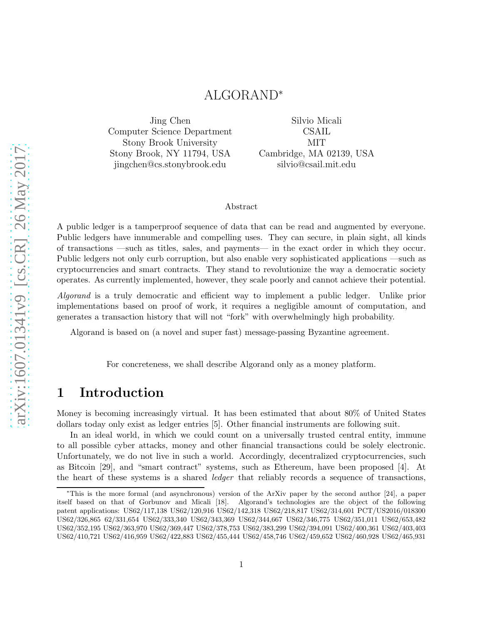## ALGORAND<sup>∗</sup>

Jing Chen Computer Science Department Stony Brook University Stony Brook, NY 11794, USA jingchen@cs.stonybrook.edu

Silvio Micali CSAIL MIT Cambridge, MA 02139, USA silvio@csail.mit.edu

#### Abstract

A public ledger is a tamperproof sequence of data that can be read and augmented by everyone. Public ledgers have innumerable and compelling uses. They can secure, in plain sight, all kinds of transactions —such as titles, sales, and payments— in the exact order in which they occur. Public ledgers not only curb corruption, but also enable very sophisticated applications —such as cryptocurrencies and smart contracts. They stand to revolutionize the way a democratic society operates. As currently implemented, however, they scale poorly and cannot achieve their potential.

Algorand is a truly democratic and efficient way to implement a public ledger. Unlike prior implementations based on proof of work, it requires a negligible amount of computation, and generates a transaction history that will not "fork" with overwhelmingly high probability.

Algorand is based on (a novel and super fast) message-passing Byzantine agreement.

For concreteness, we shall describe Algorand only as a money platform.

## 1 Introduction

Money is becoming increasingly virtual. It has been estimated that about 80% of United States dollars today only exist as ledger entries [\[5\]](#page-72-0). Other financial instruments are following suit.

In an ideal world, in which we could count on a universally trusted central entity, immune to all possible cyber attacks, money and other financial transactions could be solely electronic. Unfortunately, we do not live in such a world. Accordingly, decentralized cryptocurrencies, such as Bitcoin [\[29\]](#page-73-0), and "smart contract" systems, such as Ethereum, have been proposed [\[4\]](#page-72-1). At the heart of these systems is a shared ledger that reliably records a sequence of transactions,

<sup>∗</sup>This is the more formal (and asynchronous) version of the ArXiv paper by the second author [\[24\]](#page-73-1), a paper itself based on that of Gorbunov and Micali [\[18\]](#page-73-2). Algorand's technologies are the object of the following patent applications: US62/117,138 US62/120,916 US62/142,318 US62/218,817 US62/314,601 PCT/US2016/018300 US62/326,865 62/331,654 US62/333,340 US62/343,369 US62/344,667 US62/346,775 US62/351,011 US62/653,482 US62/352,195 US62/363,970 US62/369,447 US62/378,753 US62/383,299 US62/394,091 US62/400,361 US62/403,403 US62/410,721 US62/416,959 US62/422,883 US62/455,444 US62/458,746 US62/459,652 US62/460,928 US62/465,931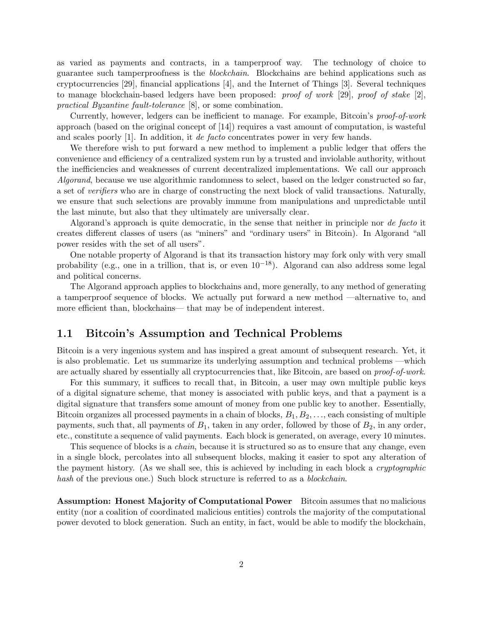as varied as payments and contracts, in a tamperproof way. The technology of choice to guarantee such tamperproofness is the *blockchain*. Blockchains are behind applications such as cryptocurrencies [\[29\]](#page-73-0), financial applications [\[4\]](#page-72-1), and the Internet of Things [\[3\]](#page-72-2). Several techniques to manage blockchain-based ledgers have been proposed: *proof of work* [\[29\]](#page-73-0), *proof of stake* [\[2\]](#page-72-3), practical Byzantine fault-tolerance [\[8\]](#page-72-4), or some combination.

Currently, however, ledgers can be inefficient to manage. For example, Bitcoin's proof-of-work approach (based on the original concept of [\[14\]](#page-73-3)) requires a vast amount of computation, is wasteful and scales poorly [\[1\]](#page-72-5). In addition, it de facto concentrates power in very few hands.

We therefore wish to put forward a new method to implement a public ledger that offers the convenience and efficiency of a centralized system run by a trusted and inviolable authority, without the inefficiencies and weaknesses of current decentralized implementations. We call our approach Algorand, because we use algorithmic randomness to select, based on the ledger constructed so far, a set of verifiers who are in charge of constructing the next block of valid transactions. Naturally, we ensure that such selections are provably immune from manipulations and unpredictable until the last minute, but also that they ultimately are universally clear.

Algorand's approach is quite democratic, in the sense that neither in principle nor de facto it creates different classes of users (as "miners" and "ordinary users" in Bitcoin). In Algorand "all power resides with the set of all users".

One notable property of Algorand is that its transaction history may fork only with very small probability (e.g., one in a trillion, that is, or even  $10^{-18}$ ). Algorand can also address some legal and political concerns.

The Algorand approach applies to blockchains and, more generally, to any method of generating a tamperproof sequence of blocks. We actually put forward a new method —alternative to, and more efficient than, blockchains— that may be of independent interest.

#### 1.1 Bitcoin's Assumption and Technical Problems

Bitcoin is a very ingenious system and has inspired a great amount of subsequent research. Yet, it is also problematic. Let us summarize its underlying assumption and technical problems —which are actually shared by essentially all cryptocurrencies that, like Bitcoin, are based on *proof-of-work*.

For this summary, it suffices to recall that, in Bitcoin, a user may own multiple public keys of a digital signature scheme, that money is associated with public keys, and that a payment is a digital signature that transfers some amount of money from one public key to another. Essentially, Bitcoin organizes all processed payments in a chain of blocks,  $B_1, B_2, \ldots$ , each consisting of multiple payments, such that, all payments of  $B_1$ , taken in any order, followed by those of  $B_2$ , in any order. etc., constitute a sequence of valid payments. Each block is generated, on average, every 10 minutes.

This sequence of blocks is a *chain*, because it is structured so as to ensure that any change, even in a single block, percolates into all subsequent blocks, making it easier to spot any alteration of the payment history. (As we shall see, this is achieved by including in each block a cryptographic hash of the previous one.) Such block structure is referred to as a *blockchain*.

Assumption: Honest Majority of Computational Power Bitcoin assumes that no malicious entity (nor a coalition of coordinated malicious entities) controls the majority of the computational power devoted to block generation. Such an entity, in fact, would be able to modify the blockchain,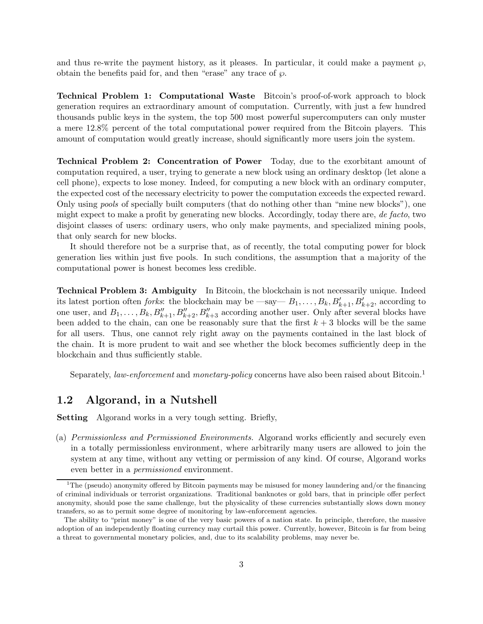and thus re-write the payment history, as it pleases. In particular, it could make a payment  $\wp$ , obtain the benefits paid for, and then "erase" any trace of  $\wp$ .

Technical Problem 1: Computational Waste Bitcoin's proof-of-work approach to block generation requires an extraordinary amount of computation. Currently, with just a few hundred thousands public keys in the system, the top 500 most powerful supercomputers can only muster a mere 12.8% percent of the total computational power required from the Bitcoin players. This amount of computation would greatly increase, should significantly more users join the system.

Technical Problem 2: Concentration of Power Today, due to the exorbitant amount of computation required, a user, trying to generate a new block using an ordinary desktop (let alone a cell phone), expects to lose money. Indeed, for computing a new block with an ordinary computer, the expected cost of the necessary electricity to power the computation exceeds the expected reward. Only using pools of specially built computers (that do nothing other than "mine new blocks"), one might expect to make a profit by generating new blocks. Accordingly, today there are, de facto, two disjoint classes of users: ordinary users, who only make payments, and specialized mining pools, that only search for new blocks.

It should therefore not be a surprise that, as of recently, the total computing power for block generation lies within just five pools. In such conditions, the assumption that a majority of the computational power is honest becomes less credible.

Technical Problem 3: Ambiguity In Bitcoin, the blockchain is not necessarily unique. Indeed its latest portion often *forks*: the blockchain may be  $-\text{say}-B_1,\ldots,B_k,B'_{k+1},B'_{k+2}$ , according to one user, and  $B_1, \ldots, B_k, B''_{k+1}, B''_{k+2}, B''_{k+3}$  according another user. Only after several blocks have been added to the chain, can one be reasonably sure that the first  $k + 3$  blocks will be the same for all users. Thus, one cannot rely right away on the payments contained in the last block of the chain. It is more prudent to wait and see whether the block becomes sufficiently deep in the blockchain and thus sufficiently stable.

Separately, *law-enforcement* and *monetary-policy* concerns have also been raised about Bitcoin.<sup>[1](#page-2-0)</sup>

#### 1.2 Algorand, in a Nutshell

Setting Algorand works in a very tough setting. Briefly,

(a) Permissionless and Permissioned Environments. Algorand works efficiently and securely even in a totally permissionless environment, where arbitrarily many users are allowed to join the system at any time, without any vetting or permission of any kind. Of course, Algorand works even better in a permissioned environment.

<span id="page-2-0"></span><sup>1</sup>The (pseudo) anonymity offered by Bitcoin payments may be misused for money laundering and/or the financing of criminal individuals or terrorist organizations. Traditional banknotes or gold bars, that in principle offer perfect anonymity, should pose the same challenge, but the physicality of these currencies substantially slows down money transfers, so as to permit some degree of monitoring by law-enforcement agencies.

The ability to "print money" is one of the very basic powers of a nation state. In principle, therefore, the massive adoption of an independently floating currency may curtail this power. Currently, however, Bitcoin is far from being a threat to governmental monetary policies, and, due to its scalability problems, may never be.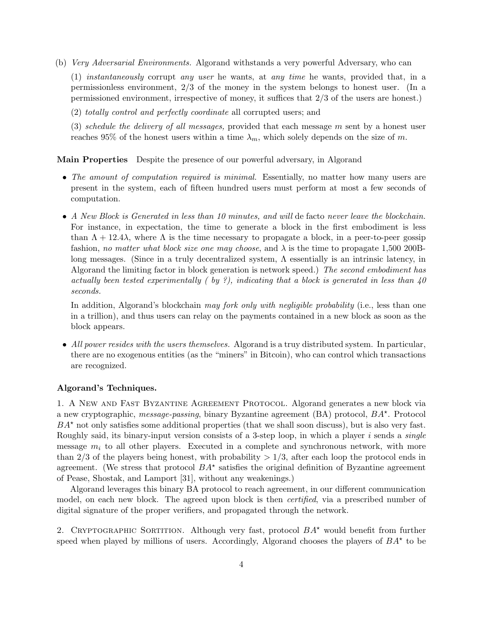(b) Very Adversarial Environments. Algorand withstands a very powerful Adversary, who can

(1) instantaneously corrupt any user he wants, at any time he wants, provided that, in a permissionless environment, 2/3 of the money in the system belongs to honest user. (In a permissioned environment, irrespective of money, it suffices that 2/3 of the users are honest.)

(2) totally control and perfectly coordinate all corrupted users; and

(3) schedule the delivery of all messages, provided that each message  $m$  sent by a honest user reaches 95% of the honest users within a time  $\lambda_m$ , which solely depends on the size of m.

#### Main Properties Despite the presence of our powerful adversary, in Algorand

- The amount of computation required is minimal. Essentially, no matter how many users are present in the system, each of fifteen hundred users must perform at most a few seconds of computation.
- A New Block is Generated in less than 10 minutes, and will de facto never leave the blockchain. For instance, in expectation, the time to generate a block in the first embodiment is less than  $\Lambda + 12.4\lambda$ , where  $\Lambda$  is the time necessary to propagate a block, in a peer-to-peer gossip fashion, no matter what block size one may choose, and  $\lambda$  is the time to propagate 1,500 200Blong messages. (Since in a truly decentralized system, Λ essentially is an intrinsic latency, in Algorand the limiting factor in block generation is network speed.) The second embodiment has actually been tested experimentally (by ?), indicating that a block is generated in less than  $40$ seconds.

In addition, Algorand's blockchain may fork only with negligible probability (i.e., less than one in a trillion), and thus users can relay on the payments contained in a new block as soon as the block appears.

• All power resides with the users themselves. Algorand is a truy distributed system. In particular, there are no exogenous entities (as the "miners" in Bitcoin), who can control which transactions are recognized.

#### Algorand's Techniques.

1. A New and Fast Byzantine Agreement Protocol. Algorand generates a new block via a new cryptographic, *message-passing*, binary Byzantine agreement (BA) protocol,  $BA^*$ . Protocol  $BA<sup>*</sup>$  not only satisfies some additional properties (that we shall soon discuss), but is also very fast. Roughly said, its binary-input version consists of a 3-step loop, in which a player  $i$  sends a *single* message  $m_i$  to all other players. Executed in a complete and synchronous network, with more than 2/3 of the players being honest, with probability  $> 1/3$ , after each loop the protocol ends in agreement. (We stress that protocol  $BA^{\star}$  satisfies the original definition of Byzantine agreement of Pease, Shostak, and Lamport [\[31\]](#page-73-4), without any weakenings.)

Algorand leverages this binary BA protocol to reach agreement, in our different communication model, on each new block. The agreed upon block is then *certified*, via a prescribed number of digital signature of the proper verifiers, and propagated through the network.

2. CRYPTOGRAPHIC SORTITION. Although very fast, protocol  $BA^*$  would benefit from further speed when played by millions of users. Accordingly, Algorand chooses the players of  $BA^*$  to be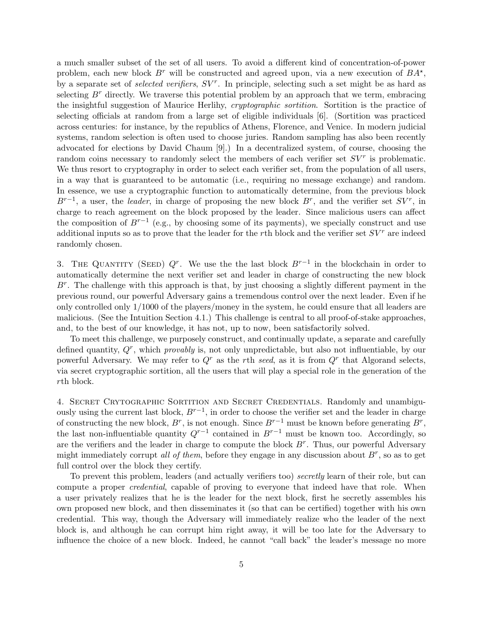a much smaller subset of the set of all users. To avoid a different kind of concentration-of-power problem, each new block  $B^r$  will be constructed and agreed upon, via a new execution of  $BA^*$ , by a separate set of *selected verifiers*,  $SV^r$ . In principle, selecting such a set might be as hard as selecting  $B^r$  directly. We traverse this potential problem by an approach that we term, embracing the insightful suggestion of Maurice Herlihy, cryptographic sortition. Sortition is the practice of selecting officials at random from a large set of eligible individuals [\[6\]](#page-72-6). (Sortition was practiced across centuries: for instance, by the republics of Athens, Florence, and Venice. In modern judicial systems, random selection is often used to choose juries. Random sampling has also been recently advocated for elections by David Chaum [\[9\]](#page-72-7).) In a decentralized system, of course, choosing the random coins necessary to randomly select the members of each verifier set  $SV<sup>r</sup>$  is problematic. We thus resort to cryptography in order to select each verifier set, from the population of all users, in a way that is guaranteed to be automatic (i.e., requiring no message exchange) and random. In essence, we use a cryptographic function to automatically determine, from the previous block  $B^{r-1}$ , a user, the leader, in charge of proposing the new block  $B^r$ , and the verifier set  $SV^r$ , in charge to reach agreement on the block proposed by the leader. Since malicious users can affect the composition of  $B^{r-1}$  (e.g., by choosing some of its payments), we specially construct and use additional inputs so as to prove that the leader for the rth block and the verifier set  $SV<sup>r</sup>$  are indeed randomly chosen.

3. THE QUANTITY (SEED)  $Q^r$ . We use the the last block  $B^{r-1}$  in the blockchain in order to automatically determine the next verifier set and leader in charge of constructing the new block  $B^r$ . The challenge with this approach is that, by just choosing a slightly different payment in the previous round, our powerful Adversary gains a tremendous control over the next leader. Even if he only controlled only 1/1000 of the players/money in the system, he could ensure that all leaders are malicious. (See the Intuition Section [4.1.](#page-21-0)) This challenge is central to all proof-of-stake approaches, and, to the best of our knowledge, it has not, up to now, been satisfactorily solved.

To meet this challenge, we purposely construct, and continually update, a separate and carefully defined quantity,  $Q<sup>r</sup>$ , which provably is, not only unpredictable, but also not influentiable, by our powerful Adversary. We may refer to  $Q<sup>r</sup>$  as the rth seed, as it is from  $Q<sup>r</sup>$  that Algorand selects, via secret cryptographic sortition, all the users that will play a special role in the generation of the rth block.

4. Secret Crytographic Sortition and Secret Credentials. Randomly and unambiguously using the current last block,  $B^{r-1}$ , in order to choose the verifier set and the leader in charge of constructing the new block,  $B^r$ , is not enough. Since  $B^{r-1}$  must be known before generating  $B^r$ , the last non-influentiable quantity  $Q^{r-1}$  contained in  $B^{r-1}$  must be known too. Accordingly, so are the verifiers and the leader in charge to compute the block  $B^r$ . Thus, our powerful Adversary might immediately corrupt all of them, before they engage in any discussion about  $B^r$ , so as to get full control over the block they certify.

To prevent this problem, leaders (and actually verifiers too) secretly learn of their role, but can compute a proper *credential*, capable of proving to everyone that indeed have that role. When a user privately realizes that he is the leader for the next block, first he secretly assembles his own proposed new block, and then disseminates it (so that can be certified) together with his own credential. This way, though the Adversary will immediately realize who the leader of the next block is, and although he can corrupt him right away, it will be too late for the Adversary to influence the choice of a new block. Indeed, he cannot "call back" the leader's message no more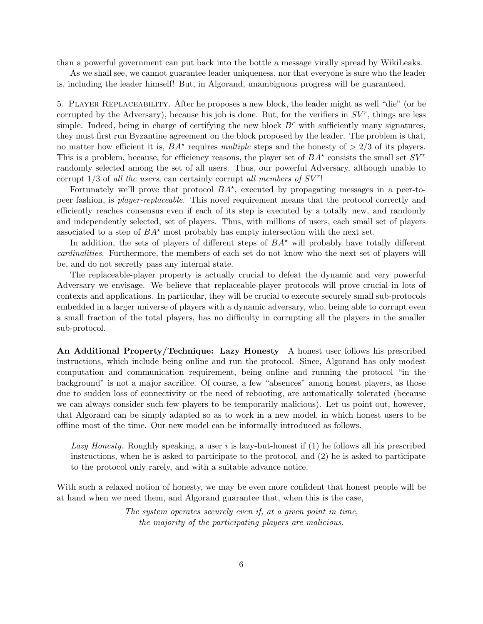than a powerful government can put back into the bottle a message virally spread by WikiLeaks.

As we shall see, we cannot guarantee leader uniqueness, nor that everyone is sure who the leader is, including the leader himself! But, in Algorand, unambiguous progress will be guaranteed.

5. Player Replaceability. After he proposes a new block, the leader might as well "die" (or be corrupted by the Adversary), because his job is done. But, for the verifiers in  $SV^r$ , things are less simple. Indeed, being in charge of certifying the new block  $B<sup>r</sup>$  with sufficiently many signatures, they must first run Byzantine agreement on the block proposed by the leader. The problem is that, no matter how efficient it is,  $BA^*$  requires multiple steps and the honesty of  $> 2/3$  of its players. This is a problem, because, for efficiency reasons, the player set of  $BA^*$  consists the small set  $SV^r$ randomly selected among the set of all users. Thus, our powerful Adversary, although unable to corrupt  $1/3$  of all the users, can certainly corrupt all members of  $SV^r!$ 

Fortunately we'll prove that protocol  $BA^*$ , executed by propagating messages in a peer-topeer fashion, is player-replaceable. This novel requirement means that the protocol correctly and efficiently reaches consensus even if each of its step is executed by a totally new, and randomly and independently selected, set of players. Thus, with millions of users, each small set of players associated to a step of  $BA^*$  most probably has empty intersection with the next set.

In addition, the sets of players of different steps of  $BA^*$  will probably have totally different cardinalities. Furthermore, the members of each set do not know who the next set of players will be, and do not secretly pass any internal state.

The replaceable-player property is actually crucial to defeat the dynamic and very powerful Adversary we envisage. We believe that replaceable-player protocols will prove crucial in lots of contexts and applications. In particular, they will be crucial to execute securely small sub-protocols embedded in a larger universe of players with a dynamic adversary, who, being able to corrupt even a small fraction of the total players, has no difficulty in corrupting all the players in the smaller sub-protocol.

An Additional Property/Technique: Lazy Honesty A honest user follows his prescribed instructions, which include being online and run the protocol. Since, Algorand has only modest computation and communication requirement, being online and running the protocol "in the background" is not a major sacrifice. Of course, a few "absences" among honest players, as those due to sudden loss of connectivity or the need of rebooting, are automatically tolerated (because we can always consider such few players to be temporarily malicious). Let us point out, however, that Algorand can be simply adapted so as to work in a new model, in which honest users to be offline most of the time. Our new model can be informally introduced as follows.

Lazy Honesty. Roughly speaking, a user i is lazy-but-honest if  $(1)$  he follows all his prescribed instructions, when he is asked to participate to the protocol, and (2) he is asked to participate to the protocol only rarely, and with a suitable advance notice.

With such a relaxed notion of honesty, we may be even more confident that honest people will be at hand when we need them, and Algorand guarantee that, when this is the case,

> The system operates securely even if, at a given point in time, the majority of the participating players are malicious.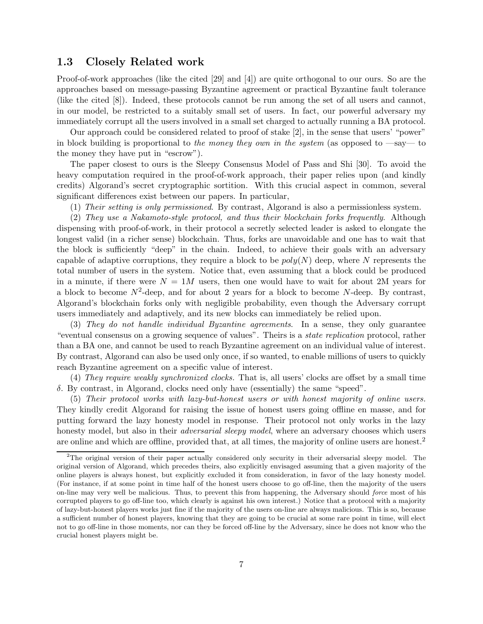#### 1.3 Closely Related work

Proof-of-work approaches (like the cited [\[29\]](#page-73-0) and [\[4\]](#page-72-1)) are quite orthogonal to our ours. So are the approaches based on message-passing Byzantine agreement or practical Byzantine fault tolerance (like the cited [\[8\]](#page-72-4)). Indeed, these protocols cannot be run among the set of all users and cannot, in our model, be restricted to a suitably small set of users. In fact, our powerful adversary my immediately corrupt all the users involved in a small set charged to actually running a BA protocol.

Our approach could be considered related to proof of stake [\[2\]](#page-72-3), in the sense that users' "power" in block building is proportional to the money they own in the system (as opposed to  $-\text{say}$  to the money they have put in "escrow").

The paper closest to ours is the Sleepy Consensus Model of Pass and Shi [\[30\]](#page-73-5). To avoid the heavy computation required in the proof-of-work approach, their paper relies upon (and kindly credits) Algorand's secret cryptographic sortition. With this crucial aspect in common, several significant differences exist between our papers. In particular,

(1) Their setting is only permissioned. By contrast, Algorand is also a permissionless system.

(2) They use a Nakamoto-style protocol, and thus their blockchain forks frequently. Although dispensing with proof-of-work, in their protocol a secretly selected leader is asked to elongate the longest valid (in a richer sense) blockchain. Thus, forks are unavoidable and one has to wait that the block is sufficiently "deep" in the chain. Indeed, to achieve their goals with an adversary capable of adaptive corruptions, they require a block to be  $poly(N)$  deep, where N represents the total number of users in the system. Notice that, even assuming that a block could be produced in a minute, if there were  $N = 1M$  users, then one would have to wait for about 2M years for a block to become  $N^2$ -deep, and for about 2 years for a block to become N-deep. By contrast, Algorand's blockchain forks only with negligible probability, even though the Adversary corrupt users immediately and adaptively, and its new blocks can immediately be relied upon.

(3) They do not handle individual Byzantine agreements. In a sense, they only guarantee "eventual consensus on a growing sequence of values". Theirs is a state replication protocol, rather than a BA one, and cannot be used to reach Byzantine agreement on an individual value of interest. By contrast, Algorand can also be used only once, if so wanted, to enable millions of users to quickly reach Byzantine agreement on a specific value of interest.

(4) They require weakly synchronized clocks. That is, all users' clocks are offset by a small time δ. By contrast, in Algorand, clocks need only have (essentially) the same "speed".

(5) Their protocol works with lazy-but-honest users or with honest majority of online users. They kindly credit Algorand for raising the issue of honest users going offline en masse, and for putting forward the lazy honesty model in response. Their protocol not only works in the lazy honesty model, but also in their *adversarial sleepy model*, where an adversary chooses which users are online and which are offline, provided that, at all times, the majority of online users are honest.<sup>[2](#page-6-0)</sup>

<span id="page-6-0"></span><sup>2</sup>The original version of their paper actually considered only security in their adversarial sleepy model. The original version of Algorand, which precedes theirs, also explicitly envisaged assuming that a given majority of the online players is always honest, but explicitly excluded it from consideration, in favor of the lazy honesty model. (For instance, if at some point in time half of the honest users choose to go off-line, then the majority of the users on-line may very well be malicious. Thus, to prevent this from happening, the Adversary should force most of his corrupted players to go off-line too, which clearly is against his own interest.) Notice that a protocol with a majority of lazy-but-honest players works just fine if the majority of the users on-line are always malicious. This is so, because a sufficient number of honest players, knowing that they are going to be crucial at some rare point in time, will elect not to go off-line in those moments, nor can they be forced off-line by the Adversary, since he does not know who the crucial honest players might be.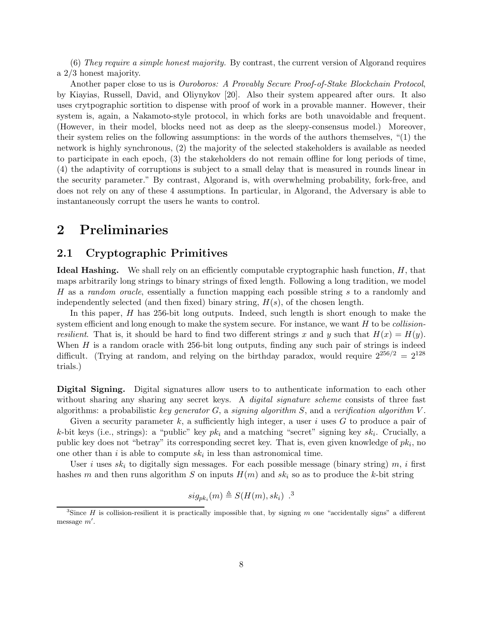$(6)$  They require a simple honest majority. By contrast, the current version of Algorand requires a 2/3 honest majority.

Another paper close to us is *Ouroboros: A Provably Secure Proof-of-Stake Blockchain Protocol*, by Kiayias, Russell, David, and Oliynykov [\[20\]](#page-73-6). Also their system appeared after ours. It also uses crytpographic sortition to dispense with proof of work in a provable manner. However, their system is, again, a Nakamoto-style protocol, in which forks are both unavoidable and frequent. (However, in their model, blocks need not as deep as the sleepy-consensus model.) Moreover, their system relies on the following assumptions: in the words of the authors themselves, "(1) the network is highly synchronous, (2) the majority of the selected stakeholders is available as needed to participate in each epoch, (3) the stakeholders do not remain offline for long periods of time, (4) the adaptivity of corruptions is subject to a small delay that is measured in rounds linear in the security parameter." By contrast, Algorand is, with overwhelming probability, fork-free, and does not rely on any of these 4 assumptions. In particular, in Algorand, the Adversary is able to instantaneously corrupt the users he wants to control.

## 2 Preliminaries

#### 2.1 Cryptographic Primitives

Ideal Hashing. We shall rely on an efficiently computable cryptographic hash function, H, that maps arbitrarily long strings to binary strings of fixed length. Following a long tradition, we model H as a random oracle, essentially a function mapping each possible string s to a randomly and independently selected (and then fixed) binary string,  $H(s)$ , of the chosen length.

In this paper, H has 256-bit long outputs. Indeed, such length is short enough to make the system efficient and long enough to make the system secure. For instance, we want  $H$  to be *collision*resilient. That is, it should be hard to find two different strings x and y such that  $H(x) = H(y)$ . When  $H$  is a random oracle with 256-bit long outputs, finding any such pair of strings is indeed difficult. (Trying at random, and relying on the birthday paradox, would require  $2^{256/2} = 2^{128}$ trials.)

Digital Signing. Digital signatures allow users to to authenticate information to each other without sharing any sharing any secret keys. A *digital signature scheme* consists of three fast algorithms: a probabilistic key generator  $G$ , a signing algorithm  $S$ , and a verification algorithm  $V$ .

Given a security parameter  $k$ , a sufficiently high integer, a user i uses  $G$  to produce a pair of k-bit keys (i.e., strings): a "public" key  $pk_i$  and a matching "secret" signing key  $sk_i$ . Crucially, a public key does not "betray" its corresponding secret key. That is, even given knowledge of  $pk_i$ , no one other than  $i$  is able to compute  $sk_i$  in less than astronomical time.

User i uses  $sk_i$  to digitally sign messages. For each possible message (binary string) m, i first hashes m and then runs algorithm S on inputs  $H(m)$  and  $sk_i$  so as to produce the k-bit string

$$
sig_{pk_i}(m) \triangleq S(H(m), sk_i) .3
$$

<span id="page-7-0"></span><sup>&</sup>lt;sup>3</sup>Since H is collision-resilient it is practically impossible that, by signing m one "accidentally signs" a different message m′ .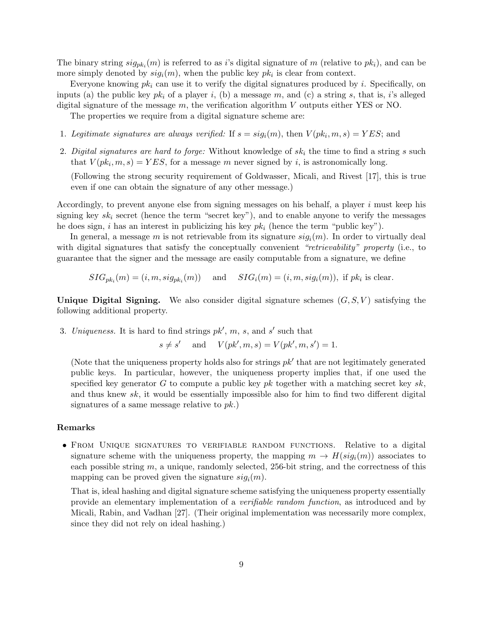The binary string  $sig_{pk_i}(m)$  is referred to as i's digital signature of m (relative to  $pk_i$ ), and can be more simply denoted by  $sig_i(m)$ , when the public key  $pk_i$  is clear from context.

Everyone knowing  $pk_i$  can use it to verify the digital signatures produced by i. Specifically, on inputs (a) the public key  $pk_i$  of a player i, (b) a message m, and (c) a string s, that is, i's alleged digital signature of the message  $m$ , the verification algorithm V outputs either YES or NO.

The properties we require from a digital signature scheme are:

- 1. Legitimate signatures are always verified: If  $s = sig_i(m)$ , then  $V(pk_i, m, s) = YES$ ; and
- 2. Digital signatures are hard to forge: Without knowledge of  $sk_i$  the time to find a string s such that  $V(pk_i, m, s) = YES$ , for a message m never signed by i, is astronomically long.

(Following the strong security requirement of Goldwasser, Micali, and Rivest [\[17\]](#page-73-7), this is true even if one can obtain the signature of any other message.)

Accordingly, to prevent anyone else from signing messages on his behalf, a player  $i$  must keep his signing key  $sk_i$  secret (hence the term "secret key"), and to enable anyone to verify the messages he does sign, i has an interest in publicizing his key  $pk_i$  (hence the term "public key").

In general, a message m is not retrievable from its signature  $sig_i(m)$ . In order to virtually deal with digital signatures that satisfy the conceptually convenient "retrievability" property (i.e., to guarantee that the signer and the message are easily computable from a signature, we define

 $SIG_{pk_i}(m) = (i, m, sig_{pk_i}(m))$  and  $SIG_i(m) = (i, m, sig_i(m)),$  if  $pk_i$  is clear.

Unique Digital Signing. We also consider digital signature schemes  $(G, S, V)$  satisfying the following additional property.

3. Uniqueness. It is hard to find strings  $pk'$ ,  $m$ ,  $s$ , and  $s'$  such that

$$
s \neq s'
$$
 and  $V(pk', m, s) = V(pk', m, s') = 1.$ 

(Note that the uniqueness property holds also for strings  $pk'$  that are not legitimately generated public keys. In particular, however, the uniqueness property implies that, if one used the specified key generator G to compute a public key pk together with a matching secret key sk, and thus knew sk, it would be essentially impossible also for him to find two different digital signatures of a same message relative to  $pk$ .)

#### Remarks

• FROM UNIQUE SIGNATURES TO VERIFIABLE RANDOM FUNCTIONS. Relative to a digital signature scheme with the uniqueness property, the mapping  $m \to H(sig_i(m))$  associates to each possible string  $m$ , a unique, randomly selected, 256-bit string, and the correctness of this mapping can be proved given the signature  $sig_i(m)$ .

That is, ideal hashing and digital signature scheme satisfying the uniqueness property essentially provide an elementary implementation of a verifiable random function, as introduced and by Micali, Rabin, and Vadhan [\[27\]](#page-73-8). (Their original implementation was necessarily more complex, since they did not rely on ideal hashing.)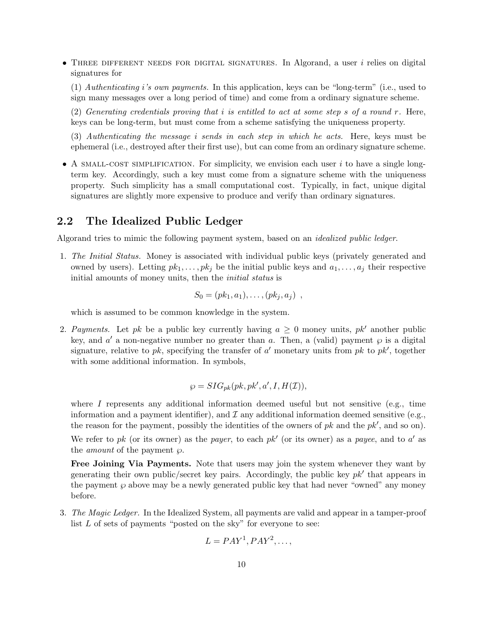• THREE DIFFERENT NEEDS FOR DIGITAL SIGNATURES. In Algorand, a user  $i$  relies on digital signatures for

(1) Authenticating i's own payments. In this application, keys can be "long-term" (i.e., used to sign many messages over a long period of time) and come from a ordinary signature scheme.

(2) Generating credentials proving that i is entitled to act at some step s of a round  $r$ . Here, keys can be long-term, but must come from a scheme satisfying the uniqueness property.

(3) Authenticating the message i sends in each step in which he acts. Here, keys must be ephemeral (i.e., destroyed after their first use), but can come from an ordinary signature scheme.

• A SMALL-COST SIMPLIFICATION. For simplicity, we envision each user i to have a single longterm key. Accordingly, such a key must come from a signature scheme with the uniqueness property. Such simplicity has a small computational cost. Typically, in fact, unique digital signatures are slightly more expensive to produce and verify than ordinary signatures.

#### 2.2 The Idealized Public Ledger

Algorand tries to mimic the following payment system, based on an idealized public ledger.

1. The Initial Status. Money is associated with individual public keys (privately generated and owned by users). Letting  $pk_1, \ldots, pk_j$  be the initial public keys and  $a_1, \ldots, a_j$  their respective initial amounts of money units, then the *initial status* is

$$
S_0=(pk_1,a_1),\ldots,(pk_j,a_j) ,
$$

which is assumed to be common knowledge in the system.

2. Payments. Let pk be a public key currently having  $a \geq 0$  money units, pk' another public key, and  $a'$  a non-negative number no greater than a. Then, a (valid) payment  $\wp$  is a digital signature, relative to  $pk$ , specifying the transfer of  $a'$  monetary units from  $pk$  to  $pk'$ , together with some additional information. In symbols,

$$
\wp = SIG_{pk}(pk, pk', a', I, H(\mathcal{I})),
$$

where I represents any additional information deemed useful but not sensitive (e.g., time information and a payment identifier), and  $\mathcal I$  any additional information deemed sensitive (e.g., the reason for the payment, possibly the identities of the owners of  $pk$  and the  $pk'$ , and so on).

We refer to pk (or its owner) as the payer, to each pk' (or its owner) as a payee, and to  $a'$  as the *amount* of the payment  $\wp$ .

Free Joining Via Payments. Note that users may join the system whenever they want by generating their own public/secret key pairs. Accordingly, the public key  $pk'$  that appears in the payment  $\wp$  above may be a newly generated public key that had never "owned" any money before.

3. The Magic Ledger. In the Idealized System, all payments are valid and appear in a tamper-proof list  $L$  of sets of payments "posted on the sky" for everyone to see:

$$
L = PAY^1, PAY^2, \dots,
$$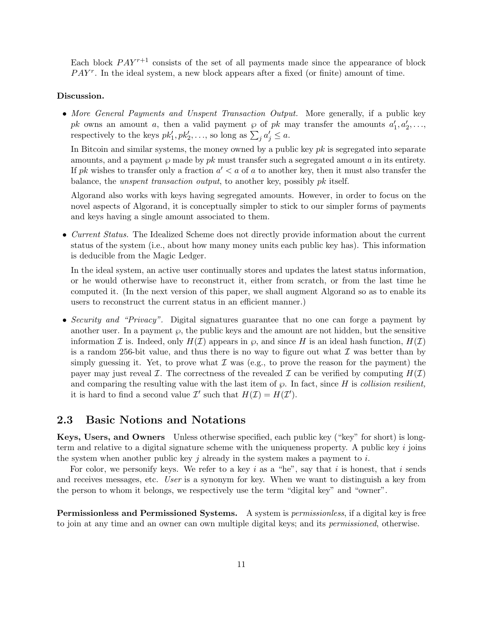Each block  $PAY^{r+1}$  consists of the set of all payments made since the appearance of block  $PAY<sup>r</sup>$ . In the ideal system, a new block appears after a fixed (or finite) amount of time.

#### Discussion.

• More General Payments and Unspent Transaction Output. More generally, if a public key pk owns an amount a, then a valid payment  $\wp$  of pk may transfer the amounts  $a'_1, a'_2, \ldots$ respectively to the keys  $pk'_1, pk'_2, \ldots$ , so long as  $\sum_j a'_j \leq a$ .

In Bitcoin and similar systems, the money owned by a public key  $pk$  is segregated into separate amounts, and a payment  $\varphi$  made by pk must transfer such a segregated amount a in its entirety. If pk wishes to transfer only a fraction  $a' < a$  of a to another key, then it must also transfer the balance, the *unspent transaction output*, to another key, possibly pk itself.

Algorand also works with keys having segregated amounts. However, in order to focus on the novel aspects of Algorand, it is conceptually simpler to stick to our simpler forms of payments and keys having a single amount associated to them.

• Current Status. The Idealized Scheme does not directly provide information about the current status of the system (i.e., about how many money units each public key has). This information is deducible from the Magic Ledger.

In the ideal system, an active user continually stores and updates the latest status information, or he would otherwise have to reconstruct it, either from scratch, or from the last time he computed it. (In the next version of this paper, we shall augment Algorand so as to enable its users to reconstruct the current status in an efficient manner.)

• Security and "Privacy". Digital signatures guarantee that no one can forge a payment by another user. In a payment  $\varphi$ , the public keys and the amount are not hidden, but the sensitive information I is. Indeed, only  $H(\mathcal{I})$  appears in  $\wp$ , and since H is an ideal hash function,  $H(\mathcal{I})$ is a random 256-bit value, and thus there is no way to figure out what  $\mathcal I$  was better than by simply guessing it. Yet, to prove what  $\mathcal I$  was (e.g., to prove the reason for the payment) the payer may just reveal I. The correctness of the revealed I can be verified by computing  $H(\mathcal{I})$ and comparing the resulting value with the last item of  $\wp$ . In fact, since H is collision resilient, it is hard to find a second value  $\mathcal{I}'$  such that  $H(\mathcal{I}) = H(\mathcal{I}')$ .

#### 2.3 Basic Notions and Notations

Keys, Users, and Owners Unless otherwise specified, each public key ("key" for short) is longterm and relative to a digital signature scheme with the uniqueness property. A public key  $i$  joins the system when another public key  $j$  already in the system makes a payment to  $i$ .

For color, we personify keys. We refer to a key i as a "he", say that i is honest, that i sends and receives messages, etc. User is a synonym for key. When we want to distinguish a key from the person to whom it belongs, we respectively use the term "digital key" and "owner".

Permissionless and Permissioned Systems. A system is permissionless, if a digital key is free to join at any time and an owner can own multiple digital keys; and its permissioned, otherwise.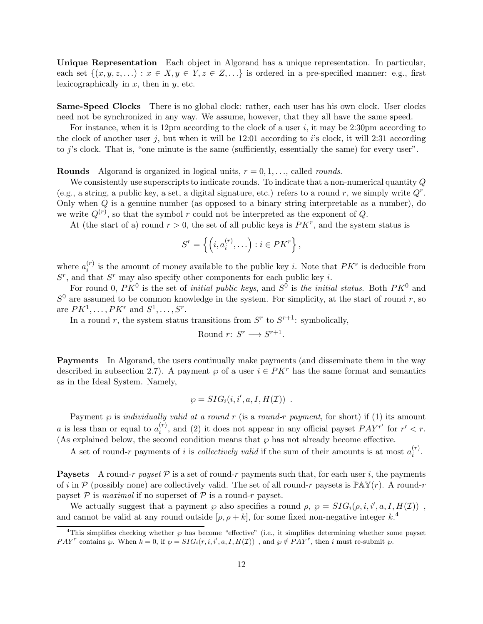Unique Representation Each object in Algorand has a unique representation. In particular, each set  $\{(x, y, z, \ldots) : x \in X, y \in Y, z \in Z, \ldots\}$  is ordered in a pre-specified manner: e.g., first lexicographically in  $x$ , then in  $y$ , etc.

Same-Speed Clocks There is no global clock: rather, each user has his own clock. User clocks need not be synchronized in any way. We assume, however, that they all have the same speed.

For instance, when it is 12pm according to the clock of a user i, it may be 2:30pm according to the clock of another user j, but when it will be  $12:01$  according to is clock, it will  $2:31$  according to j's clock. That is, "one minute is the same (sufficiently, essentially the same) for every user".

**Rounds** Algorand is organized in logical units,  $r = 0, 1, \ldots$ , called *rounds*.

We consistently use superscripts to indicate rounds. To indicate that a non-numerical quantity Q (e.g., a string, a public key, a set, a digital signature, etc.) refers to a round r, we simply write  $Q<sup>r</sup>$ . Only when  $Q$  is a genuine number (as opposed to a binary string interpretable as a number), do we write  $Q^{(r)}$ , so that the symbol r could not be interpreted as the exponent of Q.

At (the start of a) round  $r > 0$ , the set of all public keys is  $PK<sup>r</sup>$ , and the system status is

$$
S^r = \left\{ \left( i, a_i^{(r)}, \ldots \right) : i \in PK^r \right\},\
$$

where  $a_i^{(r)}$  $i^{(r)}$  is the amount of money available to the public key *i*. Note that  $PK^r$  is deducible from  $S<sup>r</sup>$ , and that  $S<sup>r</sup>$  may also specify other components for each public key *i*.

For round 0,  $PK^0$  is the set of *initial public keys*, and  $S^0$  is the *initial status*. Both  $PK^0$  and  $S^0$  are assumed to be common knowledge in the system. For simplicity, at the start of round r, so are  $PK^1, \ldots, PK^r$  and  $S^1, \ldots, S^r$ .

In a round r, the system status transitions from  $S<sup>r</sup>$  to  $S<sup>r+1</sup>$ : symbolically,

Round 
$$
r: S^r \longrightarrow S^{r+1}
$$
.

Payments In Algorand, the users continually make payments (and disseminate them in the way described in subsection [2.7\)](#page-14-0). A payment  $\wp$  of a user  $i \in PK^r$  has the same format and semantics as in the Ideal System. Namely,

$$
\wp = SIG_i(i, i', a, I, H(\mathcal{I})) .
$$

Payment  $\wp$  is *individually valid at a round r* (is a *round-r payment*, for short) if (1) its amount a is less than or equal to  $a_i^{(r)}$  $i^{(r)}$ , and (2) it does not appear in any official payset  $PAY^{r'}$  for  $r' < r$ . (As explained below, the second condition means that  $\wp$  has not already become effective.

A set of round-r payments of i is *collectively valid* if the sum of their amounts is at most  $a_i^{(r)}$  $\binom{r}{i}$ .

**Paysets** A round-r payset P is a set of round-r payments such that, for each user i, the payments of i in P (possibly none) are collectively valid. The set of all round-r paysets is  $\mathbb{PAY}(r)$ . A round-r payset  $P$  is maximal if no superset of  $P$  is a round-r payset.

We actually suggest that a payment  $\wp$  also specifies a round  $\rho$ ,  $\wp = SIG_i(\rho, i, i', a, I, H(\mathcal{I}))$ , and cannot be valid at any round outside  $[\rho, \rho + k]$ , for some fixed non-negative integer  $k$ <sup>[4](#page-11-0)</sup>

<span id="page-11-0"></span><sup>&</sup>lt;sup>4</sup>This simplifies checking whether  $\wp$  has become "effective" (i.e., it simplifies determining whether some payset PAY<sup>r</sup> contains  $\wp$ . When  $k = 0$ , if  $\wp = SIG_i(r, i, i', a, I, H(\mathcal{I}))$ , and  $\wp \notin PAY^r$ , then i must re-submit  $\wp$ .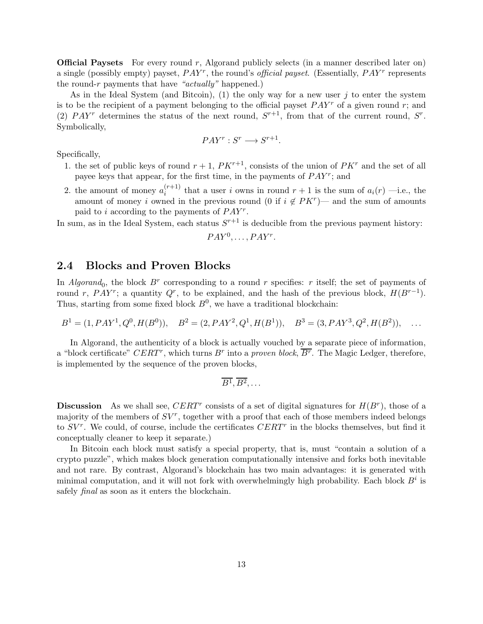**Official Paysets** For every round  $r$ , Algorand publicly selects (in a manner described later on) a single (possibly empty) payset,  $PAY^r$ , the round's *official payset*. (Essentially,  $PAY^r$  represents the round-r payments that have " $actually"$  happened.)

As in the Ideal System (and Bitcoin), (1) the only way for a new user  $j$  to enter the system is to be the recipient of a payment belonging to the official payset  $PAY^r$  of a given round r; and (2) PAY<sup>r</sup> determines the status of the next round,  $S^{r+1}$ , from that of the current round,  $S^r$ . Symbolically,

$$
PAY^r : S^r \longrightarrow S^{r+1}.
$$

Specifically,

- 1. the set of public keys of round  $r+1$ ,  $PK^{r+1}$ , consists of the union of  $PK^{r}$  and the set of all payee keys that appear, for the first time, in the payments of  $PAY^r$ ; and
- 2. the amount of money  $a_i^{(r+1)}$  $i^{(r+1)}$  that a user i owns in round  $r+1$  is the sum of  $a_i(r)$  —i.e., the amount of money i owned in the previous round (0 if  $i \notin PK^r$ )— and the sum of amounts paid to i according to the payments of  $PAY^r$ .

In sum, as in the Ideal System, each status  $S^{r+1}$  is deducible from the previous payment history:

$$
PAY^0, \ldots, PAY^r.
$$

#### 2.4 Blocks and Proven Blocks

In Algorand<sub>0</sub>, the block  $B^r$  corresponding to a round r specifies: r itself; the set of payments of round r, PAY<sup>r</sup>; a quantity  $Q^r$ , to be explained, and the hash of the previous block,  $H(B^{r-1})$ . Thus, starting from some fixed block  $B^0$ , we have a traditional blockchain:

$$
B1 = (1, PAY1, Q0, H(B0)), B2 = (2, PAY2, Q1, H(B1)), B3 = (3, PAY3, Q2, H(B2)), ...
$$

In Algorand, the authenticity of a block is actually vouched by a separate piece of information, a "block certificate"  $CERT^r$ , which turns  $B^r$  into a proven block,  $\overline{B^r}$ . The Magic Ledger, therefore, is implemented by the sequence of the proven blocks,

$$
\overline{B^1}, \overline{B^2}, \ldots
$$

**Discussion** As we shall see, CERT<sup>r</sup> consists of a set of digital signatures for  $H(B^r)$ , those of a majority of the members of  $SV^r$ , together with a proof that each of those members indeed belongs to  $SV^r$ . We could, of course, include the certificates  $CERT^r$  in the blocks themselves, but find it conceptually cleaner to keep it separate.)

In Bitcoin each block must satisfy a special property, that is, must "contain a solution of a crypto puzzle", which makes block generation computationally intensive and forks both inevitable and not rare. By contrast, Algorand's blockchain has two main advantages: it is generated with minimal computation, and it will not fork with overwhelmingly high probability. Each block  $B^i$  is safely *final* as soon as it enters the blockchain.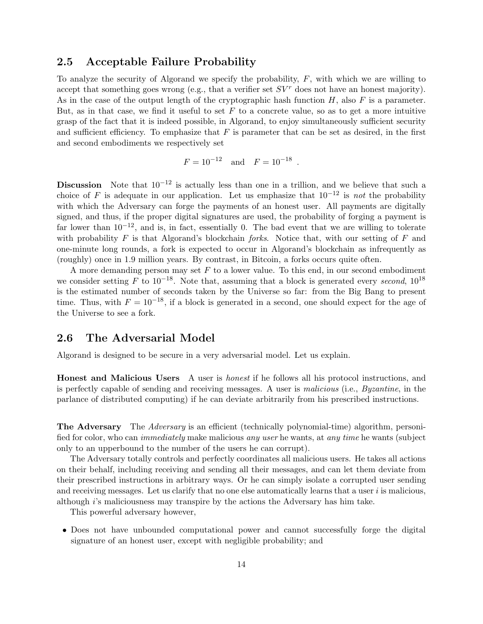#### 2.5 Acceptable Failure Probability

To analyze the security of Algorand we specify the probability,  $F$ , with which we are willing to accept that something goes wrong (e.g., that a verifier set  $SV^r$  does not have an honest majority). As in the case of the output length of the cryptographic hash function  $H$ , also  $F$  is a parameter. But, as in that case, we find it useful to set  $F$  to a concrete value, so as to get a more intuitive grasp of the fact that it is indeed possible, in Algorand, to enjoy simultaneously sufficient security and sufficient efficiency. To emphasize that  $F$  is parameter that can be set as desired, in the first and second embodiments we respectively set

$$
F = 10^{-12}
$$
 and  $F = 10^{-18}$ 

.

Discussion Note that  $10^{-12}$  is actually less than one in a trillion, and we believe that such a choice of F is adequate in our application. Let us emphasize that  $10^{-12}$  is *not* the probability with which the Adversary can forge the payments of an honest user. All payments are digitally signed, and thus, if the proper digital signatures are used, the probability of forging a payment is far lower than  $10^{-12}$ , and is, in fact, essentially 0. The bad event that we are willing to tolerate with probability  $F$  is that Algorand's blockchain *forks*. Notice that, with our setting of  $F$  and one-minute long rounds, a fork is expected to occur in Algorand's blockchain as infrequently as (roughly) once in 1.9 million years. By contrast, in Bitcoin, a forks occurs quite often.

A more demanding person may set  $F$  to a lower value. To this end, in our second embodiment we consider setting F to  $10^{-18}$ . Note that, assuming that a block is generated every second,  $10^{18}$ is the estimated number of seconds taken by the Universe so far: from the Big Bang to present time. Thus, with  $F = 10^{-18}$ , if a block is generated in a second, one should expect for the age of the Universe to see a fork.

#### 2.6 The Adversarial Model

Algorand is designed to be secure in a very adversarial model. Let us explain.

Honest and Malicious Users A user is honest if he follows all his protocol instructions, and is perfectly capable of sending and receiving messages. A user is malicious (i.e., Byzantine, in the parlance of distributed computing) if he can deviate arbitrarily from his prescribed instructions.

**The Adversary** The Adversary is an efficient (technically polynomial-time) algorithm, personified for color, who can immediately make malicious any user he wants, at any time he wants (subject only to an upperbound to the number of the users he can corrupt).

The Adversary totally controls and perfectly coordinates all malicious users. He takes all actions on their behalf, including receiving and sending all their messages, and can let them deviate from their prescribed instructions in arbitrary ways. Or he can simply isolate a corrupted user sending and receiving messages. Let us clarify that no one else automatically learns that a user  $i$  is malicious, although  $i$ 's maliciousness may transpire by the actions the Adversary has him take.

This powerful adversary however,

• Does not have unbounded computational power and cannot successfully forge the digital signature of an honest user, except with negligible probability; and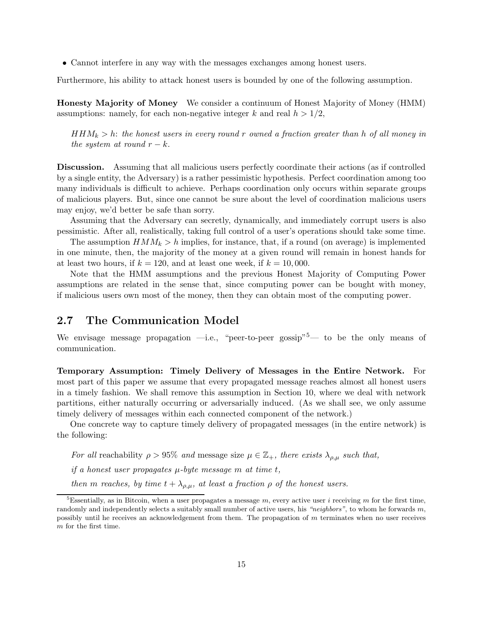• Cannot interfere in any way with the messages exchanges among honest users.

Furthermore, his ability to attack honest users is bounded by one of the following assumption.

Honesty Majority of Money We consider a continuum of Honest Majority of Money (HMM) assumptions: namely, for each non-negative integer k and real  $h > 1/2$ ,

 $HHM_k > h$ : the honest users in every round r owned a fraction greater than h of all money in the system at round  $r - k$ .

Discussion. Assuming that all malicious users perfectly coordinate their actions (as if controlled by a single entity, the Adversary) is a rather pessimistic hypothesis. Perfect coordination among too many individuals is difficult to achieve. Perhaps coordination only occurs within separate groups of malicious players. But, since one cannot be sure about the level of coordination malicious users may enjoy, we'd better be safe than sorry.

Assuming that the Adversary can secretly, dynamically, and immediately corrupt users is also pessimistic. After all, realistically, taking full control of a user's operations should take some time.

The assumption  $HMM_k > h$  implies, for instance, that, if a round (on average) is implemented in one minute, then, the majority of the money at a given round will remain in honest hands for at least two hours, if  $k = 120$ , and at least one week, if  $k = 10,000$ .

Note that the HMM assumptions and the previous Honest Majority of Computing Power assumptions are related in the sense that, since computing power can be bought with money, if malicious users own most of the money, then they can obtain most of the computing power.

#### <span id="page-14-0"></span>2.7 The Communication Model

We envisage message propagation —i.e., "peer-to-peer gossip"<sup>[5](#page-14-1)</sup>— to be the only means of communication.

Temporary Assumption: Timely Delivery of Messages in the Entire Network. For most part of this paper we assume that every propagated message reaches almost all honest users in a timely fashion. We shall remove this assumption in Section [10,](#page-69-0) where we deal with network partitions, either naturally occurring or adversarially induced. (As we shall see, we only assume timely delivery of messages within each connected component of the network.)

One concrete way to capture timely delivery of propagated messages (in the entire network) is the following:

For all reachability  $\rho > 95\%$  and message size  $\mu \in \mathbb{Z}_+$ , there exists  $\lambda_{o,\mu}$  such that,

if a honest user propagates  $\mu$ -byte message m at time t,

then m reaches, by time  $t + \lambda_{\rho,\mu}$ , at least a fraction  $\rho$  of the honest users.

<span id="page-14-1"></span><sup>&</sup>lt;sup>5</sup>Essentially, as in Bitcoin, when a user propagates a message m, every active user i receiving m for the first time, randomly and independently selects a suitably small number of active users, his "neighbors", to whom he forwards m, possibly until he receives an acknowledgement from them. The propagation of m terminates when no user receives m for the first time.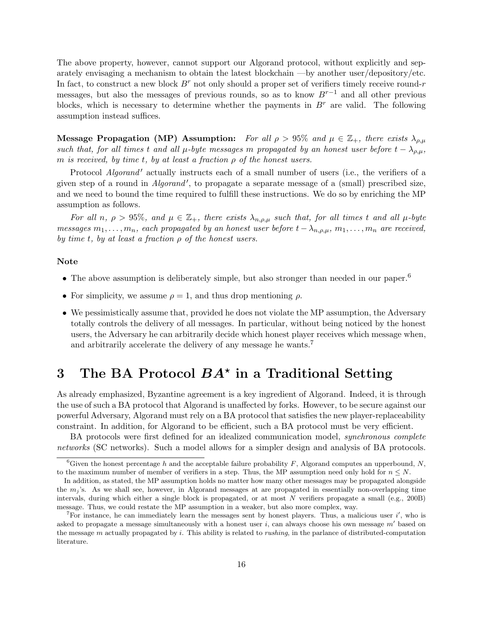The above property, however, cannot support our Algorand protocol, without explicitly and separately envisaging a mechanism to obtain the latest blockchain —by another user/depository/etc. In fact, to construct a new block  $B^r$  not only should a proper set of verifiers timely receive round-r messages, but also the messages of previous rounds, so as to know  $B^{r-1}$  and all other previous blocks, which is necessary to determine whether the payments in  $B^r$  are valid. The following assumption instead suffices.

Message Propagation (MP) Assumption: For all  $\rho > 95\%$  and  $\mu \in \mathbb{Z}_+$ , there exists  $\lambda_{\rho,\mu}$ such that, for all times t and all  $\mu$ -byte messages m propagated by an honest user before  $t - \lambda_{\rho,\mu}$ , m is received, by time t, by at least a fraction  $\rho$  of the honest users.

Protocol *Algorand'* actually instructs each of a small number of users (i.e., the verifiers of a given step of a round in *Algorand'*, to propagate a separate message of a (small) prescribed size, and we need to bound the time required to fulfill these instructions. We do so by enriching the MP assumption as follows.

For all n,  $\rho > 95\%$ , and  $\mu \in \mathbb{Z}_+$ , there exists  $\lambda_{n,\rho,\mu}$  such that, for all times t and all  $\mu$ -byte messages  $m_1, \ldots, m_n$ , each propagated by an honest user before  $t - \lambda_{n,\rho,\mu}, m_1, \ldots, m_n$  are received, by time t, by at least a fraction  $\rho$  of the honest users.

#### Note

- The above assumption is deliberately simple, but also stronger than needed in our paper.<sup>[6](#page-15-0)</sup>
- For simplicity, we assume  $\rho = 1$ , and thus drop mentioning  $\rho$ .
- We pessimistically assume that, provided he does not violate the MP assumption, the Adversary totally controls the delivery of all messages. In particular, without being noticed by the honest users, the Adversary he can arbitrarily decide which honest player receives which message when, and arbitrarily accelerate the delivery of any message he wants.<sup>[7](#page-15-1)</sup>

# 3 The BA Protocol  $BA^*$  in a Traditional Setting

As already emphasized, Byzantine agreement is a key ingredient of Algorand. Indeed, it is through the use of such a BA protocol that Algorand is unaffected by forks. However, to be secure against our powerful Adversary, Algorand must rely on a BA protocol that satisfies the new player-replaceability constraint. In addition, for Algorand to be efficient, such a BA protocol must be very efficient.

BA protocols were first defined for an idealized communication model, *synchronous complete* networks (SC networks). Such a model allows for a simpler design and analysis of BA protocols.

<span id="page-15-0"></span><sup>&</sup>lt;sup>6</sup>Given the honest percentage h and the acceptable failure probability F, Algorand computes an upperbound, N, to the maximum number of member of verifiers in a step. Thus, the MP assumption need only hold for  $n \leq N$ .

In addition, as stated, the MP assumption holds no matter how many other messages may be propagated alongside the  $m_j$ 's. As we shall see, however, in Algorand messages at are propagated in essentially non-overlapping time intervals, during which either a single block is propagated, or at most N verifiers propagate a small (e.g., 200B) message. Thus, we could restate the MP assumption in a weaker, but also more complex, way.

<span id="page-15-1"></span><sup>&</sup>lt;sup>7</sup>For instance, he can immediately learn the messages sent by honest players. Thus, a malicious user i', who is asked to propagate a message simultaneously with a honest user i, can always choose his own message  $m'$  based on the message  $m$  actually propagated by  $i$ . This ability is related to *rushing*, in the parlance of distributed-computation literature.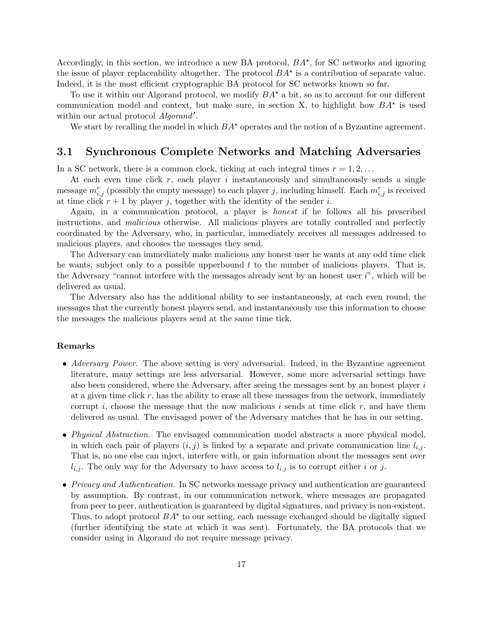Accordingly, in this section, we introduce a new BA protocol,  $BA^*$ , for SC networks and ignoring the issue of player replaceability altogether. The protocol  $BA^*$  is a contribution of separate value. Indeed, it is the most efficient cryptographic BA protocol for SC networks known so far.

To use it within our Algorand protocol, we modify  $BA^*$  a bit, so as to account for our different communication model and context, but make sure, in section X, to highlight how  $BA^*$  is used within our actual protocol Algorand'.

We start by recalling the model in which  $BA^*$  operates and the notion of a Byzantine agreement.

#### 3.1 Synchronous Complete Networks and Matching Adversaries

In a SC network, there is a common clock, ticking at each integral times  $r = 1, 2, \ldots$ 

At each even time click  $r$ , each player i instantaneously and simultaneously sends a single message  $m_{i,j}^r$  (possibly the empty message) to each player j, including himself. Each  $m_{i,j}^r$  is received at time click  $r + 1$  by player j, together with the identity of the sender i.

Again, in a communication protocol, a player is honest if he follows all his prescribed instructions, and malicious otherwise. All malicious players are totally controlled and perfectly coordinated by the Adversary, who, in particular, immediately receives all messages addressed to malicious players, and chooses the messages they send.

The Adversary can immediately make malicious any honest user he wants at any odd time click he wants, subject only to a possible upperbound  $t$  to the number of malicious players. That is, the Adversary "cannot interfere with the messages already sent by an honest user  $i$ ", which will be delivered as usual.

The Adversary also has the additional ability to see instantaneously, at each even round, the messages that the currently honest players send, and instantaneously use this information to choose the messages the malicious players send at the same time tick.

#### Remarks

- Adversary Power. The above setting is very adversarial. Indeed, in the Byzantine agreement literature, many settings are less adversarial. However, some more adversarial settings have also been considered, where the Adversary, after seeing the messages sent by an honest player  $i$ at a given time click  $r$ , has the ability to erase all these messages from the network, immediately corrupt i, choose the message that the now malicious i sends at time click  $r$ , and have them delivered as usual. The envisaged power of the Adversary matches that he has in our setting.
- *Physical Abstraction*. The envisaged communication model abstracts a more physical model, in which each pair of players  $(i, j)$  is linked by a separate and private communication line  $l_{i,j}$ . That is, no one else can inject, interfere with, or gain information about the messages sent over  $l_{i,j}$ . The only way for the Adversary to have access to  $l_{i,j}$  is to corrupt either i or j.
- Privacy and Authentication. In SC networks message privacy and authentication are guaranteed by assumption. By contrast, in our communication network, where messages are propagated from peer to peer, authentication is guaranteed by digital signatures, and privacy is non-existent. Thus, to adopt protocol  $BA^*$  to our setting, each message exchanged should be digitally signed (further identifying the state at which it was sent). Fortunately, the BA protocols that we consider using in Algorand do not require message privacy.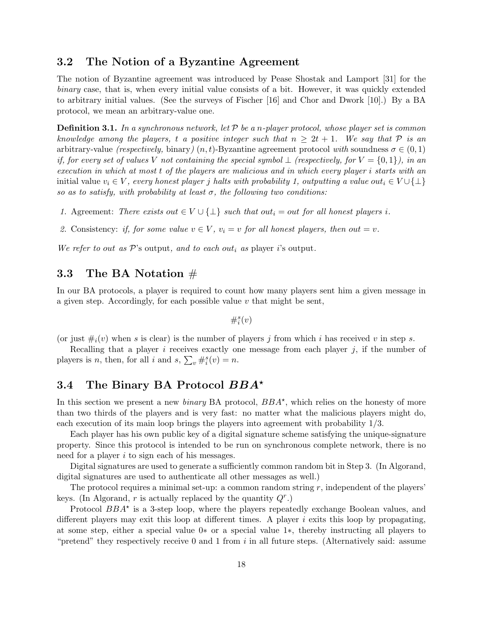#### <span id="page-17-0"></span>3.2 The Notion of a Byzantine Agreement

The notion of Byzantine agreement was introduced by Pease Shostak and Lamport [\[31\]](#page-73-4) for the binary case, that is, when every initial value consists of a bit. However, it was quickly extended to arbitrary initial values. (See the surveys of Fischer [\[16\]](#page-73-9) and Chor and Dwork [\[10\]](#page-72-8).) By a BA protocol, we mean an arbitrary-value one.

**Definition 3.1.** In a synchronous network, let  $\mathcal{P}$  be a n-player protocol, whose player set is common knowledge among the players, t a positive integer such that  $n \geq 2t + 1$ . We say that P is an arbitrary-value (respectively, binary)  $(n, t)$ -Byzantine agreement protocol with soundness  $\sigma \in (0, 1)$ if, for every set of values V not containing the special symbol  $\perp$  (respectively, for  $V = \{0,1\}$ ), in an execution in which at most t of the players are malicious and in which every player i starts with an initial value  $v_i \in V$ , every honest player j halts with probability 1, outputting a value out<sub>i</sub>  $\in V \cup \{\perp\}$ so as to satisfy, with probability at least  $\sigma$ , the following two conditions:

- 1. Agreement: There exists out  $\in V \cup \{\perp\}$  such that out<sub>i</sub> = out for all honest players i.
- 2. Consistency: if, for some value  $v \in V$ ,  $v_i = v$  for all honest players, then out = v.

We refer to out as  $\mathcal{P}$ 's output, and to each out<sub>i</sub> as player i's output.

### 3.3 The BA Notation #

In our BA protocols, a player is required to count how many players sent him a given message in a given step. Accordingly, for each possible value  $v$  that might be sent,

$$
\#_i^s(v)
$$

(or just  $\#_i(v)$  when s is clear) is the number of players j from which i has received v in step s.

Recalling that a player  $i$  receives exactly one message from each player  $j$ , if the number of players is *n*, then, for all *i* and  $s$ ,  $\sum_{v} #_i^s(v) = n$ .

#### 3.4 The Binary BA Protocol  $BBA^*$

In this section we present a new *binary* BA protocol,  $BBA^*$ , which relies on the honesty of more than two thirds of the players and is very fast: no matter what the malicious players might do, each execution of its main loop brings the players into agreement with probability 1/3.

Each player has his own public key of a digital signature scheme satisfying the unique-signature property. Since this protocol is intended to be run on synchronous complete network, there is no need for a player i to sign each of his messages.

Digital signatures are used to generate a sufficiently common random bit in Step 3. (In Algorand, digital signatures are used to authenticate all other messages as well.)

The protocol requires a minimal set-up: a common random string  $r$ , independent of the players' keys. (In Algorand,  $r$  is actually replaced by the quantity  $Q^r$ .)

Protocol  $BBA^*$  is a 3-step loop, where the players repeatedly exchange Boolean values, and different players may exit this loop at different times. A player  $i$  exits this loop by propagating, at some step, either a special value 0∗ or a special value 1∗, thereby instructing all players to "pretend" they respectively receive 0 and 1 from  $i$  in all future steps. (Alternatively said: assume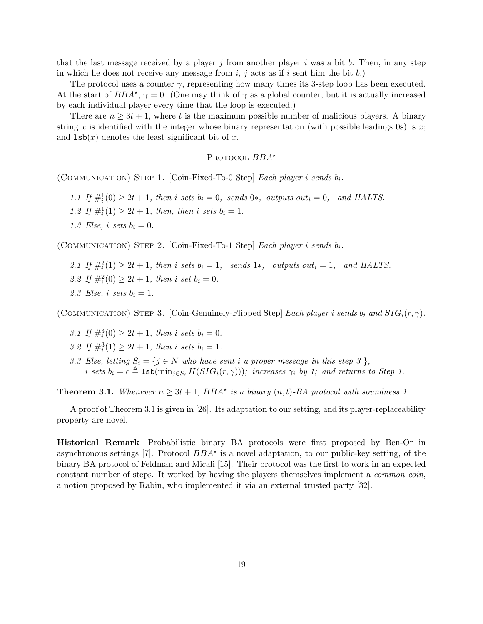that the last message received by a player j from another player i was a bit b. Then, in any step in which he does not receive any message from  $i, j$  acts as if  $i$  sent him the bit  $b$ .)

The protocol uses a counter  $\gamma$ , representing how many times its 3-step loop has been executed. At the start of  $BBA^*, \gamma = 0$ . (One may think of  $\gamma$  as a global counter, but it is actually increased by each individual player every time that the loop is executed.)

There are  $n \geq 3t + 1$ , where t is the maximum possible number of malicious players. A binary string x is identified with the integer whose binary representation (with possible leadings 0s) is x; and  $\text{lsb}(x)$  denotes the least significant bit of x.

#### PROTOCOL  $BBA^*$

(COMMUNICATION) STEP 1. [Coin-Fixed-To-0 Step] Each player i sends  $b_i$ .

1.1 If  $\#_i^1(0) \geq 2t + 1$ , then i sets  $b_i = 0$ , sends 0\*, outputs out<sub>i</sub> = 0, and HALTS. 1.2 If  $\#_i^1(1) \geq 2t + 1$ , then, then i sets  $b_i = 1$ . 1.3 Else, i sets  $b_i = 0$ .

(COMMUNICATION) STEP 2. [Coin-Fixed-To-1 Step] Each player i sends  $b_i$ .

2.1 If  $\#_i^2(1) \geq 2t + 1$ , then i sets  $b_i = 1$ , sends  $1*,$  outputs out<sub>i</sub> = 1, and HALTS. 2.2 If  $\#\nvert^2(0) \geq 2t + 1$ , then i set  $b_i = 0$ . 2.3 Else, i sets  $b_i = 1$ .

(COMMUNICATION) STEP 3. [Coin-Genuinely-Flipped Step] Each player i sends  $b_i$  and  $SIG_i(r, \gamma)$ .

- 3.1 If  $\#\t_i^3(0) \geq 2t + 1$ , then i sets  $b_i = 0$ .
- 3.2 If  $\#\n<sub>i</sub><sup>3</sup>(1) \geq 2t + 1$ , then i sets  $b_i = 1$ .
- 3.3 Else, letting  $S_i = \{j \in N \text{ who have sent } i \text{ a proper message in this step } 3 \},$ i sets  $b_i = c \triangleq \texttt{lsb}(\min_{j \in S_i} H(SIG_i(r, \gamma)))$ ; increases  $\gamma_i$  by 1; and returns to Step 1.

<span id="page-18-0"></span>**Theorem 3.1.** Whenever  $n \geq 3t + 1$ ,  $BBA^*$  is a binary  $(n, t)$ -BA protocol with soundness 1.

A proof of Theorem [3.1](#page-18-0) is given in [\[26\]](#page-73-10). Its adaptation to our setting, and its player-replaceability property are novel.

Historical Remark Probabilistic binary BA protocols were first proposed by Ben-Or in asynchronous settings [\[7\]](#page-72-9). Protocol  $BBA^*$  is a novel adaptation, to our public-key setting, of the binary BA protocol of Feldman and Micali [\[15\]](#page-73-11). Their protocol was the first to work in an expected constant number of steps. It worked by having the players themselves implement a common coin, a notion proposed by Rabin, who implemented it via an external trusted party [\[32\]](#page-73-12).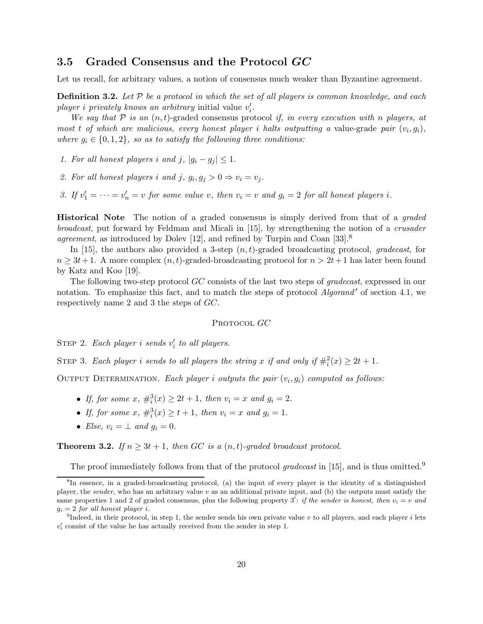#### 3.5 Graded Consensus and the Protocol GC

Let us recall, for arbitrary values, a notion of consensus much weaker than Byzantine agreement.

**Definition 3.2.** Let  $P$  be a protocol in which the set of all players is common knowledge, and each player i privately knows an arbitrary initial value  $v_i'$ .

We say that  $P$  is an  $(n, t)$ -graded consensus protocol if, in every execution with n players, at most t of which are malicious, every honest player i halts outputting a value-grade pair  $(v_i, g_i)$ , where  $g_i \in \{0, 1, 2\}$ , so as to satisfy the following three conditions:

1. For all honest players i and j,  $|g_i - g_j| \leq 1$ .

- 2. For all honest players i and j,  $g_i, g_j > 0 \Rightarrow v_i = v_j$ .
- 3. If  $v'_1 = \cdots = v'_n = v$  for some value v, then  $v_i = v$  and  $g_i = 2$  for all honest players i.

**Historical Note** The notion of a graded consensus is simply derived from that of a *graded* broadcast, put forward by Feldman and Micali in [\[15\]](#page-73-11), by strengthening the notion of a crusader agreement, as introduced by Dolev [\[12\]](#page-72-10), and refined by Turpin and Coan  $[33]$ .<sup>[8](#page-19-0)</sup>

In [\[15\]](#page-73-11), the authors also provided a 3-step  $(n, t)$ -graded broadcasting protocol, gradecast, for  $n \geq 3t+1$ . A more complex  $(n, t)$ -graded-broadcasting protocol for  $n > 2t+1$  has later been found by Katz and Koo [\[19\]](#page-73-13).

The following two-step protocol GC consists of the last two steps of gradecast, expressed in our notation. To emphasize this fact, and to match the steps of protocol *Algorand'* of section [4.1,](#page-21-0) we respectively name 2 and 3 the steps of GC.

#### PROTOCOL GC

STEP 2. Each player i sends  $v_i'$  to all players.

STEP 3. Each player i sends to all players the string x if and only if  $\#_i^2(x) \geq 2t + 1$ .

OUTPUT DETERMINATION. Each player i outputs the pair  $(v_i, g_i)$  computed as follows:

- If, for some  $x, \#_i^3(x) \ge 2t + 1$ , then  $v_i = x$  and  $g_i = 2$ .
- If, for some  $x$ ,  $\#_i^3(x) \ge t+1$ , then  $v_i = x$  and  $g_i = 1$ .
- Else,  $v_i = \perp$  and  $q_i = 0$ .

**Theorem 3.2.** If  $n \geq 3t + 1$ , then GC is a  $(n, t)$ -graded broadcast protocol.

The proof immediately follows from that of the protocol gradecast in [\[15\]](#page-73-11), and is thus omitted.<sup>[9](#page-19-1)</sup>

<span id="page-19-0"></span><sup>8</sup> In essence, in a graded-broadcasting protocol, (a) the input of every player is the identity of a distinguished player, the sender, who has an arbitrary value  $v$  as an additional private input, and (b) the outputs must satisfy the same properties 1 and 2 of graded consensus, plus the following property 3': if the sender is honest, then  $v_i = v$  and  $g_i = 2$  for all honest player i.

<span id="page-19-1"></span><sup>&</sup>lt;sup>9</sup>Indeed, in their protocol, in step 1, the sender sends his own private value v to all players, and each player i lets  $v'_i$  consist of the value he has actually received from the sender in step 1.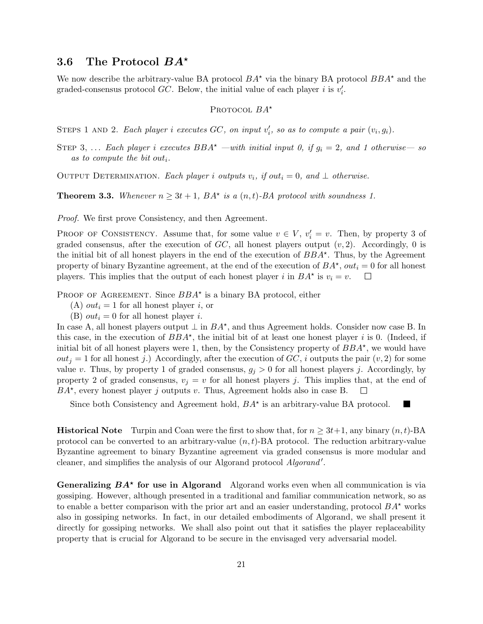#### 3.6 The Protocol  $BA^*$

We now describe the arbitrary-value BA protocol  $BA^*$  via the binary BA protocol  $BBA^*$  and the graded-consensus protocol  $GC$ . Below, the initial value of each player i is  $v_i'$ .

#### PROTOCOL  $BA^*$

STEPS 1 AND 2. Each player i executes  $GC$ , on input  $v_i'$ , so as to compute a pair  $(v_i, g_i)$ .

STEP 3, ... Each player i executes  $BBA^*$  —with initial input 0, if  $g_i = 2$ , and 1 otherwise— so as to compute the bit out<sub>i</sub>.

OUTPUT DETERMINATION. Each player i outputs  $v_i$ , if out<sub>i</sub> = 0, and  $\perp$  otherwise.

**Theorem 3.3.** Whenever  $n \geq 3t + 1$ ,  $BA^*$  is a  $(n, t)$ -BA protocol with soundness 1.

Proof. We first prove Consistency, and then Agreement.

PROOF OF CONSISTENCY. Assume that, for some value  $v \in V$ ,  $v'_{i} = v$ . Then, by property 3 of graded consensus, after the execution of  $GC$ , all honest players output  $(v, 2)$ . Accordingly, 0 is the initial bit of all honest players in the end of the execution of  $BBA^*$ . Thus, by the Agreement property of binary Byzantine agreement, at the end of the execution of  $BA^{\star}$ ,  $out_i = 0$  for all honest players. This implies that the output of each honest player i in  $BA^*$  is  $v_i = v$ .

PROOF OF AGREEMENT. Since  $BBA^*$  is a binary BA protocol, either

- (A)  $out_i = 1$  for all honest player i, or
- (B)  $out_i = 0$  for all honest player *i*.

In case A, all honest players output  $\perp$  in  $BA^*$ , and thus Agreement holds. Consider now case B. In this case, in the execution of  $BBA^*$ , the initial bit of at least one honest player i is 0. (Indeed, if initial bit of all honest players were 1, then, by the Consistency property of  $BBA^*$ , we would have  $out_j = 1$  for all honest j.) Accordingly, after the execution of  $GC$ , i outputs the pair  $(v, 2)$  for some value v. Thus, by property 1 of graded consensus,  $g_j > 0$  for all honest players j. Accordingly, by property 2 of graded consensus,  $v_j = v$  for all honest players j. This implies that, at the end of  $BA^*$ , every honest player j outputs v. Thus, Agreement holds also in case B.  $\Box$ 

Since both Consistency and Agreement hold,  $BA^*$  is an arbitrary-value BA protocol.

**Historical Note** Turpin and Coan were the first to show that, for  $n \geq 3t+1$ , any binary  $(n, t)$ -BA protocol can be converted to an arbitrary-value  $(n, t)$ -BA protocol. The reduction arbitrary-value Byzantine agreement to binary Byzantine agreement via graded consensus is more modular and cleaner, and simplifies the analysis of our Algorand protocol Algorand'.

Generalizing  $BA^*$  for use in Algorand Algorand works even when all communication is via gossiping. However, although presented in a traditional and familiar communication network, so as to enable a better comparison with the prior art and an easier understanding, protocol  $BA^*$  works also in gossiping networks. In fact, in our detailed embodiments of Algorand, we shall present it directly for gossiping networks. We shall also point out that it satisfies the player replaceability property that is crucial for Algorand to be secure in the envisaged very adversarial model.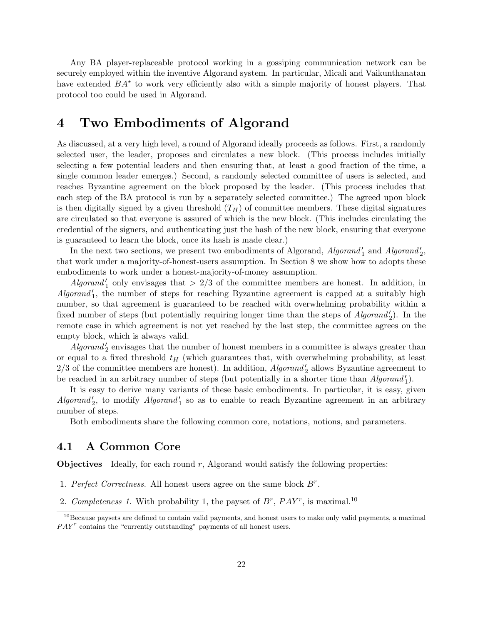Any BA player-replaceable protocol working in a gossiping communication network can be securely employed within the inventive Algorand system. In particular, Micali and Vaikunthanatan have extended  $BA^*$  to work very efficiently also with a simple majority of honest players. That protocol too could be used in Algorand.

## 4 Two Embodiments of Algorand

As discussed, at a very high level, a round of Algorand ideally proceeds as follows. First, a randomly selected user, the leader, proposes and circulates a new block. (This process includes initially selecting a few potential leaders and then ensuring that, at least a good fraction of the time, a single common leader emerges.) Second, a randomly selected committee of users is selected, and reaches Byzantine agreement on the block proposed by the leader. (This process includes that each step of the BA protocol is run by a separately selected committee.) The agreed upon block is then digitally signed by a given threshold  $(T_H)$  of committee members. These digital signatures are circulated so that everyone is assured of which is the new block. (This includes circulating the credential of the signers, and authenticating just the hash of the new block, ensuring that everyone is guaranteed to learn the block, once its hash is made clear.)

In the next two sections, we present two embodiments of Algorand,  $Algorithm_{1}^{\prime}$  and  $Algorithm_{2}^{\prime}$ , that work under a majority-of-honest-users assumption. In Section [8](#page-67-0) we show how to adopts these embodiments to work under a honest-majority-of-money assumption.

 $Algorithm''_1$  only envisages that  $> 2/3$  of the committee members are honest. In addition, in  $Algorithm<sub>1</sub>$ , the number of steps for reaching Byzantine agreement is capped at a suitably high number, so that agreement is guaranteed to be reached with overwhelming probability within a fixed number of steps (but potentially requiring longer time than the steps of  $Algorithm'$ ). In the remote case in which agreement is not yet reached by the last step, the committee agrees on the empty block, which is always valid.

 $Algorithm<sup>1</sup>$  envisages that the number of honest members in a committee is always greater than or equal to a fixed threshold  $t_H$  (which guarantees that, with overwhelming probability, at least  $2/3$  of the committee members are honest). In addition,  $Algorithm_{2}$  allows Byzantine agreement to be reached in an arbitrary number of steps (but potentially in a shorter time than  $Algorithm$ <sup>'</sup>).

It is easy to derive many variants of these basic embodiments. In particular, it is easy, given  $Algorithm_{2}$ , to modify  $Algorithm_{1}$  so as to enable to reach Byzantine agreement in an arbitrary number of steps.

Both embodiments share the following common core, notations, notions, and parameters.

#### <span id="page-21-0"></span>4.1 A Common Core

**Objectives** Ideally, for each round  $r$ , Algorand would satisfy the following properties:

- 1. Perfect Correctness. All honest users agree on the same block  $B^r$ .
- 2. Completeness 1. With probability 1, the payset of  $B^r$ ,  $PAY^r$ , is maximal.<sup>[10](#page-21-1)</sup>

<span id="page-21-1"></span><sup>&</sup>lt;sup>10</sup>Because paysets are defined to contain valid payments, and honest users to make only valid payments, a maximal  $PAY<sup>r</sup>$  contains the "currently outstanding" payments of all honest users.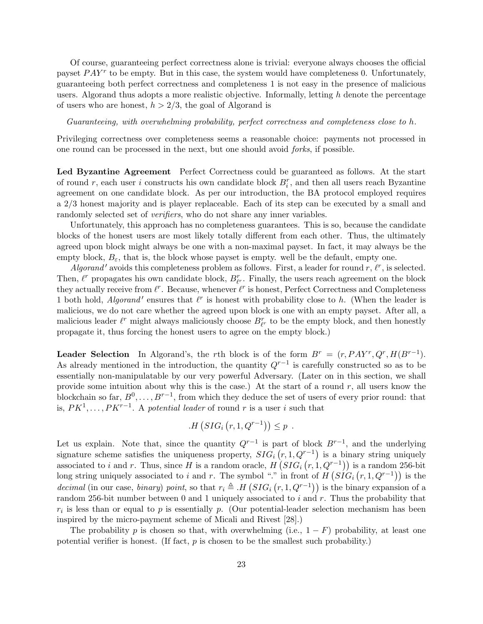Of course, guaranteeing perfect correctness alone is trivial: everyone always chooses the official payset  $PAY^r$  to be empty. But in this case, the system would have completeness 0. Unfortunately, guaranteeing both perfect correctness and completeness 1 is not easy in the presence of malicious users. Algorand thus adopts a more realistic objective. Informally, letting  $h$  denote the percentage of users who are honest,  $h > 2/3$ , the goal of Algorand is

Guaranteeing, with overwhelming probability, perfect correctness and completeness close to h.

Privileging correctness over completeness seems a reasonable choice: payments not processed in one round can be processed in the next, but one should avoid forks, if possible.

Led Byzantine Agreement Perfect Correctness could be guaranteed as follows. At the start of round r, each user i constructs his own candidate block  $B_i^r$ , and then all users reach Byzantine agreement on one candidate block. As per our introduction, the BA protocol employed requires a 2/3 honest majority and is player replaceable. Each of its step can be executed by a small and randomly selected set of *verifiers*, who do not share any inner variables.

Unfortunately, this approach has no completeness guarantees. This is so, because the candidate blocks of the honest users are most likely totally different from each other. Thus, the ultimately agreed upon block might always be one with a non-maximal payset. In fact, it may always be the empty block,  $B_{\varepsilon}$ , that is, the block whose payset is empty. well be the default, empty one.

Algorand' avoids this completeness problem as follows. First, a leader for round  $r$ ,  $\ell^r$ , is selected. Then,  $\ell^r$  propagates his own candidate block,  $B_{\ell^r}^r$ . Finally, the users reach agreement on the block they actually receive from  $\ell^r$ . Because, whenever  $\ell^r$  is honest, Perfect Correctness and Completeness 1 both hold, *Algorand'* ensures that  $l^r$  is honest with probability close to h. (When the leader is malicious, we do not care whether the agreed upon block is one with an empty payset. After all, a malicious leader  $\ell^r$  might always maliciously choose  $B^r_{\ell^r}$  to be the empty block, and then honestly propagate it, thus forcing the honest users to agree on the empty block.)

**Leader Selection** In Algorand's, the rth block is of the form  $B^r = (r, PAY^r, Q^r, H(B^{r-1}).$ As already mentioned in the introduction, the quantity  $Q^{r-1}$  is carefully constructed so as to be essentially non-manipulatable by our very powerful Adversary. (Later on in this section, we shall provide some intuition about why this is the case.) At the start of a round  $r$ , all users know the blockchain so far,  $B^0, \ldots, B^{r-1}$ , from which they deduce the set of users of every prior round: that is,  $PK^1, \ldots, PK^{r-1}$ . A potential leader of round r is a user i such that

$$
H(SIG_i(r, 1, Q^{r-1})) \leq p.
$$

Let us explain. Note that, since the quantity  $Q^{r-1}$  is part of block  $B^{r-1}$ , and the underlying signature scheme satisfies the uniqueness property,  $SIG_i(r, 1, Q^{r-1})$  is a binary string uniquely associated to i and r. Thus, since H is a random oracle,  $H(SIG_i(r, 1, Q^{r-1}))$  is a random 256-bit long string uniquely associated to i and r. The symbol "." in front of  $H(SIG_i(r, 1, Q^{r-1}))$  is the *decimal* (in our case, *binary*) point, so that  $r_i \triangleq H(SIG_i(r, 1, Q^{r-1}))$  is the binary expansion of a random 256-bit number between 0 and 1 uniquely associated to  $i$  and  $r$ . Thus the probability that  $r_i$  is less than or equal to p is essentially p. (Our potential-leader selection mechanism has been inspired by the micro-payment scheme of Micali and Rivest [\[28\]](#page-73-14).)

The probability p is chosen so that, with overwhelming (i.e.,  $1-F$ ) probability, at least one potential verifier is honest. (If fact,  $p$  is chosen to be the smallest such probability.)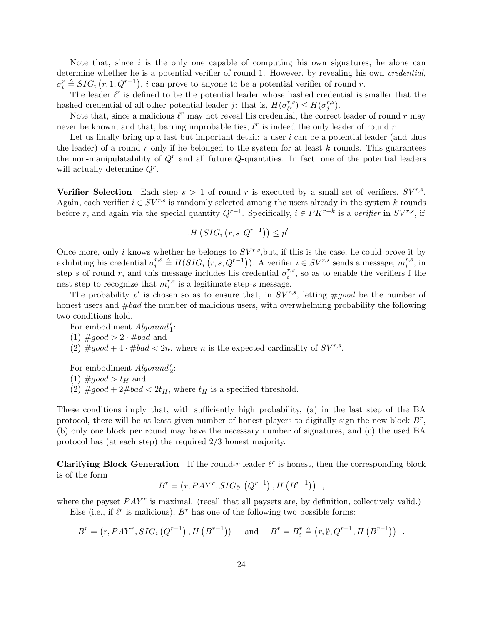Note that, since  $i$  is the only one capable of computing his own signatures, he alone can determine whether he is a potential verifier of round 1. However, by revealing his own *credential*,  $\sigma_i^r \triangleq SIG_i(r, 1, Q^{r-1}), i$  can prove to anyone to be a potential verifier of round r.

The leader  $\ell^r$  is defined to be the potential leader whose hashed credential is smaller that the hashed credential of all other potential leader j: that is,  $H(\sigma_{rr}^{r,s})$  $\binom{r,s}{\ell^r} \leq H(\sigma^{r,s}_j)$  $_j^{r,s}).$ 

Note that, since a malicious  $\ell^r$  may not reveal his credential, the correct leader of round r may never be known, and that, barring improbable ties,  $\ell^r$  is indeed the only leader of round r.

Let us finally bring up a last but important detail: a user  $i$  can be a potential leader (and thus the leader) of a round r only if he belonged to the system for at least  $k$  rounds. This guarantees the non-manipulatability of  $Q<sup>r</sup>$  and all future  $Q$ -quantities. In fact, one of the potential leaders will actually determine  $Q^r$ .

Verifier Selection Each step  $s > 1$  of round r is executed by a small set of verifiers,  $SV^{r,s}$ . Again, each verifier  $i \in SV^{r,s}$  is randomly selected among the users already in the system k rounds before r, and again via the special quantity  $Q^{r-1}$ . Specifically,  $i \in PK^{r-k}$  is a verifier in  $SV^{r,s}$ , if

$$
H(SIG_i(r, s, Q^{r-1})) \le p' .
$$

Once more, only i knows whether he belongs to  $SV^{r,s}$ , but, if this is the case, he could prove it by exhibiting his credential  $\sigma_i^{r,s} \triangleq H(SIG_i(r, s, Q^{r-1}))$ . A verifier  $i \in SV^{r,s}$  sends a message,  $m_i^{r,s}$  $i^{r,s}$ , in step s of round r, and this message includes his credential  $\sigma_i^{r,s}$  $i^{r,s}$ , so as to enable the verifiers f the nest step to recognize that  $m_i^{r,s}$  $i_i^{r,s}$  is a legitimate step-s message.

The probability p' is chosen so as to ensure that, in  $SV^{r,s}$ , letting #good be the number of honest users and  $\#bad$  the number of malicious users, with overwhelming probability the following two conditions hold.

For embodiment  $Algorithmi'_1$ :

- (1)  $\text{\#good} > 2 \cdot \text{\#bad}$  and
- (2)  $\text{\#good} + 4 \cdot \text{\#bad} < 2n$ , where *n* is the expected cardinality of  $SV^{r,s}$ .

For embodiment  $Algorithm'_{2}$ :

- $(1)$  #good >  $t_H$  and
- (2)  $\text{\#good} + 2\text{\#bad} < 2t_H$ , where  $t_H$  is a specified threshold.

These conditions imply that, with sufficiently high probability, (a) in the last step of the BA protocol, there will be at least given number of honest players to digitally sign the new block  $B^r$ , (b) only one block per round may have the necessary number of signatures, and (c) the used BA protocol has (at each step) the required 2/3 honest majority.

**Clarifying Block Generation** If the round-r leader  $\ell^r$  is honest, then the corresponding block is of the form

$$
B^r = (r, PAY^r, SIG_{\ell^r} (Q^{r-1}), H (B^{r-1})) ,
$$

where the payset  $PAY^r$  is maximal. (recall that all paysets are, by definition, collectively valid.)

Else (i.e., if  $\ell^r$  is malicious),  $B^r$  has one of the following two possible forms:

$$
B^{r} = (r, PAY^{r}, SIG_{i}(Q^{r-1}), H(B^{r-1})) \text{ and } B^{r} = B_{\varepsilon}^{r} \triangleq (r, \emptyset, Q^{r-1}, H(B^{r-1})) .
$$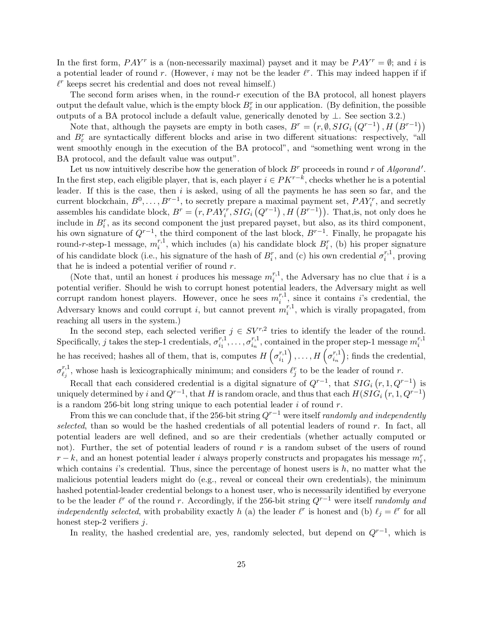In the first form,  $PAY^r$  is a (non-necessarily maximal) payset and it may be  $PAY^r = \emptyset$ ; and i is a potential leader of round r. (However, i may not be the leader  $\ell^r$ . This may indeed happen if if  $\ell^r$  keeps secret his credential and does not reveal himself.)

The second form arises when, in the round- $r$  execution of the BA protocol, all honest players output the default value, which is the empty block  $B_{\varepsilon}^r$  in our application. (By definition, the possible outputs of a BA protocol include a default value, generically denoted by ⊥. See section [3.2.](#page-17-0))

Note that, although the paysets are empty in both cases,  $B^r = (r, \emptyset, SIG_i(Q^{r-1}), H(B^{r-1}))$ and  $B_{\varepsilon}^{r}$  are syntactically different blocks and arise in two different situations: respectively, "all went smoothly enough in the execution of the BA protocol", and "something went wrong in the BA protocol, and the default value was output".

Let us now intuitively describe how the generation of block  $B^r$  proceeds in round r of Algorand'. In the first step, each eligible player, that is, each player  $i \in PK^{r-k}$ , checks whether he is a potential leader. If this is the case, then  $i$  is asked, using of all the payments he has seen so far, and the current blockchain,  $B^0, \ldots, B^{r-1}$ , to secretly prepare a maximal payment set,  $PAY_i^r$ , and secretly assembles his candidate block,  $B^r = (r, PAY_i^r, SIG_i(Q^{r-1}), H(Q^{r-1})).$  That, is, not only does he include in  $B_i^r$ , as its second component the just prepared payset, but also, as its third component, his own signature of  $Q^{r-1}$ , the third component of the last block,  $B^{r-1}$ . Finally, he propagate his round-r-step-1 message,  $m_i^{r,1}$  $i^{r,1}$ , which includes (a) his candidate block  $B_i^r$ , (b) his proper signature of his candidate block (i.e., his signature of the hash of  $B_i^r$ , and (c) his own credential  $\sigma_i^{r,1}$  $i^{r,1}_i$ , proving that he is indeed a potential verifier of round  $r$ .

(Note that, until an honest i produces his message  $m_i^{r,1}$  $i^{r,1}$ , the Adversary has no clue that *i* is a potential verifier. Should he wish to corrupt honest potential leaders, the Adversary might as well corrupt random honest players. However, once he sees  $m_i^{r,1}$  $i^{r,1}$ , since it contains i's credential, the Adversary knows and could corrupt i, but cannot prevent  $m_i^{r,1}$  $i^{r,1}$ , which is virally propagated, from reaching all users in the system.)

In the second step, each selected verifier  $j \in SV^{r,2}$  tries to identify the leader of the round. Specifically, j takes the step-1 credentials,  $\sigma_i^{r,1}$  $\sigma^{r,1}_{i_1}, \ldots, \sigma^{r,1}_{i_n}$  $\binom{r,1}{i_n}$ , contained in the proper step-1 message  $m_i^{r,1}$ i he has received; hashes all of them, that is, computes  $H\left(\sigma_i^{r,1}\right)$  $\scriptstyle i_1$  $\big)$ ,...,  $H\left(\sigma_{i_n}^{r,1}\right)$  $\scriptstyle i_n$  ; finds the credential,  $\sigma_{\ell_{\pm}}^{r,1}$  $\ell_j^{r,1}$ , whose hash is lexicographically minimum; and considers  $\ell_j^r$  to be the leader of round r.

Recall that each considered credential is a digital signature of  $Q^{r-1}$ , that  $SIG_i(r, 1, Q^{r-1})$  is uniquely determined by i and  $Q^{r-1}$ , that H is random oracle, and thus that each  $H(SI\overset{\rightharpoonup }{G}_i\left(r,1,Q^{r-1}\right)$ is a random 256-bit long string unique to each potential leader  $i$  of round  $r$ .

From this we can conclude that, if the 256-bit string  $Q^{r-1}$  were itself *randomly and independently* selected, than so would be the hashed credentials of all potential leaders of round  $r$ . In fact, all potential leaders are well defined, and so are their credentials (whether actually computed or not). Further, the set of potential leaders of round  $r$  is a random subset of the users of round  $r - k$ , and an honest potential leader i always properly constructs and propagates his message  $m_i^r$ , which contains  $i$ 's credential. Thus, since the percentage of honest users is  $h$ , no matter what the malicious potential leaders might do (e.g., reveal or conceal their own credentials), the minimum hashed potential-leader credential belongs to a honest user, who is necessarily identified by everyone to be the leader  $\ell^r$  of the round r. Accordingly, if the 256-bit string  $Q^{r-1}$  were itself randomly and independently selected, with probability exactly h (a) the leader  $\ell^r$  is honest and (b)  $\ell_j = \ell^r$  for all honest step-2 verifiers  $i$ .

In reality, the hashed credential are, yes, randomly selected, but depend on  $Q^{r-1}$ , which is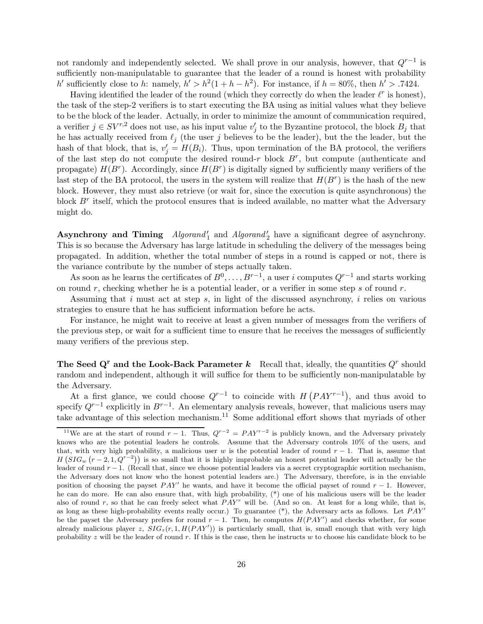not randomly and independently selected. We shall prove in our analysis, however, that  $Q^{r-1}$  is sufficiently non-manipulatable to guarantee that the leader of a round is honest with probability h' sufficiently close to h: namely,  $h' > h^2(1 + h - h^2)$ . For instance, if  $h = 80\%$ , then  $h' > .7424$ .

Having identified the leader of the round (which they correctly do when the leader  $\ell^r$  is honest), the task of the step-2 verifiers is to start executing the BA using as initial values what they believe to be the block of the leader. Actually, in order to minimize the amount of communication required, a verifier  $j \in SV^{r,2}$  does not use, as his input value  $v'_j$  to the Byzantine protocol, the block  $B_j$  that he has actually received from  $\ell_j$  (the user j believes to be the leader), but the the leader, but the hash of that block, that is,  $v_j' = H(B_i)$ . Thus, upon termination of the BA protocol, the verifiers of the last step do not compute the desired round-r block  $B^r$ , but compute (authenticate and propagate)  $H(B^r)$ . Accordingly, since  $H(B^r)$  is digitally signed by sufficiently many verifiers of the last step of the BA protocol, the users in the system will realize that  $H(B^r)$  is the hash of the new block. However, they must also retrieve (or wait for, since the execution is quite asynchronous) the block  $B^r$  itself, which the protocol ensures that is indeed available, no matter what the Adversary might do.

Asynchrony and Timing  $Algorithm_{1}$  and  $Algorithm_{2}$  have a significant degree of asynchrony. This is so because the Adversary has large latitude in scheduling the delivery of the messages being propagated. In addition, whether the total number of steps in a round is capped or not, there is the variance contribute by the number of steps actually taken.

As soon as he learns the certificates of  $B^0, \ldots, B^{r-1}$ , a user i computes  $Q^{r-1}$  and starts working on round r, checking whether he is a potential leader, or a verifier in some step s of round r.

Assuming that i must act at step s, in light of the discussed asynchrony, i relies on various strategies to ensure that he has sufficient information before he acts.

For instance, he might wait to receive at least a given number of messages from the verifiers of the previous step, or wait for a sufficient time to ensure that he receives the messages of sufficiently many verifiers of the previous step.

The Seed Q<sup>r</sup> and the Look-Back Parameter  $k$  Recall that, ideally, the quantities  $Q<sup>r</sup>$  should random and independent, although it will suffice for them to be sufficiently non-manipulatable by the Adversary.

At a first glance, we could choose  $Q^{r-1}$  to coincide with  $H(PAY^{r-1})$ , and thus avoid to specify  $Q^{r-1}$  explicitly in  $B^{r-1}$ . An elementary analysis reveals, however, that malicious users may take advantage of this selection mechanism.[11](#page-25-0) Some additional effort shows that myriads of other

<span id="page-25-0"></span><sup>&</sup>lt;sup>11</sup>We are at the start of round  $r-1$ . Thus,  $Q^{r-2} = P A Y^{r-2}$  is publicly known, and the Adversary privately knows who are the potential leaders he controls. Assume that the Adversary controls 10% of the users, and that, with very high probability, a malicious user w is the potential leader of round  $r - 1$ . That is, assume that  $H(SIG_w (r-2, 1, Q^{r-2}))$  is so small that it is highly improbable an honest potential leader will actually be the leader of round  $r - 1$ . (Recall that, since we choose potential leaders via a secret cryptographic sortition mechanism, the Adversary does not know who the honest potential leaders are.) The Adversary, therefore, is in the enviable position of choosing the payset  $PAY'$  he wants, and have it become the official payset of round  $r - 1$ . However, he can do more. He can also ensure that, with high probability, (\*) one of his malicious users will be the leader also of round r, so that he can freely select what  $PAY^r$  will be. (And so on. At least for a long while, that is, as long as these high-probability events really occur.) To guarantee  $(*),$  the Adversary acts as follows. Let  $PAY'$ be the payset the Adversary prefers for round  $r - 1$ . Then, he computes  $H(PAY')$  and checks whether, for some already malicious player z,  $\hat{SIG}_z(r, 1, H(PAY'))$  is particularly small, that is, small enough that with very high probability z will be the leader of round r. If this is the case, then he instructs w to choose his candidate block to be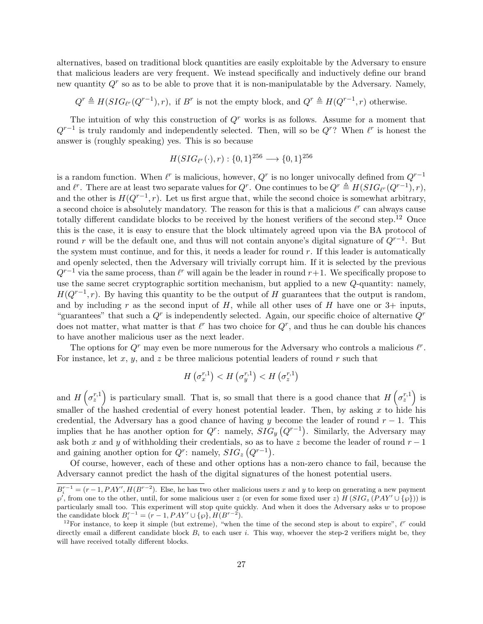alternatives, based on traditional block quantities are easily exploitable by the Adversary to ensure that malicious leaders are very frequent. We instead specifically and inductively define our brand new quantity  $Q<sup>r</sup>$  so as to be able to prove that it is non-manipulatable by the Adversary. Namely,

 $Q^r \triangleq H(SIG_{\ell^r}(Q^{r-1}), r)$ , if  $B^r$  is not the empty block, and  $Q^r \triangleq H(Q^{r-1}, r)$  otherwise.

The intuition of why this construction of  $Q<sup>r</sup>$  works is as follows. Assume for a moment that  $Q^{r-1}$  is truly randomly and independently selected. Then, will so be  $Q^r$ ? When  $\ell^r$  is honest the answer is (roughly speaking) yes. This is so because

$$
H(SIG_{\ell^r}(\cdot), r) : \{0, 1\}^{256} \longrightarrow \{0, 1\}^{256}
$$

is a random function. When  $\ell^r$  is malicious, however,  $Q^r$  is no longer univocally defined from  $Q^{r-1}$ and  $\ell^r$ . There are at least two separate values for  $Q^r$ . One continues to be  $Q^r \triangleq H(SIG_{\ell^r}(Q^{r-1}), r)$ , and the other is  $H(Q^{r-1}, r)$ . Let us first argue that, while the second choice is somewhat arbitrary, a second choice is absolutely mandatory. The reason for this is that a malicious  $\ell^r$  can always cause totally different candidate blocks to be received by the honest verifiers of the second step.<sup>[12](#page-26-0)</sup> Once this is the case, it is easy to ensure that the block ultimately agreed upon via the BA protocol of round r will be the default one, and thus will not contain anyone's digital signature of  $Q^{r-1}$ . But the system must continue, and for this, it needs a leader for round  $r$ . If this leader is automatically and openly selected, then the Adversary will trivially corrupt him. If it is selected by the previous  $Q^{r-1}$  via the same process, than  $\ell^r$  will again be the leader in round  $r+1$ . We specifically propose to use the same secret cryptographic sortition mechanism, but applied to a new Q-quantity: namely,  $H(Q^{r-1}, r)$ . By having this quantity to be the output of H guarantees that the output is random, and by including r as the second input of H, while all other uses of H have one or  $3+$  inputs, "guarantees" that such a  $Q<sup>r</sup>$  is independently selected. Again, our specific choice of alternative  $Q<sup>r</sup>$ does not matter, what matter is that  $\ell^r$  has two choice for  $Q^r$ , and thus he can double his chances to have another malicious user as the next leader.

The options for  $Q<sup>r</sup>$  may even be more numerous for the Adversary who controls a malicious  $\ell<sup>r</sup>$ . For instance, let x, y, and z be three malicious potential leaders of round r such that

$$
H\left(\sigma_x^{r,1}\right) < H\left(\sigma_y^{r,1}\right) < H\left(\sigma_z^{r,1}\right)
$$

and  $H\left(\sigma_z^{r,1}\right)$  is particulary small. That is, so small that there is a good chance that  $H\left(\sigma_z^{r,1}\right)$  is smaller of the hashed credential of every honest potential leader. Then, by asking x to hide his credential, the Adversary has a good chance of having y become the leader of round  $r - 1$ . This implies that he has another option for  $Q^r$ : namely,  $SIG_y(Q^{r-1})$ . Similarly, the Adversary may ask both x and y of withholding their credentials, so as to have z become the leader of round  $r - 1$ and gaining another option for  $Q^r$ : namely,  $SIG_z(Q^{r-1})$ .

Of course, however, each of these and other options has a non-zero chance to fail, because the Adversary cannot predict the hash of the digital signatures of the honest potential users.

 $B_i^{r-1} = (r-1, PAY', H(B^{r-2}).$  Else, he has two other malicious users x and y to keep on generating a new payment  $\wp'$ , from one to the other, until, for some malicious user z (or even for some fixed user z)  $H(SIG_z(PAY' \cup {\wp}))$  is particularly small too. This experiment will stop quite quickly. And when it does the Adversary asks w to propose the candidate block  $B_i^{r-1} = (r-1, PAY' \cup {\varphi}, H(B^{r-2}).$ 

<span id="page-26-0"></span><sup>&</sup>lt;sup>12</sup>For instance, to keep it simple (but extreme), "when the time of the second step is about to expire",  $\ell^r$  could directly email a different candidate block  $B_i$  to each user i. This way, whoever the step-2 verifiers might be, they will have received totally different blocks.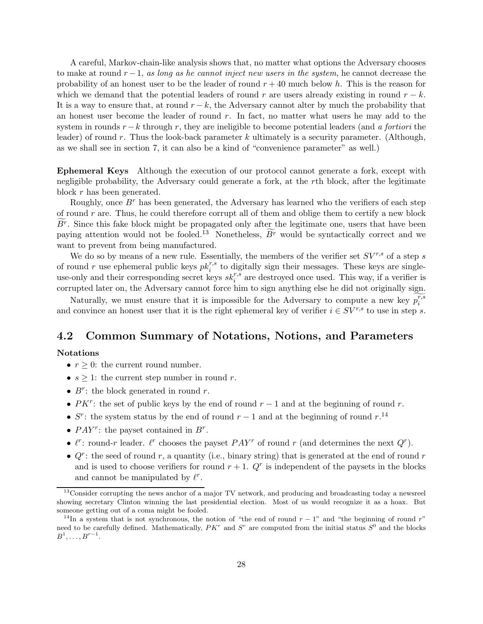A careful, Markov-chain-like analysis shows that, no matter what options the Adversary chooses to make at round  $r-1$ , as long as he cannot inject new users in the system, he cannot decrease the probability of an honest user to be the leader of round  $r + 40$  much below h. This is the reason for which we demand that the potential leaders of round r are users already existing in round  $r - k$ . It is a way to ensure that, at round  $r - k$ , the Adversary cannot alter by much the probability that an honest user become the leader of round  $r$ . In fact, no matter what users he may add to the system in rounds  $r - k$  through r, they are ineligible to become potential leaders (and a fortiori the leader) of round r. Thus the look-back parameter k ultimately is a security parameter. (Although, as we shall see in section [7,](#page-66-0) it can also be a kind of "convenience parameter" as well.)

Ephemeral Keys Although the execution of our protocol cannot generate a fork, except with negligible probability, the Adversary could generate a fork, at the rth block, after the legitimate block r has been generated.

Roughly, once  $B^r$  has been generated, the Adversary has learned who the verifiers of each step of round  $r$  are. Thus, he could therefore corrupt all of them and oblige them to certify a new block  $B<sup>r</sup>$ . Since this fake block might be propagated only after the legitimate one, users that have been paying attention would not be fooled.<sup>[13](#page-27-0)</sup> Nonetheless,  $\overline{B}$ <sup>r</sup> would be syntactically correct and we want to prevent from being manufactured.

We do so by means of a new rule. Essentially, the members of the verifier set  $SV^{r,s}$  of a step s of round r use ephemeral public keys  $pk_i^{r,s}$  to digitally sign their messages. These keys are singleis the corresponding secret keys  $sk_i^{r,s}$  are destroyed once used. This way, if a verifier is use-only and their corresponding secret keys  $sk_i^{r,s}$  are destroyed once used. This way, if a verifier is corrupted later on, the Adversary cannot force him to sign anything else he did not originally sign.

Naturally, we must ensure that it is impossible for the Adversary to compute a new key  $p_i^{r,s}$ i and convince an honest user that it is the right ephemeral key of verifier  $i \in SV^{r,s}$  to use in step s.

#### 4.2 Common Summary of Notations, Notions, and Parameters

#### Notations

- $r \geq 0$ : the current round number.
- $s \geq 1$ : the current step number in round r.
- $B^r$ : the block generated in round r.
- $PK^r$ : the set of public keys by the end of round  $r-1$  and at the beginning of round r.
- $S^r$ : the system status by the end of round  $r-1$  and at the beginning of round  $r$ .<sup>[14](#page-27-1)</sup>
- $PAY^r$ : the payset contained in  $B^r$ .
- $\ell^r$ : round-r leader.  $\ell^r$  chooses the payset  $PAY^r$  of round r (and determines the next  $Q^r$ ).
- $Q^r$ : the seed of round r, a quantity (i.e., binary string) that is generated at the end of round r and is used to choose verifiers for round  $r + 1$ .  $Q<sup>r</sup>$  is independent of the paysets in the blocks and cannot be manipulated by  $\ell^r$ .

<span id="page-27-0"></span><sup>&</sup>lt;sup>13</sup>Consider corrupting the news anchor of a major TV network, and producing and broadcasting today a newsreel showing secretary Clinton winning the last presidential election. Most of us would recognize it as a hoax. But someone getting out of a coma might be fooled.

<span id="page-27-1"></span><sup>&</sup>lt;sup>14</sup>In a system that is not synchronous, the notion of "the end of round  $r-1$ " and "the beginning of round r" need to be carefully defined. Mathematically,  $PK^r$  and  $S^r$  are computed from the initial status  $S^0$  and the blocks  $B^1, \ldots, B^{r-1}.$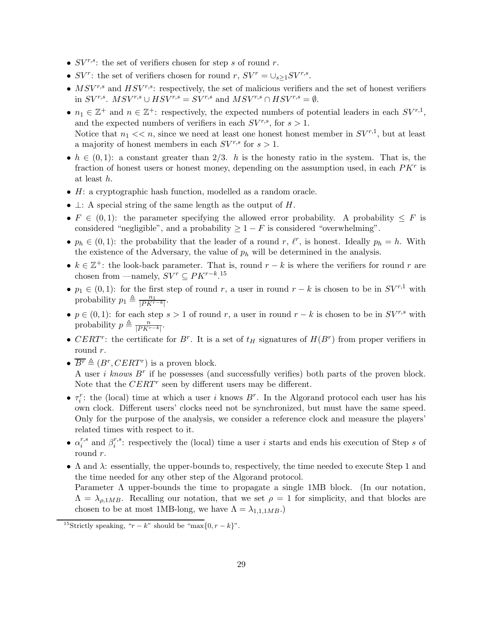- $SV^{r,s}$ : the set of verifiers chosen for step s of round r.
- $SV^r$ : the set of verifiers chosen for round  $r, SV^r = \bigcup_{s \geq 1} SV^{r,s}$ .
- $MSV^{r,s}$  and  $HSV^{r,s}$ : respectively, the set of malicious verifiers and the set of honest verifiers in  $SV^{r,s}$ .  $MSV^{r,s} \cup HSV^{r,s} = SV^{r,s}$  and  $MSV^{r,s} \cap HSV^{r,s} = \emptyset$ .
- $n_1 \in \mathbb{Z}^+$  and  $n \in \mathbb{Z}^+$ : respectively, the expected numbers of potential leaders in each  $SV^{r,1}$ , and the expected numbers of verifiers in each  $SV^{r,s}$ , for  $s > 1$ . Notice that  $n_1 \ll n$ , since we need at least one honest honest member in  $SV^{r,1}$ , but at least a majority of honest members in each  $SV^{r,s}$  for  $s > 1$ .
- $h \in (0, 1)$ : a constant greater than 2/3. h is the honesty ratio in the system. That is, the fraction of honest users or honest money, depending on the assumption used, in each  $PKr$  is at least h.
- H: a cryptographic hash function, modelled as a random oracle.
- $\perp$ : A special string of the same length as the output of H.
- $F \in (0, 1)$ : the parameter specifying the allowed error probability. A probability  $\leq F$  is considered "negligible", and a probability  $\geq 1 - F$  is considered "overwhelming".
- $p_h \in (0,1)$ : the probability that the leader of a round r,  $\ell^r$ , is honest. Ideally  $p_h = h$ . With the existence of the Adversary, the value of  $p_h$  will be determined in the analysis.
- $k \in \mathbb{Z}^+$ : the look-back parameter. That is, round  $r k$  is where the verifiers for round r are chosen from —namely,  $SV^r \subseteq PK^{r-k}$ .<sup>[15](#page-28-0)</sup>
- $p_1 \in (0, 1)$ : for the first step of round r, a user in round  $r k$  is chosen to be in  $SV^{r,1}$  with probability  $p_1 \triangleq \frac{n_1}{|PK^{r-k}|}.$
- $p \in (0, 1)$ : for each step  $s > 1$  of round r, a user in round  $r k$  is chosen to be in  $SV^{r,s}$  with probability  $p \triangleq \frac{n}{|PK^{r-k}|}.$
- CERT<sup>r</sup>: the certificate for  $B^r$ . It is a set of  $t_H$  signatures of  $H(B^r)$  from proper verifiers in round r.
- $\overline{B^r} \triangleq (B^r, CERT^r)$  is a proven block. A user i knows  $B^r$  if he possesses (and successfully verifies) both parts of the proven block. Note that the  $CERT$ <sup>r</sup> seen by different users may be different.
- $\tau_i^r$ : the (local) time at which a user i knows  $B^r$ . In the Algorand protocol each user has his own clock. Different users' clocks need not be synchronized, but must have the same speed. Only for the purpose of the analysis, we consider a reference clock and measure the players' related times with respect to it.
- $\bullet$   $\alpha_i^{r,s}$  $i^{r,s}$  and  $\beta_i^{r,s}$  $i^{r,s}$ : respectively the (local) time a user i starts and ends his execution of Step s of round r.
- $\Lambda$  and  $\lambda$ : essentially, the upper-bounds to, respectively, the time needed to execute Step 1 and the time needed for any other step of the Algorand protocol.

Parameter  $\Lambda$  upper-bounds the time to propagate a single 1MB block. (In our notation,  $\Lambda = \lambda_{\rho,1MB}$ . Recalling our notation, that we set  $\rho = 1$  for simplicity, and that blocks are chosen to be at most 1MB-long, we have  $\Lambda = \lambda_{1,1,MB}$ .

<span id="page-28-0"></span><sup>&</sup>lt;sup>15</sup>Strictly speaking, " $r - k$ " should be "max $\{0, r - k\}$ ".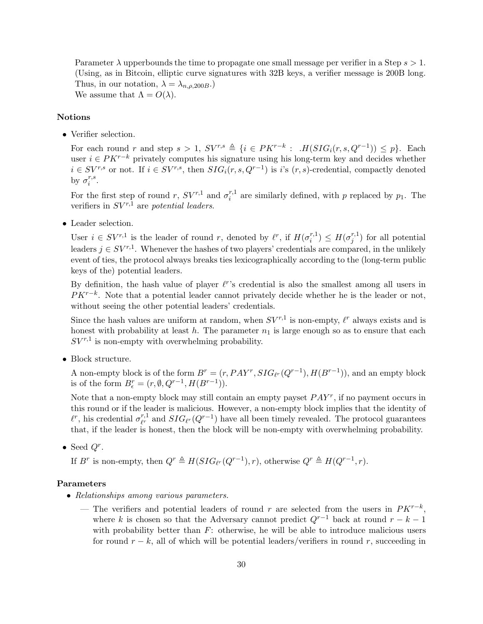Parameter  $\lambda$  upperbounds the time to propagate one small message per verifier in a Step  $s > 1$ . (Using, as in Bitcoin, elliptic curve signatures with 32B keys, a verifier message is 200B long. Thus, in our notation,  $\lambda = \lambda_{n.o.200B}$ . We assume that  $\Lambda = O(\lambda)$ .

#### Notions

• Verifier selection.

For each round r and step  $s > 1$ ,  $SV^{r,s} \triangleq \{i \in PK^{r-k} : .H(SIG_i(r, s, Q^{r-1})) \leq p\}$ . Each user  $i \in PK^{r-k}$  privately computes his signature using his long-term key and decides whether  $i \in SV^{r,s}$  or not. If  $i \in SV^{r,s}$ , then  $SIG_i(r, s, Q^{r-1})$  is i's  $(r, s)$ -credential, compactly denoted by  $\sigma_i^{r,s}$  $\frac{r,s}{i}$ .

For the first step of round r,  $SV^{r,1}$  and  $\sigma_i^{r,1}$  $i^{r,1}$  are similarly defined, with p replaced by  $p_1$ . The verifiers in  $SV^{r,1}$  are potential leaders.

• Leader selection.

User  $i \in SV^{r,1}$  is the leader of round r, denoted by  $\ell^r$ , if  $H(\sigma_i^{r,1})$  $\binom{r,1}{i} \leq H(\sigma^{r,1}_j)$  $j^{(r,1)}$  for all potential leaders  $j \in SV^{r,1}$ . Whenever the hashes of two players' credentials are compared, in the unlikely event of ties, the protocol always breaks ties lexicographically according to the (long-term public keys of the) potential leaders.

By definition, the hash value of player  $\ell^r$ 's credential is also the smallest among all users in  $PK^{r-k}$ . Note that a potential leader cannot privately decide whether he is the leader or not, without seeing the other potential leaders' credentials.

Since the hash values are uniform at random, when  $SV^{r,1}$  is non-empty,  $\ell^r$  always exists and is honest with probability at least h. The parameter  $n_1$  is large enough so as to ensure that each  $SV^{r,1}$  is non-empty with overwhelming probability.

• Block structure.

A non-empty block is of the form  $B^r = (r, PAY^r, SIG_{\ell^r}(Q^{r-1}), H(B^{r-1}))$ , and an empty block is of the form  $B_{\epsilon}^r = (r, \emptyset, Q^{r-1}, H(B^{r-1})).$ 

Note that a non-empty block may still contain an empty payset  $PAY^r$ , if no payment occurs in this round or if the leader is malicious. However, a non-empty block implies that the identity of  $\ell^r$ , his credential  $\sigma_{\ell^r}^{r,1}$  $\frac{r,1}{\ell^r}$  and  $SIG_{\ell^r}(Q^{r-1})$  have all been timely revealed. The protocol guarantees that, if the leader is honest, then the block will be non-empty with overwhelming probability.

• Seed  $Q^r$ .

If B<sup>r</sup> is non-empty, then  $Q^r \triangleq H(SIG_{\ell^r}(Q^{r-1}), r)$ , otherwise  $Q^r \triangleq H(Q^{r-1}, r)$ .

#### Parameters

- Relationships among various parameters.
	- The verifiers and potential leaders of round r are selected from the users in  $PK^{r-k}$ , where k is chosen so that the Adversary cannot predict  $Q^{r-1}$  back at round  $r - k - 1$ with probability better than  $F$ : otherwise, he will be able to introduce malicious users for round  $r - k$ , all of which will be potential leaders/verifiers in round r, succeeding in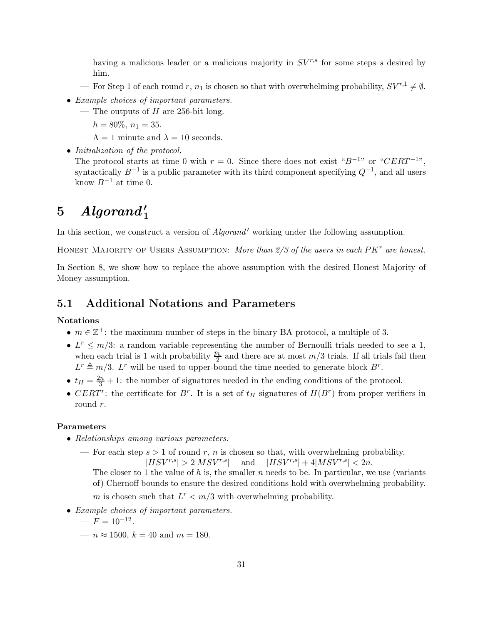having a malicious leader or a malicious majority in  $SV^{r,s}$  for some steps s desired by him.

- For Step 1 of each round r,  $n_1$  is chosen so that with overwhelming probability,  $SV^{r,1} \neq \emptyset$ .
- Example choices of important parameters.
	- The outputs of  $H$  are 256-bit long.
	- $h = 80\%, n_1 = 35.$
	- $-\Lambda = 1$  minute and  $\lambda = 10$  seconds.
- Initialization of the protocol. The protocol starts at time 0 with  $r = 0$ . Since there does not exist " $B^{-1}$ " or " $CERT^{-1}$ ", syntactically  $B^{-1}$  is a public parameter with its third component specifying  $Q^{-1}$ , and all users know  $B^{-1}$  at time 0.

# $5$   $Algorand'_{1}$

In this section, we construct a version of *Algorand'* working under the following assumption.

HONEST MAJORITY OF USERS ASSUMPTION: More than  $2/3$  of the users in each  $P K<sup>r</sup>$  are honest.

In Section [8,](#page-67-0) we show how to replace the above assumption with the desired Honest Majority of Money assumption.

#### 5.1 Additional Notations and Parameters

#### Notations

- $m \in \mathbb{Z}^+$ : the maximum number of steps in the binary BA protocol, a multiple of 3.
- $L^r \leq m/3$ : a random variable representing the number of Bernoulli trials needed to see a 1, when each trial is 1 with probability  $\frac{p_h}{2}$  and there are at most  $m/3$  trials. If all trials fail then  $L^r \triangleq m/3$ .  $L^r$  will be used to upper-bound the time needed to generate block  $B^r$ .
- $t_H = \frac{2n}{3} + 1$ : the number of signatures needed in the ending conditions of the protocol.
- CERT<sup>r</sup>: the certificate for  $B^r$ . It is a set of  $t_H$  signatures of  $H(B^r)$  from proper verifiers in round r.

#### Parameters

- Relationships among various parameters.
	- For each step  $s > 1$  of round r, n is chosen so that, with overwhelming probability,  $|HSV^{r,s}| > 2|MSV^{r,s}|$  and  $|HSV^{r,s}| + 4|MSV^{r,s}| < 2n$ .

The closer to 1 the value of h is, the smaller n needs to be. In particular, we use (variants of) Chernoff bounds to ensure the desired conditions hold with overwhelming probability.

- m is chosen such that  $L^r < m/3$  with overwhelming probability.
- Example choices of important parameters.

$$
- F = 10^{-12}.
$$

—  $n \approx 1500$ ,  $k = 40$  and  $m = 180$ .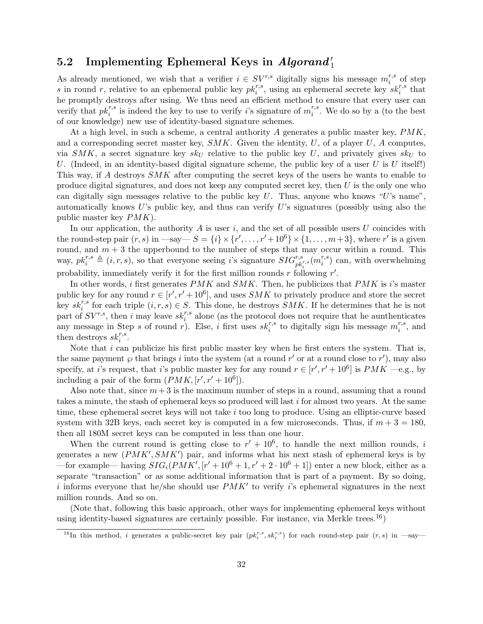## $5.2$  Implementing Ephemeral Keys in  $\it Algorand'_1$

As already mentioned, we wish that a verifier  $i \in SV^{r,s}$  digitally signs his message  $m_i^{r,s}$  $i^{r,s}$  of step s in round r, relative to an ephemeral public key  $pk_i^{r,s}$ , using an ephemeral secrete key  $sk_i^{r,s}$  that he promptly destroys after using. We thus need an efficient method to ensure that every user can verify that  $pk_i^{r,s}$  is indeed the key to use to verify *i*'s signature of  $m_i^{r,s}$  $i^{r,s}$ . We do so by a (to the best of our knowledge) new use of identity-based signature schemes.

At a high level, in such a scheme, a central authority A generates a public master key,  $PMK$ , and a corresponding secret master key,  $SMK$ . Given the identity, U, of a player U, A computes, via  $SMK$ , a secret signature key  $sk_U$  relative to the public key U, and privately gives  $sk_U$  to U. (Indeed, in an identity-based digital signature scheme, the public key of a user U is U itself!) This way, if A destroys SMK after computing the secret keys of the users he wants to enable to produce digital signatures, and does not keep any computed secret key, then  $U$  is the only one who can digitally sign messages relative to the public key  $U$ . Thus, anyone who knows "U's name". automatically knows  $U$ 's public key, and thus can verify  $U$ 's signatures (possibly using also the public master key PMK).

In our application, the authority A is user i, and the set of all possible users U coincides with the round-step pair  $(r, s)$  in  $-\text{say}-S = \{i\} \times \{r', \ldots, r' + 10^6\} \times \{1, \ldots, m+3\}$ , where r' is a given round, and  $m + 3$  the upperbound to the number of steps that may occur within a round. This way,  $pk_i^{r,s} \triangleq (i, r, s)$ , so that everyone seeing i's signature  $SIG_{pk_i^{r,s}}^{r,s}(m_i^{r,s})$ probability, immediately verify it for the first million rounds r following r'.  $i^{(r,s)}$  can, with overwhelming

In other words, i first generates  $PMK$  and  $SMK$ . Then, he publicizes that  $PMK$  is i's master public key for any round  $r \in [r', r' + 10^6]$ , and uses SMK to privately produce and store the secret key  $sk_i^{r,s}$  for each triple  $(i, r, s) \in S$ . This done, he destroys  $SMK$ . If he determines that he is not part of  $SV^{r,s}$ , then i may leave  $sk_i^{r,s}$  alone (as the protocol does not require that he aunthenticates any message in Step s of round r). Else, i first uses  $sk_i^{r,s}$  to digitally sign his message  $m_i^{r,s}$  $i^{r,s}$ , and then destroys  $sk_i^{r,s}$ .

Note that  $i$  can publicize his first public master key when he first enters the system. That is, the same payment  $\wp$  that brings i into the system (at a round r' or at a round close to r'), may also specify, at *i*'s request, that *i*'s public master key for any round  $r \in [r', r' + 10^6]$  is  $PMK$  —e.g., by including a pair of the form  $(PMK, [r', r' + 10^6])$ .

Also note that, since  $m+3$  is the maximum number of steps in a round, assuming that a round takes a minute, the stash of ephemeral keys so produced will last  $i$  for almost two years. At the same time, these ephemeral secret keys will not take  $i$  too long to produce. Using an elliptic-curve based system with 32B keys, each secret key is computed in a few microseconds. Thus, if  $m + 3 = 180$ , then all 180M secret keys can be computed in less than one hour.

When the current round is getting close to  $r' + 10^6$ , to handle the next million rounds, i generates a new  $(PMK', SMK')$  pair, and informs what his next stash of ephemeral keys is by —for example— having  $SIG_i(PMK', [r'+10^6+1, r'+2 \cdot 10^6+1])$  enter a new block, either as a separate "transaction" or as some additional information that is part of a payment. By so doing, i informs everyone that he/she should use  $PMK'$  to verify i's ephemeral signatures in the next million rounds. And so on.

(Note that, following this basic approach, other ways for implementing ephemeral keys without using identity-based signatures are certainly possible. For instance, via Merkle trees.<sup>[16](#page-31-0)</sup>)

<span id="page-31-0"></span><sup>&</sup>lt;sup>16</sup>In this method, *i* generates a public-secret key pair  $(pk_i^{r,s}, sk_i^{r,s})$  for each round-step pair  $(r, s)$  in  $-say$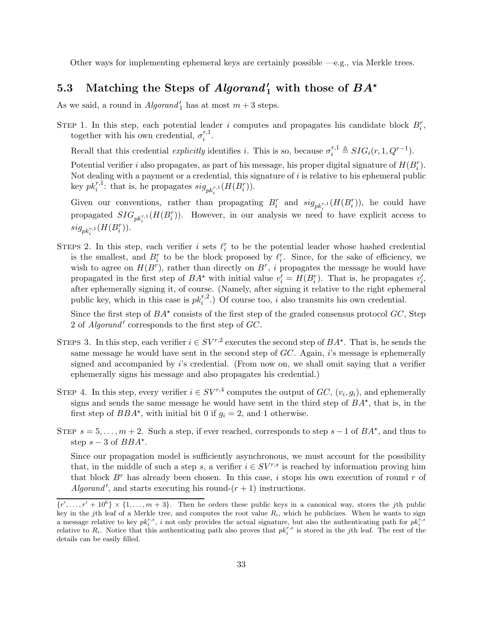Other ways for implementing ephemeral keys are certainly possible —e.g., via Merkle trees.

# 5.3 Matching the Steps of  $Algorithm'_{1}$  with those of  $BA^{\star}$

As we said, a round in  $Algorithm'_{1}$  has at most  $m+3$  steps.

STEP 1. In this step, each potential leader i computes and propagates his candidate block  $B_i^r$ , together with his own credential,  $\sigma_i^{r,1}$  $\frac{r,1}{i}$ .

Recall that this credential *explicitly* identifies *i*. This is so, because  $\sigma_i^{r,1} \triangleq SIG_i(r, 1, Q^{r-1})$ .

Potential verifier i also propagates, as part of his message, his proper digital signature of  $H(B_i^r)$ . Not dealing with a payment or a credential, this signature of  $i$  is relative to his ephemeral public key  $pk_i^{r,1}$ : that is, he propagates  $sig_{pk_i^{r,1}}(H(B_i^r))$ .

Given our conventions, rather than propagating  $B_i^r$  and  $sig_{pk_i^{r,1}}(H(B_i^r))$ , he could have propagated  $SIG_{pk_i^{r,1}}(H(B_i^r))$ . However, in our analysis we need to have explicit access to  $\label{eq:sign} sig_{pk_{i}^{r,1}}(H(B_{i}^{r})).$ 

STEPS 2. In this step, each verifier i sets  $\ell_i^r$  to be the potential leader whose hashed credential is the smallest, and  $B_i^r$  to be the block proposed by  $\ell_i^r$ . Since, for the sake of efficiency, we wish to agree on  $H(B^r)$ , rather than directly on  $B^r$ , *i* propagates the message he would have propagated in the first step of  $BA^*$  with initial value  $v'_i = H(B_i^r)$ . That is, he propagates  $v'_i$ , after ephemerally signing it, of course. (Namely, after signing it relative to the right ephemeral public key, which in this case is  $pk_i^{r,2}$ .) Of course too, i also transmits his own credential.

Since the first step of  $BA^*$  consists of the first step of the graded consensus protocol  $GC$ , Step 2 of Algorand' corresponds to the first step of GC.

- STEPS 3. In this step, each verifier  $i \in SV^{r,2}$  executes the second step of  $BA^*$ . That is, he sends the same message he would have sent in the second step of  $GC$ . Again, i's message is ephemerally signed and accompanied by i's credential. (From now on, we shall omit saying that a verifier ephemerally signs his message and also propagates his credential.)
- STEP 4. In this step, every verifier  $i \in SV^{r,4}$  computes the output of  $GC$ ,  $(v_i, g_i)$ , and ephemerally signs and sends the same message he would have sent in the third step of  $BA^*$ , that is, in the first step of  $BBA^*$ , with initial bit 0 if  $g_i = 2$ , and 1 otherwise.
- STEP  $s = 5, \ldots, m + 2$ . Such a step, if ever reached, corresponds to step  $s 1$  of  $BA^*$ , and thus to step  $s - 3$  of  $BBA^*$ .

Since our propagation model is sufficiently asynchronous, we must account for the possibility that, in the middle of such a step s, a verifier  $i \in SV^{r,s}$  is reached by information proving him that block  $B^r$  has already been chosen. In this case, i stops his own execution of round r of Algorand', and starts executing his round- $(r + 1)$  instructions.

 $\{r', \ldots, r' + 10^6\} \times \{1, \ldots, m + 3\}$ . Then he orders these public keys in a canonical way, stores the jth public key in the jth leaf of a Merkle tree, and computes the root value  $R_i$ , which he publicizes. When he wants to sign a message relative to key  $pk_i^{r,s}$ , i not only provides the actual signature, but also the authenticating path for  $pk_i^{r,s}$ relative to  $R_i$ . Notice that this authenticating path also proves that  $pk_i^{r,s}$  is stored in the jth leaf. The rest of the details can be easily filled.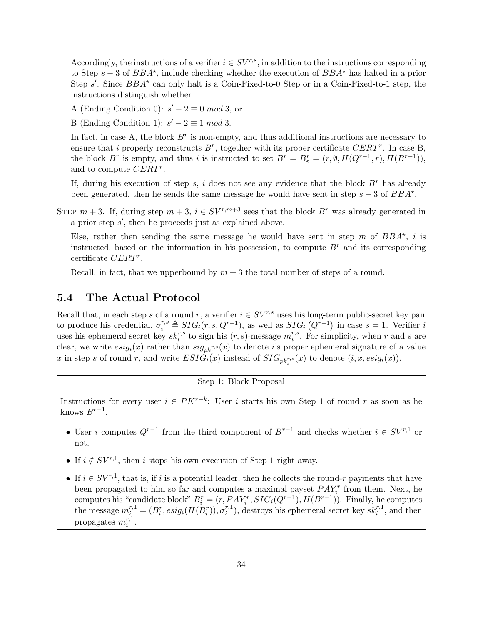Accordingly, the instructions of a verifier  $i \in SV^{r,s}$ , in addition to the instructions corresponding to Step  $s - 3$  of  $BBA^*$ , include checking whether the execution of  $BBA^*$  has halted in a prior Step s'. Since  $BBA^*$  can only halt is a Coin-Fixed-to-0 Step or in a Coin-Fixed-to-1 step, the instructions distinguish whether

A (Ending Condition 0):  $s' - 2 \equiv 0 \mod 3$ , or

B (Ending Condition 1):  $s' - 2 \equiv 1 \mod 3$ .

In fact, in case A, the block  $B^r$  is non-empty, and thus additional instructions are necessary to ensure that i properly reconstructs  $B^r$ , together with its proper certificate  $CERT^r$ . In case B, the block  $B^r$  is empty, and thus i is instructed to set  $B^r = B^r_{\varepsilon} = (r, \emptyset, H(Q^{r-1}, r), H(B^{r-1})),$ and to compute CERT<sup>r</sup>.

If, during his execution of step s, i does not see any evidence that the block  $B<sup>r</sup>$  has already been generated, then he sends the same message he would have sent in step  $s - 3$  of  $BBA^*$ .

STEP  $m + 3$ . If, during step  $m + 3$ ,  $i \in SV^{r,m+3}$  sees that the block  $B^r$  was already generated in a prior step s ′ , then he proceeds just as explained above.

Else, rather then sending the same message he would have sent in step m of  $BBA^*$ , i is instructed, based on the information in his possession, to compute  $B<sup>r</sup>$  and its corresponding certificate  $CERT<sup>r</sup>$ .

Recall, in fact, that we upperbound by  $m + 3$  the total number of steps of a round.

#### 5.4 The Actual Protocol

Recall that, in each step s of a round r, a verifier  $i \in SV^{r,s}$  uses his long-term public-secret key pair to produce his credential,  $\sigma_i^{r,s} \triangleq SIG_i(r, s, Q^{r-1})$ , as well as  $SIG_i(Q^{r-1})$  in case  $s = 1$ . Verifier i uses his ephemeral secret key  $sk_i^{r,s}$  to sign his  $(r, s)$ -message  $m_i^{r,s}$  $\binom{r,s}{i}$ . For simplicity, when r and s are clear, we write  $esig_i(x)$  rather than  $sig_{pk_i^{r,s}}(x)$  to denote *i*'s proper ephemeral signature of a value x in step s of round r, and write  $ESIG_i(x)$  instead of  $SIG_{pk_i^{r,s}}(x)$  to denote  $(i, x, esig_i(x))$ .

Step 1: Block Proposal

Instructions for every user  $i \in PK^{r-k}$ : User i starts his own Step 1 of round r as soon as he knows  $B^{r-1}$ .

- User i computes  $Q^{r-1}$  from the third component of  $B^{r-1}$  and checks whether  $i \in SV^{r,1}$  or not.
- If  $i \notin SV^{r,1}$ , then i stops his own execution of Step 1 right away.
- If  $i \in SV^{r,1}$ , that is, if i is a potential leader, then he collects the round-r payments that have been propagated to him so far and computes a maximal payset  $PAY_i^r$  from them. Next, he been propagated to min so far and computes a maximal payset  $T A T_i$  from them. Next, he computes his "candidate block"  $B_i^r = (r, P A Y_i^r, S I G_i (Q^{r-1}), H(B^{r-1}))$ . Finally, he computes the message  $m_i^{r,1} = (B_i^r, esig_i(H(B_i^r)), \sigma_i^{r,1})$  $i^{r,1}_{i}$ , destroys his ephemeral secret key  $sk_i^{r,1}$ , and then propagates  $m_i^r$  $_{i}^{r,1}.$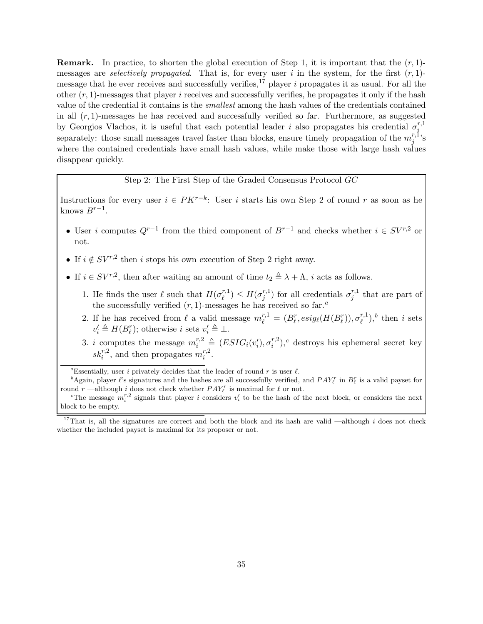**Remark.** In practice, to shorten the global execution of Step 1, it is important that the  $(r, 1)$ messages are *selectively propagated*. That is, for every user i in the system, for the first  $(r, 1)$ -message that he ever receives and successfully verifies,<sup>[17](#page-34-0)</sup> player i propagates it as usual. For all the other  $(r, 1)$ -messages that player *i* receives and successfully verifies, he propagates it only if the hash value of the credential it contains is the smallest among the hash values of the credentials contained in all  $(r, 1)$ -messages he has received and successfully verified so far. Furthermore, as suggested by Georgios Vlachos, it is useful that each potential leader i also propagates his credential  $\sigma_i^{r,1}$ i separately: those small messages travel faster than blocks, ensure timely propagation of the  $m_i^{r,1}$  $j^{r,1}$ 's where the contained credentials have small hash values, while make those with large hash values disappear quickly.

Step 2: The First Step of the Graded Consensus Protocol GC

Instructions for every user  $i \in PK^{r-k}$ : User i starts his own Step 2 of round r as soon as he knows  $B^{r-1}$ .

- User i computes  $Q^{r-1}$  from the third component of  $B^{r-1}$  and checks whether  $i \in SV^{r,2}$  or not.
- If  $i \notin SV^{r,2}$  then i stops his own execution of Step 2 right away.
- If  $i \in SV^{r,2}$ , then after waiting an amount of time  $t_2 \triangleq \lambda + \Lambda$ , *i* acts as follows.
	- 1. He finds the user  $\ell$  such that  $H(\sigma_i^{r,1})$  $\binom{r,1}{\ell} \leq H(\sigma_j^{r,1})$  $j^{r,1}_{j}$ ) for all credentials  $\sigma_j^{r,1}$  $j^{r,1}$  that are part of the successfully verified  $(r, 1)$ -mess[a](#page-34-1)ges he has received so far.<sup>a</sup>
	- 2. If he has received from  $\ell$  a valid message  $m_{\ell}^{r,1} = (B_{\ell}^{r}, e^{i\theta_{\ell}}(H(B_{\ell}^{r})), \sigma_{\ell}^{r,1})$  $\binom{r,1}{\ell}$  $\binom{r,1}{\ell}$  $\binom{r,1}{\ell}$ , then *i* sets  $v'_i \triangleq H(B_{\ell}^r)$ ; otherwise *i* sets  $v'_i \triangleq \perp$ .
	- 3. i computes the message  $m_i^{r,2} \triangleq (ESIG_i(v_i'), \sigma_i^{r,2})$  $i^{r,2}_{i}$ ,<sup>[c](#page-34-3)</sup> destroys his ephemeral secret key  $sk_i^{r,2}$ , and then propagates  $m_i^{r,2}$  $i^{r,z}$ .

<span id="page-34-1"></span><sup>a</sup>Essentially, user *i* privately decides that the leader of round r is user  $\ell$ .

<span id="page-34-2"></span><sup>b</sup>Again, player  $\ell$ 's signatures and the hashes are all successfully verified, and  $PAY_{\ell}^{r}$  in  $B_{\ell}^{r}$  is a valid payset for round  $r$  —although i does not check whether  $PAY_{\ell}^r$  is maximal for  $\ell$  or not.

<span id="page-34-3"></span><sup>c</sup>The message  $m_i^{r,2}$  signals that player i considers  $v_i'$  to be the hash of the next block, or considers the next block to be empty.

<span id="page-34-0"></span><sup>&</sup>lt;sup>17</sup>That is, all the signatures are correct and both the block and its hash are valid —although i does not check whether the included payset is maximal for its proposer or not.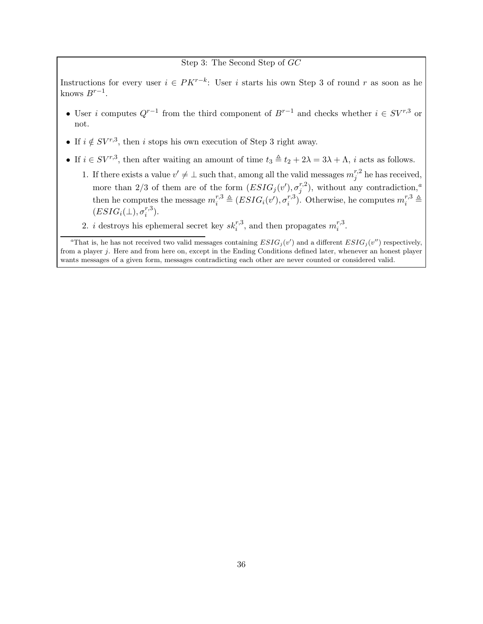#### Step 3: The Second Step of GC

Instructions for every user  $i \in PK^{r-k}$ : User i starts his own Step 3 of round r as soon as he knows  $B^{r-1}$ .

- User i computes  $Q^{r-1}$  from the third component of  $B^{r-1}$  and checks whether  $i \in SV^{r,3}$  or not.
- If  $i \notin SV^{r,3}$ , then i stops his own execution of Step 3 right away.
- If  $i \in SV^{r,3}$ , then after waiting an amount of time  $t_3 \triangleq t_2 + 2\lambda = 3\lambda + \Lambda$ , i acts as follows.
	- 1. If there exists a value  $v' \neq \perp$  such that, among all the valid messages  $m_i^{r,2}$  $j^{r,2}$  he has received, more than 2/3 of them are of the form  $(ESIG_j(v'), \sigma_i^{r,2})$  $j^{r,2}_{j}$ , without [a](#page-35-0)ny contradiction,<sup>a</sup> then he computes the message  $m_i^{r,3} \triangleq (ESIG_i(v'), \sigma_i^{r,3})$ <sup>r,3</sup>). Otherwise, he computes  $m_i^{r,3} \triangleq$  $(ESIG_i(\bot), \sigma_i^{r,3})$  $i^{(r,s)}$ .
	- 2. *i* destroys his ephemeral secret key  $sk_i^{r,3}$ , and then propagates  $m_i^{r,3}$  $i^{r, \mathsf{d}}$ .

<span id="page-35-0"></span><sup>a</sup>That is, he has not received two valid messages containing  $ESIG_j(v')$  and a different  $ESIG_j(v'')$  respectively, from a player j. Here and from here on, except in the Ending Conditions defined later, whenever an honest player wants messages of a given form, messages contradicting each other are never counted or considered valid.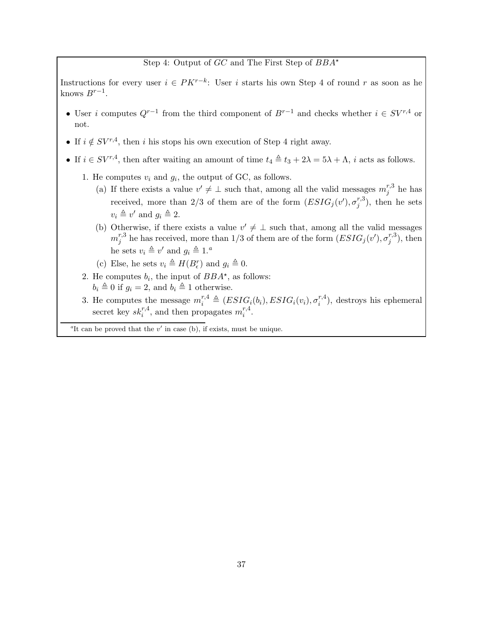### Step 4: Output of  $GC$  and The First Step of  $BBA^*$

Instructions for every user  $i \in PK^{r-k}$ : User i starts his own Step 4 of round r as soon as he knows  $B^{r-1}$ .

- User i computes  $Q^{r-1}$  from the third component of  $B^{r-1}$  and checks whether  $i \in SV^{r,4}$  or not.
- If  $i \notin SV^{r,4}$ , then i his stops his own execution of Step 4 right away.
- If  $i \in SV^{r,4}$ , then after waiting an amount of time  $t_4 \triangleq t_3 + 2\lambda = 5\lambda + \Lambda$ , i acts as follows.
	- 1. He computes  $v_i$  and  $g_i$ , the output of GC, as follows.
		- (a) If there exists a value  $v' \neq \perp$  such that, among all the valid messages  $m_i^{r,3}$  $j^{r,s}$  he has received, more than 2/3 of them are of the form  $(ESIG<sub>j</sub>(v'), \sigma<sub>j</sub><sup>r,3</sup>)$  $j^{(r,s)}$ , then he sets  $v_i \triangleq v'$  and  $g_i \triangleq 2$ .
		- (b) Otherwise, if there exists a value  $v' \neq \perp$  such that, among all the valid messages  $m^{r,3}_i$  $j^{r,3}$  he has received, more than 1/3 of them are of the form  $(ESIG_j(v'), \sigma_j^{r,3})$  $j^{(r,s)}$ , then he sets  $v_i \triangleq v'$  $v_i \triangleq v'$  $v_i \triangleq v'$  and  $g_i \triangleq 1$ .<sup>a</sup>
		- (c) Else, he sets  $v_i \triangleq H(B_\epsilon^r)$  and  $g_i \triangleq 0$ .
	- 2. He computes  $b_i$ , the input of  $BBA^{\star}$ , as follows:  $b_i \triangleq 0$  if  $g_i = 2$ , and  $b_i \triangleq 1$  otherwise.
	- 3. He computes the message  $m_i^{r,4} \triangleq (ESIG_i(b_i), ESIG_i(v_i), \sigma_i^{r,4})$  $i^{(r,4)}$ , destroys his ephemeral secret key  $sk_i^{r,4}$ , and then propagates  $m_i^{r,4}$  $i^{r,4}$ .

<span id="page-36-0"></span><sup>a</sup>It can be proved that the  $v'$  in case (b), if exists, must be unique.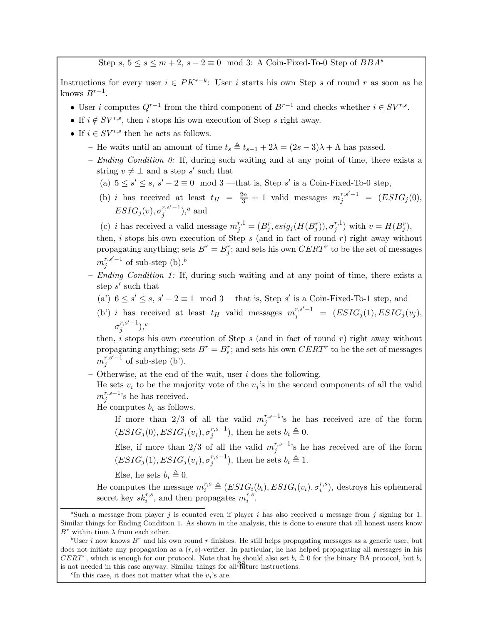Step s,  $5 \le s \le m+2$ ,  $s-2 \equiv 0 \mod 3$ : A Coin-Fixed-To-0 Step of  $BBA^*$ 

Instructions for every user  $i \in PK^{r-k}$ : User i starts his own Step s of round r as soon as he knows  $B^{r-1}$ .

- User i computes  $Q^{r-1}$  from the third component of  $B^{r-1}$  and checks whether  $i \in SV^{r,s}$ .
- If  $i \notin SV^{r,s}$ , then i stops his own execution of Step s right away.
- If  $i \in SV^{r,s}$  then he acts as follows.
	- He waits until an amount of time  $t_s \triangleq t_{s-1} + 2\lambda = (2s 3)\lambda + \Lambda$  has passed.
	- $-$  *Ending Condition 0:* If, during such waiting and at any point of time, there exists a string  $v \neq \perp$  and a step s' such that
		- (a)  $5 \le s' \le s$ ,  $s' 2 \equiv 0 \mod 3$  —that is, Step s' is a Coin-Fixed-To-0 step,
		- (b) *i* has received at least  $t_H = \frac{2n}{3} + 1$  valid messages  $m_j^{r,s'-1} = (ESIG_j(0),$  $ESIG_j(v), \sigma^{r,s'-1}_j$  $_{j}^{r,s^{\prime}-1}),^{a}$  $_{j}^{r,s^{\prime}-1}),^{a}$  $_{j}^{r,s^{\prime}-1}),^{a}$  and

(c) *i* has received a valid message  $m_j^{r,1} = (B_j^r, esig_j(H(B_j^r)), \sigma_j^{r,1})$  $j^{r,1})$  with  $v = H(B_j^r)$ ,

then,  $i$  stops his own execution of Step  $s$  (and in fact of round  $r$ ) right away without propagating anything; sets  $B^r = B_j^r$ ; and sets his own  $CERT^r$  to be the set of messages  $m_i^{r,s'-1}$  $j^{r,s'-1}$  of su[b](#page-37-1)-step (b).<sup>b</sup>

- Ending Condition 1: If, during such waiting and at any point of time, there exists a step  $s'$  such that
	- (a')  $6 \le s' \le s$ ,  $s' 2 \equiv 1 \mod 3$  —that is, Step s' is a Coin-Fixed-To-1 step, and

(b') i has received at least  $t_H$  valid messages  $m_j^{r,s'-1} = (ESIG_j(1), ESIG_j(v_j),$  $\sigma_i^{r,s'-1}$  $_{j}^{r,s^{\prime}-1}),^c$  $_{j}^{r,s^{\prime}-1}),^c$ 

then,  $i$  stops his own execution of Step  $s$  (and in fact of round  $r$ ) right away without propagating anything; sets  $B^r = B^r_{\epsilon}$ ; and sets his own  $CERT^r$  to be the set of messages  $m_i^{r,s'-1}$  $j^{r,s-1}$  of sub-step (b').

Otherwise, at the end of the wait, user  $i$  does the following.

He sets  $v_i$  to be the majority vote of the  $v_j$ 's in the second components of all the valid  $m^{r,s-1}_i$  $j^{r,s-1}$ 's he has received.

He computes  $b_i$  as follows.

If more than 2/3 of all the valid  $m_i^{r,s-1}$  $j^{r,s-1}$ 's he has received are of the form  $(ESIG_j(0), ESIG_j(v_j), \sigma_i^{r,s-1})$  $j^{(r,s-1)}$ , then he sets  $b_i \triangleq 0$ .

Else, if more than 2/3 of all the valid  $m_i^{r,s-1}$  $j^{r,s-1}$ 's he has received are of the form  $(ESIG_j(1), ESIG_j(v_j), \sigma_i^{r,s-1})$  $j^{r,s-1}$ ), then he sets  $b_i \triangleq 1$ .

Else, he sets  $b_i \triangleq 0$ .

He computes the message  $m_i^{r,s} \triangleq (ESIG_i(b_i), ESIG_i(v_i), \sigma_i^{r,s})$  $i^{r,s}$ ), destroys his ephemeral secret key  $sk_i^{r,s}$ , and then propagates  $m_i^{r,s}$  $\frac{r,s}{i}$ .

<span id="page-37-0"></span><sup>&</sup>lt;sup>a</sup>Such a message from player j is counted even if player i has also received a message from j signing for 1. Similar things for Ending Condition 1. As shown in the analysis, this is done to ensure that all honest users know  $B^r$  within time  $\lambda$  from each other.

<span id="page-37-1"></span><sup>&</sup>lt;sup>b</sup>User *i* now knows  $B^r$  and his own round r finishes. He still helps propagating messages as a generic user, but does not initiate any propagation as a  $(r, s)$ -verifier. In particular, he has helped propagating all messages in his CERT<sup>r</sup>, which is enough for our protocol. Note that he should also set  $b_i \triangleq 0$  for the binary BA protocol, but  $b_i$ is not needed in this case anyway. Similar things for all  $\frac{38}{30}$  ture instructions.

<span id="page-37-2"></span><sup>&</sup>lt;sup>c</sup>In this case, it does not matter what the  $v_j$ 's are.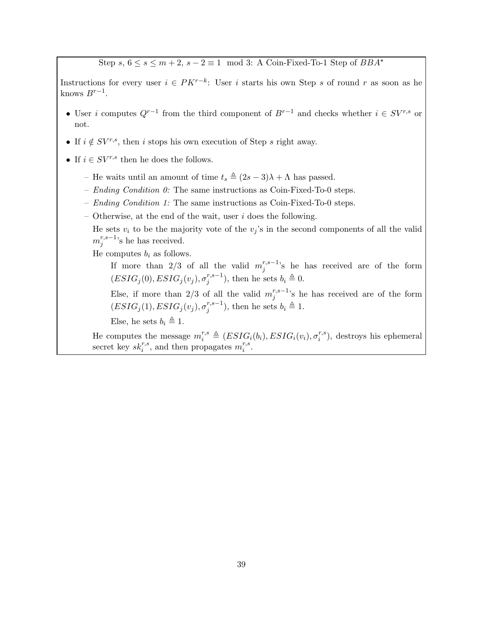Step  $s, 6 \leq s \leq m+2, s-2 \equiv 1 \mod 3$ : A Coin-Fixed-To-1 Step of  $BBA^*$ 

Instructions for every user  $i \in PK^{r-k}$ : User i starts his own Step s of round r as soon as he knows  $B^{r-1}$ .

- User i computes  $Q^{r-1}$  from the third component of  $B^{r-1}$  and checks whether  $i \in SV^{r,s}$  or not.
- If  $i \notin SV^{r,s}$ , then i stops his own execution of Step s right away.
- If  $i \in SV^{r,s}$  then he does the follows.
	- He waits until an amount of time  $t_s \triangleq (2s 3)\lambda + \Lambda$  has passed.
	- Ending Condition  $0$ : The same instructions as Coin-Fixed-To-0 steps.
	- *Ending Condition 1*: The same instructions as Coin-Fixed-To-0 steps.
	- Otherwise, at the end of the wait, user  $i$  does the following.
		- He sets  $v_i$  to be the majority vote of the  $v_j$ 's in the second components of all the valid  $m^{r,s-1}_i$  $j^{r,s-1}$ 's he has received.

He computes  $b_i$  as follows.

If more than 2/3 of all the valid  $m_i^{r,s-1}$  $j^{r,s-1}$ 's he has received are of the form  $(ESIG_j(0), ESIG_j(v_j), \sigma_i^{r,s-1})$  $j^{(r,s-1)}$ , then he sets  $b_i \triangleq 0$ .

Else, if more than 2/3 of all the valid  $m_i^{r,s-1}$  $j^{r,s-1}$ 's he has received are of the form  $(ESIG_j(1), ESIG_j(v_j), \sigma^{r,s-1}_j)$  $j^{r,s-1}$ ), then he sets  $b_i \triangleq 1$ .

Else, he sets  $b_i \triangleq 1$ .

He computes the message  $m_i^{r,s} \triangleq (ESIG_i(b_i), ESIG_i(v_i), \sigma_i^{r,s})$  $i^{(r,s)}$ , destroys his ephemeral secret key  $sk_i^{r,s}$ , and then propagates  $m_i^{r,s}$  $\frac{r,s}{i}$ .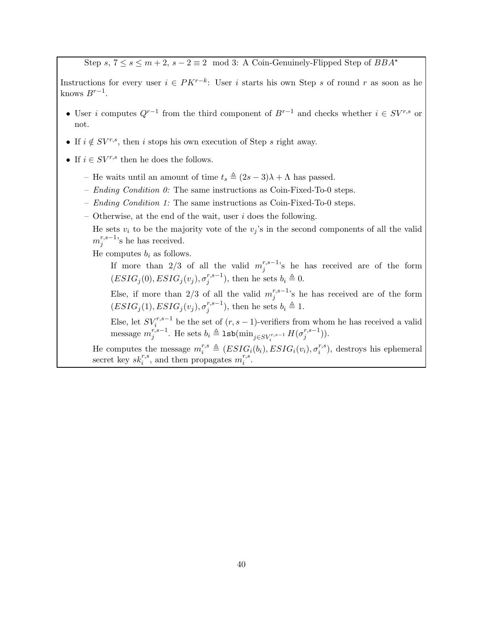Step s,  $7 \le s \le m+2$ ,  $s-2 \equiv 2 \mod 3$ : A Coin-Genuinely-Flipped Step of  $BBA^*$ 

Instructions for every user  $i \in PK^{r-k}$ : User i starts his own Step s of round r as soon as he knows  $B^{r-1}$ .

- User i computes  $Q^{r-1}$  from the third component of  $B^{r-1}$  and checks whether  $i \in SV^{r,s}$  or not.
- If  $i \notin SV^{r,s}$ , then i stops his own execution of Step s right away.
- If  $i \in SV^{r,s}$  then he does the follows.
	- He waits until an amount of time  $t_s \triangleq (2s 3)\lambda + \Lambda$  has passed.
	- Ending Condition  $0$ : The same instructions as Coin-Fixed-To-0 steps.
	- *Ending Condition 1*: The same instructions as Coin-Fixed-To-0 steps.
	- Otherwise, at the end of the wait, user  $i$  does the following.
		- He sets  $v_i$  to be the majority vote of the  $v_j$ 's in the second components of all the valid  $m^{r,s-1}_i$  $j^{r,s-1}$ 's he has received.

He computes  $b_i$  as follows.

If more than 2/3 of all the valid  $m_i^{r,s-1}$  $j^{r,s-1}$ 's he has received are of the form  $(ESIG_j(0), ESIG_j(v_j), \sigma_i^{r,s-1})$  $j^{(r,s-1)}$ , then he sets  $b_i \triangleq 0$ .

Else, if more than 2/3 of all the valid  $m_i^{r,s-1}$  $j^{r,s-1}$ 's he has received are of the form  $(ESIG_j(1), ESIG_j(v_j), \sigma^{r,s-1}_j)$  $j^{r,s-1}$ ), then he sets  $b_i \triangleq 1$ .

Else, let  $SV_i^{r,s-1}$  be the set of  $(r, s-1)$ -verifiers from whom he has received a valid message  $m_i^{r,s-1}$  $j^{r,s-1}$ . He sets  $b_i \triangleq \texttt{lsb}(\min_{j \in SV_i^{r,s-1}} H(\sigma_j^{r,s-1}))$  $j^{r,s-1})$ ).

He computes the message  $m_i^{r,s} \triangleq (ESIG_i(b_i), ESIG_i(v_i), \sigma_i^{r,s})$  $i^{(r,s)}$ , destroys his ephemeral secret key  $sk_i^{r,s}$ , and then propagates  $m_i^{r,s}$  $i^{r,s}$ .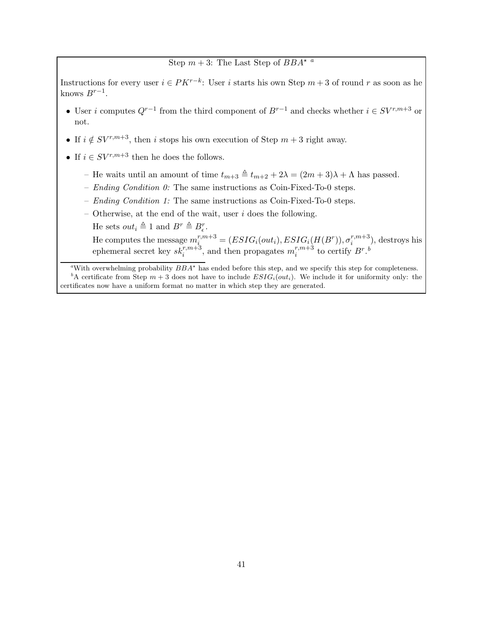## Step  $m + 3$ : The L[a](#page-40-0)st Step of  $BBA^{\star a}$

Instructions for every user  $i \in PK^{r-k}$ : User i starts his own Step  $m+3$  of round r as soon as he knows  $B^{r-1}$ .

- User i computes  $Q^{r-1}$  from the third component of  $B^{r-1}$  and checks whether  $i \in SV^{r,m+3}$  or not.
- If  $i \notin SV^{r,m+3}$ , then i stops his own execution of Step  $m+3$  right away.
- If  $i \in SV^{r,m+3}$  then he does the follows.
	- He waits until an amount of time  $t_{m+3} \triangleq t_{m+2} + 2\lambda = (2m+3)\lambda + \Lambda$  has passed.
	- Ending Condition  $0$ : The same instructions as Coin-Fixed-To-0 steps.
	- Ending Condition 1: The same instructions as Coin-Fixed-To-0 steps.
	- Otherwise, at the end of the wait, user  $i$  does the following.
		- He sets  $out_i \triangleq 1$  and  $B^r \triangleq B_{\epsilon}^r$ .

He computes the message  $m_i^{r,m+3} = (ESIG_i(out_i), ESIG_i(H(B^r)), \sigma_i^{r,m+3})$  $i^{(n+3)}$ , destroys his ephemeral secret key  $sk_i^{r,m+3}$ , and then propagates  $m_i^{r,m+3}$  $t_i^{r,m+3}$  to certify  $B^r$ .<sup>[b](#page-40-1)</sup>

<span id="page-40-1"></span><span id="page-40-0"></span>"With overwhelming probability  $BBA^*$  has ended before this step, and we specify this step for completeness. <sup>b</sup>A certificate from Step  $m + 3$  does not have to include  $ESIG_i(out_i)$ . We include it for uniformity only: the certificates now have a uniform format no matter in which step they are generated.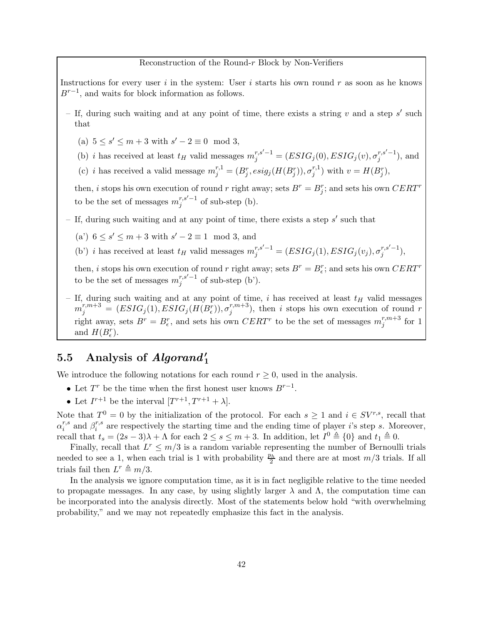#### Reconstruction of the Round-r Block by Non-Verifiers

Instructions for every user  $i$  in the system: User  $i$  starts his own round  $r$  as soon as he knows  $B^{r-1}$ , and waits for block information as follows.

- If, during such waiting and at any point of time, there exists a string  $v$  and a step  $s'$  such that
	- (a)  $5 \le s' \le m + 3$  with  $s' 2 \equiv 0 \mod 3$ ,
	- (b) *i* has received at least  $t_H$  valid messages  $m_j^{r,s'-1} = (ESIG_j(0), ESIG_j(v), \sigma_j^{r,s'-1})$  $j^{r,s-1}$ ), and
	- (c) *i* has received a valid message  $m_j^{r,1} = (B_j^r, esig_j(H(B_j^r)), \sigma_j^{r,1})$  $j^{r,1})$  with  $v = H(B_j^r)$ ,

then, *i* stops his own execution of round *r* right away; sets  $B^r = B_j^r$ ; and sets his own  $CERT^r$ to be the set of messages  $m_i^{r,s'-1}$  $j^{r,s-1}$  of sub-step (b).

– If, during such waiting and at any point of time, there exists a step s' such that

- (a')  $6 \leq s' \leq m+3$  with  $s'-2 \equiv 1 \mod 3$ , and
- (b') *i* has received at least  $t_H$  valid messages  $m_j^{r,s'-1} = (ESIG_j(1), ESIG_j(v_j), \sigma_j^{r,s'-1})$  $j^{r,s-1}),$

then, *i* stops his own execution of round *r* right away; sets  $B^r = B_{\epsilon}^r$ ; and sets his own  $CERT^r$ to be the set of messages  $m_i^{r,s'-1}$  $j^{r,s-1}$  of sub-step (b').

– If, during such waiting and at any point of time, i has received at least  $t_H$  valid messages  $m_j^{r,m+3} \, = \, (ESIG_j(1), ESIG_j(H(B_{\epsilon}^r)), \sigma_j^{r,m+3}$  $\binom{r,m+3}{j}$ , then i stops his own execution of round r right away, sets  $B^r = B_{\epsilon}^r$ , and sets his own  $CERT^r$  to be the set of messages  $m_j^{r,m+3}$  $_j^{r,m+5}$  for 1 and  $H(B_{\epsilon}^r)$ .

# 5.5 Analysis of  $Algorithm_{1}'$

We introduce the following notations for each round  $r \geq 0$ , used in the analysis.

- Let  $T^r$  be the time when the first honest user knows  $B^{r-1}$ .
- Let  $I^{r+1}$  be the interval  $[T^{r+1}, T^{r+1} + \lambda]$ .

Note that  $T^0 = 0$  by the initialization of the protocol. For each  $s \ge 1$  and  $i \in SV^{r,s}$ , recall that  $\alpha_i^{r,s}$  and  $\beta_i^{r,s}$  are respectively the starting time and the ending time of player i's step s. Moreover,  $_i$  and  $\mu_i$ recall that  $t_s = (2s - 3)\lambda + \Lambda$  for each  $2 \le s \le m + 3$ . In addition, let  $I^0 \triangleq \{0\}$  and  $t_1 \triangleq 0$ .

Finally, recall that  $L^r \leq m/3$  is a random variable representing the number of Bernoulli trials needed to see a 1, when each trial is 1 with probability  $\frac{p_h}{2}$  and there are at most  $m/3$  trials. If all trials fail then  $L^r \triangleq m/3$ .

In the analysis we ignore computation time, as it is in fact negligible relative to the time needed to propagate messages. In any case, by using slightly larger  $\lambda$  and  $\Lambda$ , the computation time can be incorporated into the analysis directly. Most of the statements below hold "with overwhelming probability," and we may not repeatedly emphasize this fact in the analysis.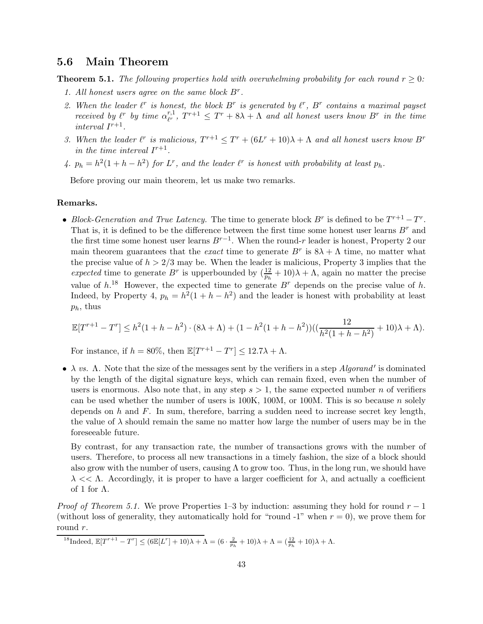## 5.6 Main Theorem

<span id="page-42-1"></span>**Theorem 5.1.** The following properties hold with overwhelming probability for each round  $r > 0$ :

- 1. All honest users agree on the same block  $B^r$ .
- 2. When the leader  $\ell^r$  is honest, the block  $B^r$  is generated by  $\ell^r$ ,  $B^r$  contains a maximal payset received by  $\ell^r$  by time  $\alpha_r^{r,1}$  $r^{r,1}_{r}, T^{r+1} \leq T^r + 8\lambda + \Lambda$  and all honest users know  $B^r$  in the time interval  $I^{r+1}$ .
- 3. When the leader  $\ell^r$  is malicious,  $T^{r+1} \leq T^r + (6L^r + 10)\lambda + \Lambda$  and all honest users know  $B^r$ in the time interval  $I^{r+1}$ .
- 4.  $p_h = h^2(1 + h h^2)$  for  $L^r$ , and the leader  $\ell^r$  is honest with probability at least  $p_h$ .

Before proving our main theorem, let us make two remarks.

#### Remarks.

• Block-Generation and True Latency. The time to generate block  $B^r$  is defined to be  $T^{r+1}-T^r$ . That is, it is defined to be the difference between the first time some honest user learns  $B^r$  and the first time some honest user learns  $B^{r-1}$ . When the round-r leader is honest, Property 2 our main theorem guarantees that the *exact* time to generate  $B^r$  is  $8\lambda + \Lambda$  time, no matter what the precise value of  $h > 2/3$  may be. When the leader is malicious, Property 3 implies that the expected time to generate  $B^r$  is upperbounded by  $(\frac{12}{p_h} + 10)\lambda + \Lambda$ , again no matter the precise value of  $h^{18}$  $h^{18}$  $h^{18}$  However, the expected time to generate  $B^r$  depends on the precise value of h. Indeed, by Property 4,  $p_h = h^2(1 + h - h^2)$  and the leader is honest with probability at least  $p_h$ , thus

$$
\mathbb{E}[T^{r+1} - T^r] \le h^2(1 + h - h^2) \cdot (8\lambda + \Lambda) + (1 - h^2(1 + h - h^2))\left(\left(\frac{12}{h^2(1 + h - h^2)} + 10\right)\lambda + \Lambda\right).
$$

For instance, if  $h = 80\%$ , then  $\mathbb{E}[T^{r+1} - T^r] \leq 12.7\lambda + \Lambda$ .

•  $\lambda$  vs.  $\Lambda$ . Note that the size of the messages sent by the verifiers in a step *Algorand'* is dominated by the length of the digital signature keys, which can remain fixed, even when the number of users is enormous. Also note that, in any step  $s > 1$ , the same expected number n of verifiers can be used whether the number of users is  $100K$ ,  $100M$ , or  $100M$ . This is so because n solely depends on h and  $F$ . In sum, therefore, barring a sudden need to increase secret key length, the value of  $\lambda$  should remain the same no matter how large the number of users may be in the foreseeable future.

By contrast, for any transaction rate, the number of transactions grows with the number of users. Therefore, to process all new transactions in a timely fashion, the size of a block should also grow with the number of users, causing  $\Lambda$  to grow too. Thus, in the long run, we should have  $\lambda \ll \Lambda$ . Accordingly, it is proper to have a larger coefficient for  $\lambda$ , and actually a coefficient of 1 for  $\Lambda$ .

*Proof of Theorem [5.1.](#page-42-1)* We prove Properties 1–3 by induction: assuming they hold for round  $r - 1$ (without loss of generality, they automatically hold for "round -1" when  $r = 0$ ), we prove them for round r.

<span id="page-42-0"></span><sup>18</sup>Indeed,  $\mathbb{E}[T^{r+1} - T^r] \leq (6\mathbb{E}[L^r] + 10)\lambda + \Lambda = (6 \cdot \frac{2}{p_h} + 10)\lambda + \Lambda = (\frac{12}{p_h} + 10)\lambda + \Lambda.$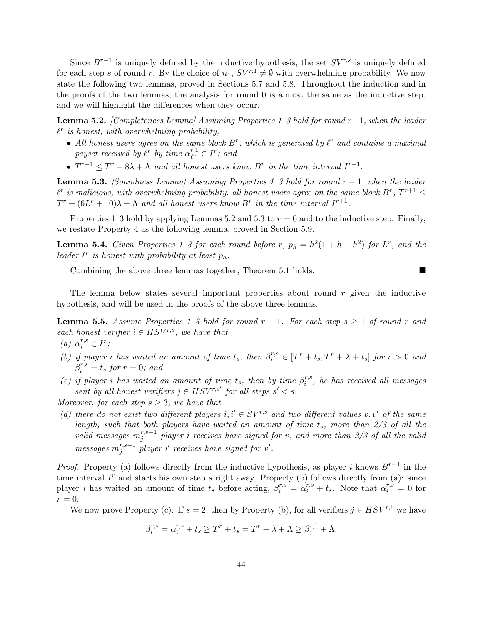Since  $B^{r-1}$  is uniquely defined by the inductive hypothesis, the set  $SV^{r,s}$  is uniquely defined for each step s of round r. By the choice of  $n_1$ ,  $SV^{r,1} \neq \emptyset$  with overwhelming probability. We now state the following two lemmas, proved in Sections [5.7](#page-45-0) and [5.8.](#page-47-0) Throughout the induction and in the proofs of the two lemmas, the analysis for round 0 is almost the same as the inductive step, and we will highlight the differences when they occur.

<span id="page-43-0"></span>**Lemma 5.2.** [Completeness Lemma] Assuming Properties 1–3 hold for round r−1, when the leader  $\ell^r$  is honest, with overwhelming probability,

- All honest users agree on the same block  $B^r$ , which is generated by  $\ell^r$  and contains a maximal payset received by  $\ell^r$  by time  $\alpha_F^{r,1}$  $_{\ell^r}^{r,1} \in I^r$ ; and
- $T^{r+1} \leq T^r + 8\lambda + \Lambda$  and all honest users know  $B^r$  in the time interval  $I^{r+1}$ .

<span id="page-43-1"></span>**Lemma 5.3.** [Soundness Lemma] Assuming Properties  $1-3$  hold for round  $r-1$ , when the leader  $\ell^r$  is malicious, with overwhelming probability, all honest users agree on the same block  $B^r, T^{r+1} \leq$  $T^r + (6L^r + 10)\lambda + \Lambda$  and all honest users know  $B^r$  in the time interval  $I^{r+1}$ .

Properties 1–3 hold by applying Lemmas [5.2](#page-43-0) and [5.3](#page-43-1) to  $r = 0$  and to the inductive step. Finally, we restate Property 4 as the following lemma, proved in Section [5.9.](#page-54-0)

<span id="page-43-3"></span>**Lemma 5.4.** Given Properties 1–3 for each round before r,  $p_h = h^2(1 + h - h^2)$  for L<sup>r</sup>, and the leader  $\ell^r$  is honest with probability at least  $p_h$ .

Combining the above three lemmas together, Theorem [5.1](#page-42-1) holds.

The lemma below states several important properties about round  $r$  given the inductive hypothesis, and will be used in the proofs of the above three lemmas.

<span id="page-43-2"></span>**Lemma 5.5.** Assume Properties 1–3 hold for round  $r - 1$ . For each step  $s \ge 1$  of round r and each honest verifier  $i \in HSV^{r,s}$ , we have that

(a)  $\alpha_i^{r,s} \in I^r$ ;

- (b) if player i has waited an amount of time  $t_s$ , then  $\beta_i^{r,s} \in [T^r + t_s, T^r + \lambda + t_s]$  for  $r > 0$  and  $\beta_i^{r,s} = t_s$  for  $r = 0$ ; and
- (c) if player i has waited an amount of time  $t_s$ , then by time  $\beta_i^{r,s}$  $i^{r,s}$ , he has received all messages sent by all honest verifiers  $j \in HSV^{r,s'}$  for all steps  $s' < s$ .

Moreover, for each step  $s \geq 3$ , we have that

(d) there do not exist two different players i,  $i' \in SV^{r,s}$  and two different values v, v' of the same length, such that both players have waited an amount of time  $t_s$ , more than  $2/3$  of all the valid messages  $m_i^{r,s-1}$  $j_j^{r,s-1}$  player i receives have signed for v, and more than 2/3 of all the valid  $\textit{messages} \ m_i^{r,s-1}$  $j^{r,s-1}$  player i' receives have signed for v'.

*Proof.* Property (a) follows directly from the inductive hypothesis, as player i knows  $B^{r-1}$  in the time interval  $I<sup>r</sup>$  and starts his own step s right away. Property (b) follows directly from (a): since player *i* has waited an amount of time  $t_s$  before acting,  $\beta_i^{r,s} = \alpha_i^{r,s} + t_s$ . Note that  $\alpha_i^{r,s} = 0$  for  $r=0.$ 

We now prove Property (c). If  $s = 2$ , then by Property (b), for all verifiers  $j \in HSV^{r,1}$  we have

$$
\beta_i^{r,s} = \alpha_i^{r,s} + t_s \ge T^r + t_s = T^r + \lambda + \Lambda \ge \beta_j^{r,1} + \Lambda.
$$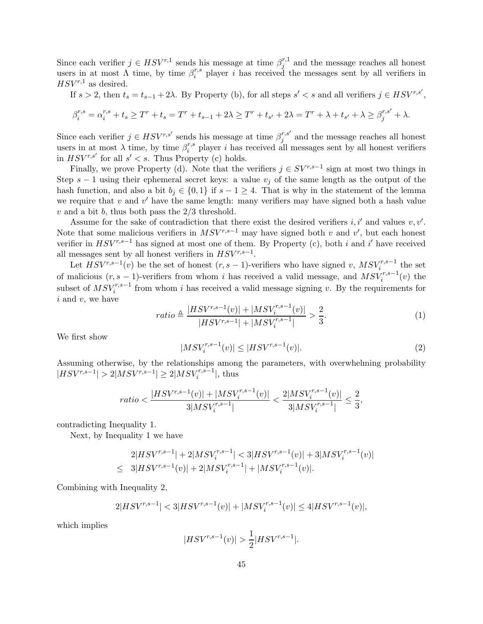Since each verifier  $j \in HSV^{r,1}$  sends his message at time  $\beta_j^{r,1}$  $j^{r,1}$  and the message reaches all honest users in at most  $\Lambda$  time, by time  $\beta_i^{r,s}$  $i^{r,s}$  player *i* has received the messages sent by all verifiers in  $HSV^{r,1}$  as desired.

If  $s > 2$ , then  $t_s = t_{s-1} + 2\lambda$ . By Property (b), for all steps  $s' < s$  and all verifiers  $j \in HSV^{r,s'}$ ,

$$
\beta_i^{r,s} = \alpha_i^{r,s} + t_s \ge T^r + t_s = T^r + t_{s-1} + 2\lambda \ge T^r + t_{s'} + 2\lambda = T^r + \lambda + t_{s'} + \lambda \ge \beta_j^{r,s'} + \lambda.
$$

Since each verifier  $j \in HSV^{r,s'}$  sends his message at time  $\beta_i^{r,s'}$  $j^{r,s}$  and the message reaches all honest users in at most  $\lambda$  time, by time  $\beta_i^{r,s}$  $i^{r,s}$  player *i* has received all messages sent by all honest verifiers in  $HSV^{r,s'}$  for all  $s' < s$ . Thus Property (c) holds.

Finally, we prove Property (d). Note that the verifiers  $j \in SV^{r,s-1}$  sign at most two things in Step  $s - 1$  using their ephemeral secret keys: a value  $v_i$  of the same length as the output of the hash function, and also a bit  $b_j \in \{0,1\}$  if  $s - 1 \geq 4$ . That is why in the statement of the lemma we require that  $v$  and  $v'$  have the same length: many verifiers may have signed both a hash value  $v$  and a bit  $b$ , thus both pass the  $2/3$  threshold.

Assume for the sake of contradiction that there exist the desired verifiers  $i, i'$  and values  $v, v'$ . Note that some malicious verifiers in  $MSV^{r,s-1}$  may have signed both v and v', but each honest verifier in  $HSV^{r,s-1}$  has signed at most one of them. By Property (c), both i and i' have received all messages sent by all honest verifiers in  $HSV^{r,s-1}$ .

Let  $HSV^{r,s-1}(v)$  be the set of honest  $(r, s-1)$ -verifiers who have signed v,  $MSV_i^{r,s-1}$  the set of malicious  $(r, s-1)$ -verifiers from whom i has received a valid message, and  $MSV_i^{r,s-1}(v)$  the subset of  $MSV_i^{r,s-1}$  from whom i has received a valid message signing v. By the requirements for  $i$  and  $v$ , we have

<span id="page-44-0"></span>
$$
ratio \triangleq \frac{|HSV^{r,s-1}(v)| + |MSV_i^{r,s-1}(v)|}{|HSV^{r,s-1}| + |MSV_i^{r,s-1}|} > \frac{2}{3}.
$$
\n<sup>(1)</sup>

We first show

<span id="page-44-1"></span>
$$
|MSV_i^{r,s-1}(v)| \le |HSV^{r,s-1}(v)|. \tag{2}
$$

Assuming otherwise, by the relationships among the parameters, with overwhelming probability  $|HSV^{r,s-1}| > 2|MSV^{r,s-1}| \geq 2|MSV_i^{r,s-1}|$ , thus

$$
ratio < \frac{|HSV^{r,s-1}(v)| + |MSV_i^{r,s-1}(v)|}{3|MSV_i^{r,s-1}|} < \frac{2|MSV_i^{r,s-1}(v)|}{3|MSV_i^{r,s-1}|} \le \frac{2}{3},
$$

contradicting Inequality [1.](#page-44-0)

Next, by Inequality [1](#page-44-0) we have

$$
2|HSV^{r,s-1}| + 2|MSV_i^{r,s-1}| < 3|HSV^{r,s-1}(v)| + 3|MSV_i^{r,s-1}(v)|
$$
  
\n
$$
\leq 3|HSV^{r,s-1}(v)| + 2|MSV_i^{r,s-1}| + |MSV_i^{r,s-1}(v)|.
$$

Combining with Inequality [2,](#page-44-1)

$$
2|HSV^{r,s-1}| < 3|HSV^{r,s-1}(v)| + |MSV_i^{r,s-1}(v)| \le 4|HSV^{r,s-1}(v)|,
$$

which implies

$$
|HSV^{r,s-1}(v)| > \frac{1}{2}|HSV^{r,s-1}|.
$$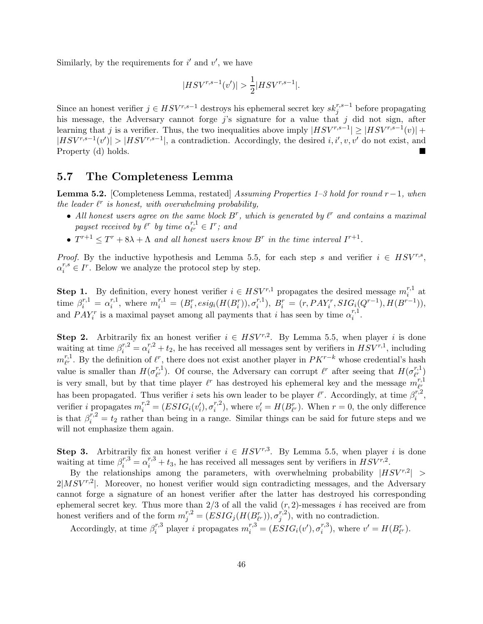Similarly, by the requirements for  $i'$  and  $v'$ , we have

$$
|HSV^{r,s-1}(v')| > \frac{1}{2}|HSV^{r,s-1}|.
$$

Since an honest verifier  $j \in HSV^{r,s-1}$  destroys his ephemeral secret key  $sk_j^{r,s-1}$  before propagating his message, the Adversary cannot forge  $j$ 's signature for a value that  $j$  did not sign, after learning that j is a verifier. Thus, the two inequalities above imply  $|HSV^{r,s-1}| \geq |HSV^{r,s-1}(v)| +$  $|HSV^{r,s-1}(v')| > |HSV^{r,s-1}|$ , a contradiction. Accordingly, the desired i, i', v, v' do not exist, and Property (d) holds.

### <span id="page-45-0"></span>5.7 The Completeness Lemma

**Lemma [5.2.](#page-43-0)** [Completeness Lemma, restated] Assuming Properties 1–3 hold for round  $r-1$ , when the leader  $\ell^r$  is honest, with overwhelming probability,

- All honest users agree on the same block  $B^r$ , which is generated by  $\ell^r$  and contains a maximal payset received by  $\ell^r$  by time  $\alpha_F^{r,1}$  $_{\ell^r}^{r,1} \in I^r$ ; and
- $T^{r+1} \leq T^r + 8\lambda + \Lambda$  and all honest users know  $B^r$  in the time interval  $I^{r+1}$ .

*Proof.* By the inductive hypothesis and Lemma [5.5,](#page-43-2) for each step s and verifier  $i \in HSV^{r,s}$ ,  $\alpha_i^{r,s} \in I^r$ . Below we analyze the protocol step by step.

**Step 1.** By definition, every honest verifier  $i \in HSV^{r,1}$  propagates the desired message  $m_i^{r,1}$  $i^{\prime 1}$  at time  $\beta_i^{r,1} = \alpha_i^{r,1}$  $i^{r,1}_{i}$ , where  $m_i^{r,1} = (B_i^r, esig_i(H(B_i^r)), \sigma_i^{r,1})$  $E_i^{r,1}), B_i^r = (r, PAY_i^r, SIG_i(Q^{r-1}), H(B^{r-1})),$ and  $PAY_i^r$  is a maximal payset among all payments that i has seen by time  $\alpha_i^{r,1}$  $\frac{r,1}{i}$ .

**Step 2.** Arbitrarily fix an honest verifier  $i \in HSV^{r,2}$ . By Lemma [5.5,](#page-43-2) when player i is done waiting at time  $\beta_i^{r,2} = \alpha_i^{r,2} + t_2$ , he has received all messages sent by verifiers in  $HSV^{r,1}$ , including  $m^{r,1}_{\ell r}$  $\ell^{r,1}_{\ell^r}$ . By the definition of  $\ell^r$ , there does not exist another player in  $PK^{r-k}$  whose credential's hash value is smaller than  $H(\sigma_{\ell r}^{r,1})$ <sup>r,1</sup>). Of course, the Adversary can corrupt  $\ell^r$  after seeing that  $H(\sigma_{\ell^r}^{r,1})$  $\binom{r,1}{\ell^r}$ is very small, but by that time player  $\ell^r$  has destroyed his ephemeral key and the message  $m_{\ell^r}^{r,1}$  $\ell_{\alpha}^{r}$ has been propagated. Thus verifier i sets his own leader to be player  $\ell^r$ . Accordingly, at time  $\beta_i^{r,2}$  $\frac{r,z}{i}$ , verifier i propagates  $m_i^{r,2} = (ESIG_i(v_i'), \sigma_i^{r,2})$  $v_i^{r,2}$ ), where  $v_i' = H(B_{\ell^r}^r)$ . When  $r = 0$ , the only difference is that  $\beta_i^{r,2} = t_2$  rather than being in a range. Similar things can be said for future steps and we will not emphasize them again.

**Step 3.** Arbitrarily fix an honest verifier  $i \in HSV^{r,3}$ . By Lemma [5.5,](#page-43-2) when player i is done waiting at time  $\beta_i^{r,3} = \alpha_i^{r,3} + t_3$ , he has received all messages sent by verifiers in  $HSV^{r,2}$ .

By the relationships among the parameters, with overwhelming probability  $|HSV^{r,2}| >$  $2|MSV^{r,2}|$ . Moreover, no honest verifier would sign contradicting messages, and the Adversary cannot forge a signature of an honest verifier after the latter has destroyed his corresponding ephemeral secret key. Thus more than  $2/3$  of all the valid  $(r, 2)$ -messages i has received are from honest verifiers and of the form  $m_j^{r,2} = (ESIG_j(H(B_{\ell^r}^r)), \sigma_j^{r,2})$  $j^{(r,2)}$ , with no contradiction.

Accordingly, at time  $\beta_i^{r,3}$ <sup>r,3</sup> player *i* propagates  $m_i^{r,3} = (ESIG_i(v'), \sigma_i^{r,3})$  $i^{r,3}$ , where  $v' = H(B_{\ell^r}^r)$ .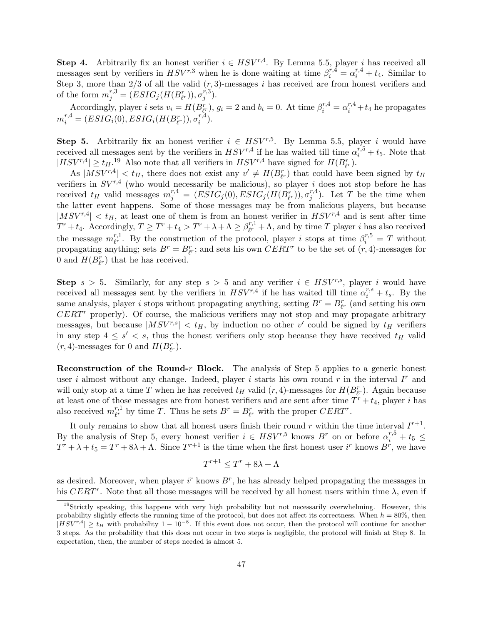**Step 4.** Arbitrarily fix an honest verifier  $i \in HSV^{r,4}$ . By Lemma [5.5,](#page-43-2) player i has received all messages sent by verifiers in  $HSV^{r,3}$  when he is done waiting at time  $\beta_i^{r,4} = \alpha_i^{r,4} + t_4$ . Similar to Step 3, more than  $2/3$  of all the valid  $(r, 3)$ -messages i has received are from honest verifiers and of the form  $m_j^{r,3} = (ESIG_j(H(B_{\ell^r}^r)), \sigma_j^{r,3})$  $_{j}^{r,s}).$ 

Accordingly, player *i* sets  $v_i = H(B_{\ell^r}^r)$ ,  $g_i = 2$  and  $b_i = 0$ . At time  $\beta_i^{r,4} = \alpha_i^{r,4} + t_4$  he propagates  $m_i^{r,4} = (ESIG_i(0), ESIG_i(H(B_{\ell^r}^r)), \sigma_i^{r,4})$  $i^{(r,4)}$ .

**Step 5.** Arbitrarily fix an honest verifier  $i \in HSV^{r,5}$ . By Lemma [5.5,](#page-43-2) player i would have received all messages sent by the verifiers in  $HSV^{r,4}$  if he has waited till time  $\alpha_i^{r,5} + t_5$ . Note that  $|HSV^{r,4}| \geq t_H$ <sup>[19](#page-46-0)</sup> Also note that all verifiers in  $HSV^{r,4}$  have signed for  $H(B_{\ell^r}^r)$ .

As  $|MSV^{r,4}| < t_H$ , there does not exist any  $v' \neq H(B_{\ell^r}^r)$  that could have been signed by  $t_H$ verifiers in  $SV^{r,4}$  (who would necessarily be malicious), so player i does not stop before he has received  $t_H$  valid messages  $m_j^{r,4} = (ESIG_j(0), ESIG_j(H(B_{\ell^r}^r)), \sigma_j^{r,4})$  $j^{(r,4)}$ . Let T be the time when the latter event happens. Some of those messages may be from malicious players, but because  $|MSV^{r,4}| < t_H$ , at least one of them is from an honest verifier in  $HSV^{r,4}$  and is sent after time  $T^r + t_4$ . Accordingly,  $T \geq T^r + t_4 > T^r + \lambda + \Lambda \geq \beta_{\ell^r}^{r,1}$  $v_{\ell}^{r,1} + \Lambda$ , and by time T player i has also received the message  $m_{\ell r}^{r,1}$ <sup>r,1</sup>. By the construction of the protocol, player *i* stops at time  $\beta_i^{r,5} = T$  without propagating anything; sets  $B^r = B^r_{\ell^r}$ ; and sets his own  $CERT^r$  to be the set of  $(r, 4)$ -messages for 0 and  $H(B_{\ell^r}^r)$  that he has received.

Step  $s > 5$ . Similarly, for any step  $s > 5$  and any verifier  $i \in HSV^{r,s}$ , player i would have received all messages sent by the verifiers in  $HSV^{r,4}$  if he has waited till time  $\alpha_i^{r,s} + t_s$ . By the same analysis, player i stops without propagating anything, setting  $B^r = B^r_{\ell^r}$  (and setting his own  $CERT$  properly). Of course, the malicious verifiers may not stop and may propagate arbitrary messages, but because  $|MSV^{r,s}| < t_H$ , by induction no other v' could be signed by  $t_H$  verifiers in any step  $4 \leq s' < s$ , thus the honest verifiers only stop because they have received  $t_H$  valid  $(r, 4)$ -messages for 0 and  $H(B_{\ell^r}^r)$ .

Reconstruction of the Round- $r$  Block. The analysis of Step 5 applies to a generic honest user i almost without any change. Indeed, player i starts his own round  $r$  in the interval  $I<sup>r</sup>$  and will only stop at a time T when he has received  $t_H$  valid  $(r, 4)$ -messages for  $H(B_{\ell^r}^r)$ . Again because at least one of those messages are from honest verifiers and are sent after time  $T^r + t_4$ , player i has also received  $m_{\ell r}^{r,1}$  $r^{r,1}_{\ell^r}$  by time T. Thus he sets  $B^r = B^r_{\ell^r}$  with the proper  $CERT^r$ .

It only remains to show that all honest users finish their round r within the time interval  $I^{r+1}$ . By the analysis of Step 5, every honest verifier  $i \in HSV^{r,5}$  knows  $B^r$  on or before  $\alpha_i^{r,5} + t_5 \leq$  $T^r + \lambda + t_5 = T^r + 8\lambda + \Lambda$ . Since  $T^{r+1}$  is the time when the first honest user i<sup>r</sup> knows  $B^r$ , we have

$$
T^{r+1} \le T^r + 8\lambda + \Lambda
$$

as desired. Moreover, when player  $i^r$  knows  $B^r$ , he has already helped propagating the messages in his CERT<sup>r</sup>. Note that all those messages will be received by all honest users within time  $\lambda$ , even if

<span id="page-46-0"></span><sup>&</sup>lt;sup>19</sup>Strictly speaking, this happens with very high probability but not necessarily overwhelming. However, this probability slightly effects the running time of the protocol, but does not affect its correctness. When  $h = 80\%$ , then  $|HSV^{r,4}| \geq t$  with probability  $1-10^{-8}$ . If this event does not occur, then the protocol will continue for another 3 steps. As the probability that this does not occur in two steps is negligible, the protocol will finish at Step 8. In expectation, then, the number of steps needed is almost 5.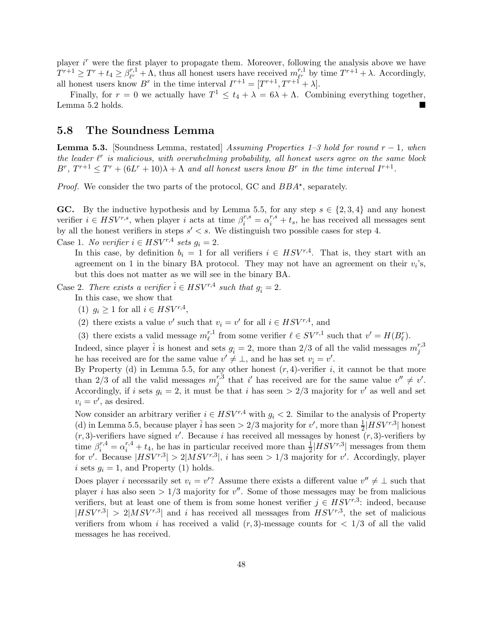player  $i<sup>r</sup>$  were the first player to propagate them. Moreover, following the analysis above we have  $T^{r+1} \geq T^r + t_4 \geq \beta_{\ell^r}^{r,1}$  $r^{r,1}_{\ell^r} + \Lambda$ , thus all honest users have received  $m_{\ell^r}^{r,1}$  $r^{r,1}_{\ell^r}$  by time  $T^{r+1} + \lambda$ . Accordingly, all honest users know  $B^r$  in the time interval  $I^{r+1} = [T^{r+1}, T^{r+1} + \lambda]$ .

Finally, for  $r = 0$  we actually have  $T^1 \le t_4 + \lambda = 6\lambda + \Lambda$ . Combining everything together, Lemma [5.2](#page-43-0) holds.

### <span id="page-47-0"></span>5.8 The Soundness Lemma

**Lemma [5.3.](#page-43-1)** [Soundness Lemma, restated] Assuming Properties 1–3 hold for round  $r - 1$ , when the leader  $\ell^r$  is malicious, with overwhelming probability, all honest users agree on the same block  $B^r$ ,  $T^{r+1} \leq T^r + (6L^r + 10)\lambda + \Lambda$  and all honest users know  $B^r$  in the time interval  $I^{r+1}$ .

*Proof.* We consider the two parts of the protocol, GC and  $BBA^*$ , separately.

GC. By the inductive hypothesis and by Lemma [5.5,](#page-43-2) for any step  $s \in \{2,3,4\}$  and any honest verifier  $i \in HSV^{r,s}$ , when player i acts at time  $\beta_i^{r,s} = \alpha_i^{r,s} + t_s$ , he has received all messages sent by all the honest verifiers in steps  $s' < s$ . We distinguish two possible cases for step 4.

Case 1. No verifier  $i \in HSV^{r,4}$  sets  $g_i = 2$ .

In this case, by definition  $b_i = 1$  for all verifiers  $i \in HSV^{r,4}$ . That is, they start with an agreement on 1 in the binary BA protocol. They may not have an agreement on their  $v_i$ 's, but this does not matter as we will see in the binary BA.

Case 2. There exists a verifier  $\hat{i} \in HSV^{r,4}$  such that  $g_{\hat{i}} = 2$ .

In this case, we show that

- (1)  $g_i \geq 1$  for all  $i \in HSV^{r,4}$ ,
- (2) there exists a value v' such that  $v_i = v'$  for all  $i \in HSV^{r, 4}$ , and
- (3) there exists a valid message  $m<sub>\ell</sub><sup>r,1</sup>$  $\ell^{r,1}_{\ell}$  from some verifier  $\ell \in SV^{r,1}$  such that  $v' = H(B_{\ell}^{r}).$

Indeed, since player  $\hat{i}$  is honest and sets  $g_{\hat{i}} = 2$ , more than 2/3 of all the valid messages  $m_j^{r,3}$ j he has received are for the same value  $v' \neq \bot$ , and he has set  $v_i = v'$ .

By Property (d) in Lemma [5.5,](#page-43-2) for any other honest  $(r, 4)$ -verifier i, it cannot be that more than 2/3 of all the valid messages  $m_i^{r,3}$  $y^{r,3}$  that i' has received are for the same value  $v'' \neq v'$ . Accordingly, if i sets  $g_i = 2$ , it must be that i has seen  $> 2/3$  majority for v' as well and set  $v_i = v'$ , as desired.

Now consider an arbitrary verifier  $i \in HSV^{r,4}$  with  $g_i < 2$ . Similar to the analysis of Property (d) in Lemma [5.5,](#page-43-2) because player  $\hat{i}$  has seen  $> 2/3$  majority for v', more than  $\frac{1}{2}|HSV^{r,3}|$  honest  $(r, 3)$ -verifiers have signed v'. Because i has received all messages by honest  $(r, 3)$ -verifiers by time  $\beta_i^{r,4} = \alpha_i^{r,4} + t_4$ , he has in particular received more than  $\frac{1}{2} | HSV^{r,3}|$  messages from them for v'. Because  $|HSV^{r,3}| > 2|MSV^{r,3}|$ , i has seen  $> 1/3$  majority for v'. Accordingly, player i sets  $g_i = 1$ , and Property (1) holds.

Does player *i* necessarily set  $v_i = v'$ ? Assume there exists a different value  $v'' \neq \bot$  such that player *i* has also seen  $> 1/3$  majority for  $v''$ . Some of those messages may be from malicious verifiers, but at least one of them is from some honest verifier  $j \in HSV^{r,3}$ : indeed, because  $|HSV^{r,3}| > 2|MSV^{r,3}|$  and i has received all messages from  $HSV^{r,3}$ , the set of malicious verifiers from whom i has received a valid  $(r, 3)$ -message counts for  $\lt 1/3$  of all the valid messages he has received.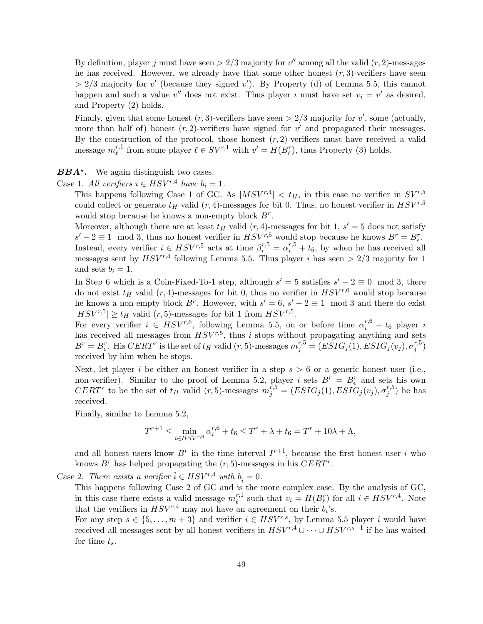By definition, player j must have seen  $> 2/3$  majority for  $v''$  among all the valid  $(r, 2)$ -messages he has received. However, we already have that some other honest  $(r, 3)$ -verifiers have seen  $> 2/3$  majority for v' (because they signed v'). By Property (d) of Lemma [5.5,](#page-43-2) this cannot happen and such a value  $v''$  does not exist. Thus player i must have set  $v_i = v'$  as desired, and Property (2) holds.

Finally, given that some honest  $(r, 3)$ -verifiers have seen  $> 2/3$  majority for v', some (actually, more than half of) honest  $(r, 2)$ -verifiers have signed for  $v'$  and propagated their messages. By the construction of the protocol, those honest  $(r, 2)$ -verifiers must have received a valid message  $m_{\ell}^{r,1}$ <sup>r,1</sup> from some player  $\ell \in SV^{r,1}$  with  $v' = H(B_{\ell}^r)$ , thus Property (3) holds.

 $BBA<sup>*</sup>$ . We again distinguish two cases.

Case 1. All verifiers  $i \in HSV^{r,4}$  have  $b_i = 1$ .

This happens following Case 1 of GC. As  $|MSV^{r,4}| < t_H$ , in this case no verifier in  $SV^{r,5}$ could collect or generate  $t_H$  valid  $(r, 4)$ -messages for bit 0. Thus, no honest verifier in  $HSV^{r,5}$ would stop because he knows a non-empty block  $B^r$ .

Moreover, although there are at least  $t_H$  valid  $(r, 4)$ -messages for bit 1,  $s' = 5$  does not satisfy  $s' - 2 \equiv 1 \mod 3$ , thus no honest verifier in  $HSV^{r,5}_{\tau}$  would stop because he knows  $B^r = B^r_{\epsilon}$ . Instead, every verifier  $i \in HSV^{r,5}$  acts at time  $\beta_i^{r,5} = \alpha_i^{r,5} + t_5$ , by when he has received all messages sent by  $HSV^{r,4}$  following Lemma [5.5.](#page-43-2) Thus player i has seen  $> 2/3$  majority for 1 and sets  $b_i = 1$ .

In Step 6 which is a Coin-Fixed-To-1 step, although  $s' = 5$  satisfies  $s' - 2 \equiv 0 \mod 3$ , there do not exist  $t_H$  valid  $(r, 4)$ -messages for bit 0, thus no verifier in  $HSV^{r,6}$  would stop because he knows a non-empty block  $B^r$ . However, with  $s' = 6$ ,  $s' - 2 \equiv 1 \mod 3$  and there do exist  $|HSV^{r,5}| \ge t_H$  valid  $(r,5)$ -messages for bit 1 from  $HSV^{r,5}$ .

For every verifier  $i \in HSV^{r,6}$ , following Lemma [5.5,](#page-43-2) on or before time  $\alpha_i^{r,6} + t_6$  player i has received all messages from  $HSV^{r,5}$ , thus i stops without propagating anything and sets  $B^r = B^r_{\epsilon}$ . His  $CERT^r$  is the set of  $t_H$  valid  $(r, 5)$ -messages  $m_j^{r,5} = (ESIG_j(1), ESIG_j(v_j), \sigma_j^{r,5})$  $_j^{r,0})$ received by him when he stops.

Next, let player i be either an honest verifier in a step  $s > 6$  or a generic honest user (i.e., non-verifier). Similar to the proof of Lemma [5.2,](#page-43-0) player i sets  $B^r = B^r_{\epsilon}$  and sets his own  $CERT^{r}$  to be the set of  $t_H$  valid  $(r, 5)$ -messages  $m_j^{r,5} = (ESIG_j(1), ESIG_j(v_j), \sigma_j^{r,5})$  $j^{(r,s)}$  he has received.

Finally, similar to Lemma [5.2,](#page-43-0)

$$
T^{r+1} \le \min_{i \in HSV^{r,6}} \alpha_i^{r,6} + t_6 \le T^r + \lambda + t_6 = T^r + 10\lambda + \Lambda,
$$

and all honest users know  $B^r$  in the time interval  $I^{r+1}$ , because the first honest user i who knows  $B^r$  has helped propagating the  $(r, 5)$ -messages in his  $CERT^r$ .

Case 2. There exists a verifier  $\hat{i} \in HSV^{r,4}$  with  $b_{\hat{i}} = 0$ .

This happens following Case 2 of GC and is the more complex case. By the analysis of GC, in this case there exists a valid message  $m_i^{r,1}$  $v_i^{r,1}$  such that  $v_i = H(B_\ell^r)$  for all  $i \in HSV^{r,4}$ . Note that the verifiers in  $HSV^{r,4}$  may not have an agreement on their  $b_i$ 's.

For any step  $s \in \{5, \ldots, m+3\}$  and verifier  $i \in HSV^{r,s}$ , by Lemma [5.5](#page-43-2) player i would have received all messages sent by all honest verifiers in  $HSV^{r,4} \cup \cdots \cup HSV^{r,s-1}$  if he has waited for time  $t_s$ .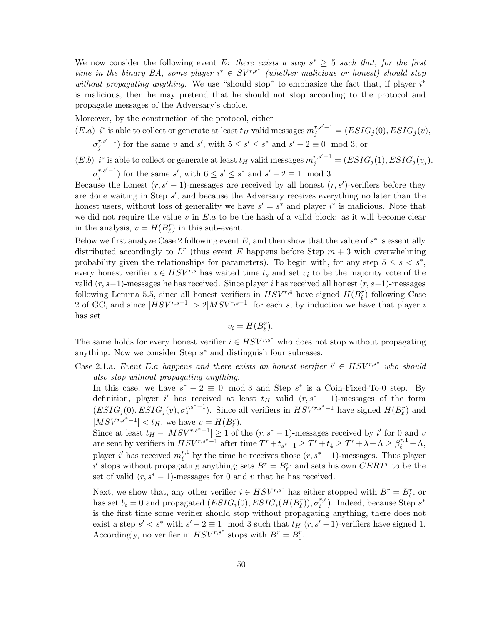We now consider the following event E: there exists a step  $s^* \geq 5$  such that, for the first time in the binary BA, some player  $i^* \in SV^{r,s^*}$  (whether malicious or honest) should stop without propagating anything. We use "should stop" to emphasize the fact that, if player  $i^*$ is malicious, then he may pretend that he should not stop according to the protocol and propagate messages of the Adversary's choice.

Moreover, by the construction of the protocol, either

(E.a) 
$$
i^*
$$
 is able to collect or generate at least  $t_H$  valid messages  $m_j^{r,s'-1} = (ESIG_j(0), ESIG_j(v), \sigma_j^{r,s'-1})$  for the same v and s', with  $5 \le s' \le s^*$  and  $s' - 2 \equiv 0 \mod 3$ ; or

 $(E.b)$  i<sup>\*</sup> is able to collect or generate at least  $t_H$  valid messages  $m_j^{r,s'-1} = (ESIG_j(1), ESIG_j(v_j),$ 

 $\sigma_i^{r,s'-1}$  $j^{r,s'-1}$  for the same s', with  $6 \le s' \le s^*$  and  $s'-2 \equiv 1 \mod 3$ .

Because the honest  $(r, s' - 1)$ -messages are received by all honest  $(r, s')$ -verifiers before they are done waiting in Step s', and because the Adversary receives everything no later than the honest users, without loss of generality we have  $s' = s^*$  and player  $i^*$  is malicious. Note that we did not require the value  $v$  in  $E.a$  to be the hash of a valid block: as it will become clear in the analysis,  $v = H(B_{\ell}^{r})$  in this sub-event.

Below we first analyze Case 2 following event  $E$ , and then show that the value of  $s^*$  is essentially distributed accordingly to  $L^r$  (thus event E happens before Step  $m+3$  with overwhelming probability given the relationships for parameters). To begin with, for any step  $5 \leq s \leq s^*$ , every honest verifier  $i \in HSV^{r,s}$  has waited time  $t_s$  and set  $v_i$  to be the majority vote of the valid  $(r, s-1)$ -messages he has received. Since player *i* has received all honest  $(r, s-1)$ -messages following Lemma [5.5,](#page-43-2) since all honest verifiers in  $HSV^{r,4}$  have signed  $H(B_{\ell}^{r})$  following Case 2 of GC, and since  $|HSV^{r,s-1}| > 2|MSV^{r,s-1}|$  for each s, by induction we have that player i has set

$$
v_i = H(B_\ell^r).
$$

The same holds for every honest verifier  $i \in HSV^{r,s^*}$  who does not stop without propagating anything. Now we consider Step  $s^*$  and distinguish four subcases.

Case 2.1.a. Event E.a happens and there exists an honest verifier  $i' \in HSV^{r,s^*}$  who should also stop without propagating anything.

In this case, we have  $s^* - 2 \equiv 0 \mod 3$  and Step  $s^*$  is a Coin-Fixed-To-0 step. By definition, player i' has received at least  $t_H$  valid  $(r, s^* - 1)$ -messages of the form  $(ESIG_j(0), ESIG_j(v), \sigma_i^{r,s^*-1})$  $j^{r,s^*-1}$ ). Since all verifiers in  $HSV^{r,s^*-1}$  have signed  $H(B_\ell^r)$  and  $|MSV^{r,s^*-1}| < t_H$ , we have  $v = H(B_\ell^r)$ .

Since at least  $t_H - |MSV^{r,s^*-1}| \geq 1$  of the  $(r, s^* - 1)$ -messages received by i' for 0 and v are sent by verifiers in  $HSV^{r,s^*-\overline{1}}$  after time  $T^r+t_{s^*-1} \geq T^r+t_4 \geq T^r+\lambda+\Lambda \geq \beta_{\ell}^{r,1}+\Lambda,$ player i' has received  $m_{\ell}^{r,1}$  $\ell^{r,1}_{\ell}$  by the time he receives those  $(r, s^* - 1)$ -messages. Thus player i' stops without propagating anything; sets  $B^r = B^r_{\ell}$ ; and sets his own  $CERT^r$  to be the set of valid  $(r, s^* - 1)$ -messages for 0 and v that he has received.

Next, we show that, any other verifier  $i \in HSV^{r,s^*}$  has either stopped with  $B^r = B^r_{\ell}$ , or has set  $b_i = 0$  and propagated  $(ESIG_i(0), ESIG_i(H(B_{\ell}^r)), \sigma_i^{r,s})$  $i^{r,s}$ ). Indeed, because Step  $s^*$ is the first time some verifier should stop without propagating anything, there does not exist a step  $s' < s^*$  with  $s' - 2 \equiv 1 \mod 3$  such that  $t_H$   $(r, s' - 1)$ -verifiers have signed 1. Accordingly, no verifier in  $HSV^{r,s^*}$  stops with  $B^r = B_{\epsilon}^r$ .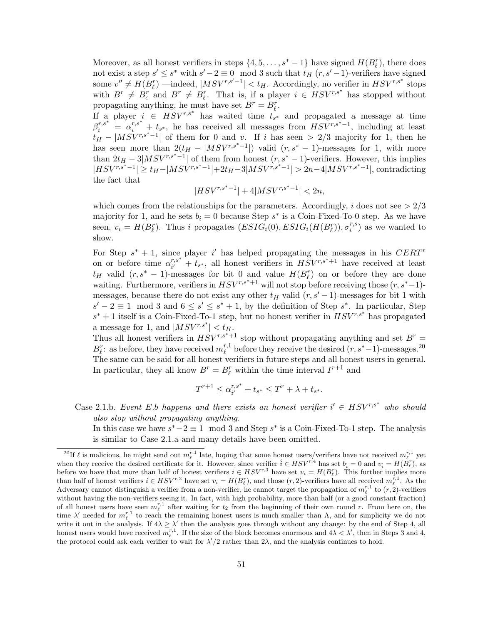Moreover, as all honest verifiers in steps  $\{4, 5, \ldots, s^* - 1\}$  have signed  $H(B_{\ell}^r)$ , there does not exist a step  $s' \leq s^*$  with  $s'-2 \equiv 0 \mod 3$  such that  $t_H(r, s'-1)$ -verifiers have signed some  $v'' \neq H(B_{\ell}^{r})$  —indeed,  $|MSV^{r,s'-1}| < t_H$ . Accordingly, no verifier in  $HSV^{r,s^*}$  stops with  $B^r \neq B_{\epsilon}^r$  and  $B^r \neq B_{\ell}^r$ . That is, if a player  $i \in HSV^{r,s^*}$  has stopped without propagating anything, he must have set  $B^r = B_\ell^r$ .

If a player  $i \in \text{HSV}^{r,s^*}$  has waited time  $t_{s^*}$  and propagated a message at time  $\beta_i^{r,s^*} = \alpha_i^{r,s^*} + t_{s^*}$ , he has received all messages from  $HSV^{r,s^*-1}$ , including at least  $t_H = |MSV^{r,s^*-1}|$  of them for 0 and v. If i has seen > 2/3 majority for 1, then he has seen more than  $2(t_H - |MSV^{r,s^*-1}|)$  valid  $(r, s^* - 1)$ -messages for 1, with more than  $2t_H - 3|MSV^{r,s^*-1}|$  of them from honest  $(r, s^* - 1)$ -verifiers. However, this implies  $|HSV^{r,s^*-1}| \ge t_H - |MSV^{r,s^*-1}| + 2t_H - 3 |MSV^{r,s^*-1}| > 2n - 4 |MSV^{r,s^*-1}|$ , contradicting the fact that

$$
|HSV^{r,s^*-1}| + 4|MSV^{r,s^*-1}| < 2n,
$$

which comes from the relationships for the parameters. Accordingly, i does not see  $> 2/3$ majority for 1, and he sets  $b_i = 0$  because Step  $s^*$  is a Coin-Fixed-To-0 step. As we have seen,  $v_i = H(B_{\ell}^r)$ . Thus i propagates  $(ESIG_i(0), ESIG_i(H(B_{\ell}^r)), \sigma_i^{r,s})$  $i^{(r,s)}$  as we wanted to show.

For Step  $s^* + 1$ , since player i' has helped propagating the messages in his CERT<sup>r</sup> on or before time  $\alpha_{i'}^{r,s^*}$  $\overline{r}_{i'}^{r,s^*} + \overline{t}_{s^*}$ , all honest verifiers in  $\overline{HSV^{r,s^*+1}}$  have received at least  $t_H$  valid  $(r, s^* - 1)$ -messages for bit 0 and value  $H(B_\ell^r)$  on or before they are done waiting. Furthermore, verifiers in  $HSV^{r,s^*+1}$  will not stop before receiving those  $(r, s^*-1)$ messages, because there do not exist any other  $t_H$  valid  $(r, s' - 1)$ -messages for bit 1 with  $s'-2 \equiv 1 \mod 3$  and  $6 \leq s' \leq s^*+1$ , by the definition of Step  $s^*$ . In particular, Step  $s^* + 1$  itself is a Coin-Fixed-To-1 step, but no honest verifier in  $HSV^{r,s^*}$  has propagated a message for 1, and  $|MSV^{r,s^*}| < t_H$ .

Thus all honest verifiers in  $HSV^{r,s^*+1}$  stop without propagating anything and set  $B^r =$  $B_{\ell}^{r}$ : as before, they have received  $m_{\ell}^{r,1}$  $\ell^{r,1}_{\ell}$  before they receive the desired  $(r, s^* - 1)$ -messages.<sup>[20](#page-50-0)</sup> The same can be said for all honest verifiers in future steps and all honest users in general. In particular, they all know  $B^r = B^r_\ell$  within the time interval  $I^{r+1}$  and

$$
T^{r+1} \leq \alpha_{i'}^{r,s^*} + t_{s^*} \leq T^r + \lambda + t_{s^*}.
$$

Case 2.1.b. Event E.b happens and there exists an honest verifier  $i' \in HSV^{r,s^*}$  who should also stop without propagating anything.

In this case we have  $s^* - 2 \equiv 1 \mod 3$  and Step  $s^*$  is a Coin-Fixed-To-1 step. The analysis is similar to Case 2.1.a and many details have been omitted.

<span id="page-50-0"></span><sup>&</sup>lt;sup>20</sup>If  $\ell$  is malicious, he might send out  $m_{\ell}^{r,1}$  late, hoping that some honest users/verifiers have not received  $m_{\ell}^{r,1}$  yet when they receive the desired certificate for it. However, since verifier  $\hat{i} \in HSV^{r,4}$  has set  $b_{\hat{i}} = 0$  and  $v_{\hat{i}} = H(\tilde{B}_{\ell}^r)$ , as before we have that more than half of honest verifiers  $i \in HSV^{r,3}$  have set  $v_i = H(B_\ell^r)$ . This further implies more than half of honest verifiers  $i \in HSV^{r,2}$  have set  $v_i = H(B_\ell^r)$ , and those  $(r, 2)$ -verifiers have all received  $m_{\ell}^{r,1}$ . As the Adversary cannot distinguish a verifier from a non-verifier, he cannot target the propagation of  $m_{\ell}^{r,1}$  to  $(r,2)$ -verifiers without having the non-verifiers seeing it. In fact, with high probability, more than half (or a good constant fraction) of all honest users have seen  $m_{\ell}^{r,1}$  after waiting for  $t_2$  from the beginning of their own round r. From here on, the time  $\lambda'$  needed for  $m_{\ell}^{r,1}$  to reach the remaining honest users is much smaller than  $\Lambda$ , and for simplicity we do not write it out in the analysis. If  $4\lambda \geq \lambda'$  then the analysis goes through without any change: by the end of Step 4, all honest users would have received  $m_{\ell}^{r,1}$ . If the size of the block becomes enormous and  $4\lambda < \lambda'$ , then in Steps 3 and 4, the protocol could ask each verifier to wait for  $\lambda'/2$  rather than  $2\lambda$ , and the analysis continues to hold.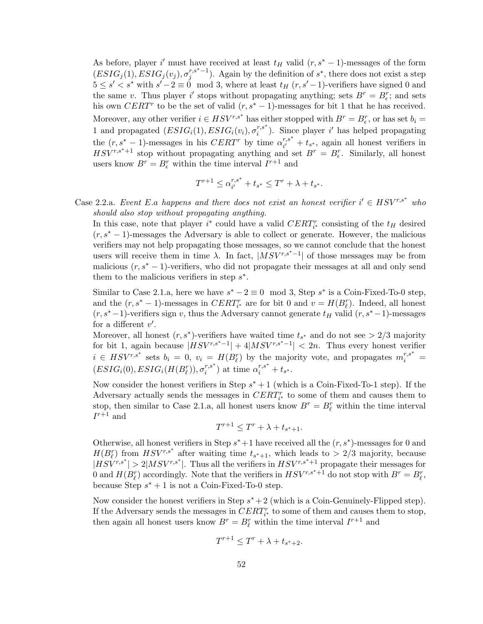As before, player i' must have received at least  $t_H$  valid  $(r, s^* - 1)$ -messages of the form  $(ESIG_j(1), ESIG_j(v_j), \sigma_i^{r,s^*-1})$  $j^{r,s^*-1}$ ). Again by the definition of  $s^*$ , there does not exist a step  $5 \leq s' < s^*$  with  $s' - 2 \equiv 0 \mod 3$ , where at least  $t_H(r, s' - 1)$ -verifiers have signed 0 and the same v. Thus player i' stops without propagating anything; sets  $B^r = B_\epsilon^r$ ; and sets his own CERT<sup>r</sup> to be the set of valid  $(r, s^* - 1)$ -messages for bit 1 that he has received. Moreover, any other verifier  $i \in HSV^{r,s^*}$  has either stopped with  $B^r = B^r_{\epsilon}$ , or has set  $b_i =$ 1 and propagated  $(ESIG_i(1), ESIG_i(v_i), \sigma_i^{r,s^*})$  $i^{r,s^*}$ ). Since player i' has helped propagating the  $(r, s^* - 1)$ -messages in his  $CERT^r$  by time  $\alpha_{i'}^{r,s^*}$  $\frac{r,s}{i'} + t_{s^*}$ , again all honest verifiers in  $HSV^{r,s^*+1}$  stop without propagating anything and set  $B^r = B_\epsilon^r$ . Similarly, all honest users know  $B^r = B^r_{\epsilon}$  within the time interval  $I^{r+1}$  and

$$
T^{r+1} \leq \alpha_{i'}^{r,s^*} + t_{s^*} \leq T^r + \lambda + t_{s^*}.
$$

Case 2.2.a. Event E.a happens and there does not exist an honest verifier  $i' \in HSV^{r,s^*}$  who should also stop without propagating anything.

In this case, note that player  $i^*$  could have a valid  $CERT_{i^*}^r$  consisting of the  $t_H$  desired  $(r, s^* - 1)$ -messages the Adversary is able to collect or generate. However, the malicious verifiers may not help propagating those messages, so we cannot conclude that the honest users will receive them in time  $\lambda$ . In fact,  $|MSV^{r,s^*-1}|$  of those messages may be from malicious  $(r, s^* - 1)$ -verifiers, who did not propagate their messages at all and only send them to the malicious verifiers in step  $s^*$ .

Similar to Case 2.1.a, here we have  $s^* - 2 \equiv 0 \mod 3$ , Step  $s^*$  is a Coin-Fixed-To-0 step, and the  $(r, s^* - 1)$ -messages in  $CERT_{i^*}^r$  are for bit 0 and  $v = H(B_{\ell}^r)$ . Indeed, all honest  $(r, s<sup>*</sup>−1)$ -verifiers sign v, thus the Adversary cannot generate  $t_H$  valid  $(r, s<sup>*</sup>−1)$ -messages for a different  $v'$ .

Moreover, all honest  $(r, s^*)$ -verifiers have waited time  $t_{s^*}$  and do not see > 2/3 majority for bit 1, again because  $|HSV^{r,s^*-1}| + 4|MSV^{r,s^*-1}| < 2n$ . Thus every honest verifier  $i \in HSV^{r,s^*}$  sets  $b_i = 0$ ,  $v_i = H(B_\ell^r)$  by the majority vote, and propagates  $m_i^{r,s^*} =$  $\overline{(ESIG_i(0),ESIG_i(H(B_{\ell}^{r})),\sigma_i^{r,s^*}}$  $i^{r,s^*}$ ) at time  $\alpha_i^{r,s^*} + t_{s^*}$ .

Now consider the honest verifiers in Step  $s^* + 1$  (which is a Coin-Fixed-To-1 step). If the Adversary actually sends the messages in  $CERT^r_{i^*}$  to some of them and causes them to stop, then similar to Case 2.1.a, all honest users know  $B^r = B^r_\ell$  within the time interval  $I^{r+1}$  and

$$
T^{r+1} \leq T^r + \lambda + t_{s^*+1}.
$$

Otherwise, all honest verifiers in Step  $s^*+1$  have received all the  $(r, s^*)$ -messages for 0 and  $H(B_{\ell}^{r})$  from  $HSV^{r,s^*}$  after waiting time  $t_{s^*+1}$ , which leads to  $> 2/3$  majority, because  $|HSV^{r,s^*}| > 2|MSV^{r,s^*}|$ . Thus all the verifiers in  $HSV^{r,s^*+1}$  propagate their messages for 0 and  $H(B_\ell^r)$  accordingly. Note that the verifiers in  $HSV^{r,s^*+1}$  do not stop with  $B^r = B_\ell^r$ , because Step  $s^* + 1$  is not a Coin-Fixed-To-0 step.

Now consider the honest verifiers in Step  $s^* + 2$  (which is a Coin-Genuinely-Flipped step). If the Adversary sends the messages in  $CERT_{i^*}^r$  to some of them and causes them to stop, then again all honest users know  $B^r = B^r_\ell$  within the time interval  $I^{r+1}$  and

$$
T^{r+1} \leq T^r + \lambda + t_{s^*+2}.
$$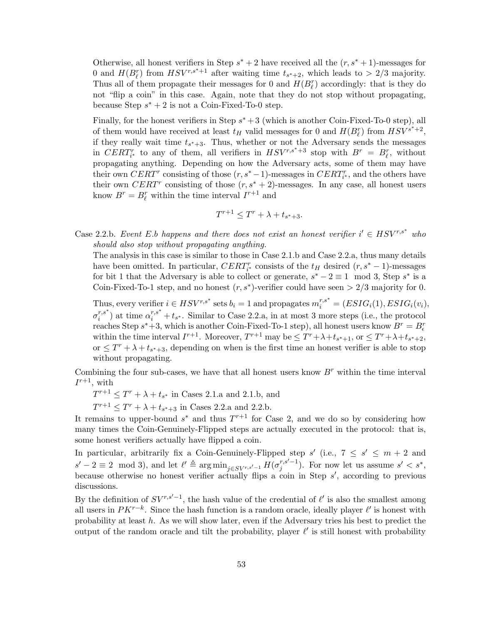Otherwise, all honest verifiers in Step  $s^* + 2$  have received all the  $(r, s^* + 1)$ -messages for 0 and  $H(B_{\ell}^{r})$  from  $HSV^{r,s^*+1}$  after waiting time  $t_{s^*+2}$ , which leads to  $> 2/3$  majority. Thus all of them propagate their messages for 0 and  $H(B_{\ell}^{r})$  accordingly: that is they do not "flip a coin" in this case. Again, note that they do not stop without propagating, because Step  $s^* + 2$  is not a Coin-Fixed-To-0 step.

Finally, for the honest verifiers in Step  $s^* + 3$  (which is another Coin-Fixed-To-0 step), all of them would have received at least  $t_H$  valid messages for 0 and  $H(B_{\ell}^r)$  from  $HSV^{s'+2}$ , if they really wait time  $t_{s^*+3}$ . Thus, whether or not the Adversary sends the messages in  $CERT_{i^*}^r$  to any of them, all verifiers in  $HSV^{r,s^*+3}$  stop with  $B^r = B_{\ell}^r$ , without propagating anything. Depending on how the Adversary acts, some of them may have their own  $CERT$  consisting of those  $(r, s^* - 1)$ -messages in  $CERT_{i^*}^r$ , and the others have their own CERT<sup>r</sup> consisting of those  $(r, s^* + 2)$ -messages. In any case, all honest users know  $B^r = B^r_\ell$  within the time interval  $I^{r+1}$  and

$$
T^{r+1} \leq T^r + \lambda + t_{s^*+3}.
$$

Case 2.2.b. Event E.b happens and there does not exist an honest verifier  $i' \in HSV^{r,s^*}$  who should also stop without propagating anything.

The analysis in this case is similar to those in Case 2.1.b and Case 2.2.a, thus many details have been omitted. In particular,  $CERT_{i^*}$  consists of the  $t_H$  desired  $(r, s^* - 1)$ -messages for bit 1 that the Adversary is able to collect or generate,  $s^* - 2 \equiv 1 \mod 3$ , Step  $s^*$  is a Coin-Fixed-To-1 step, and no honest  $(r, s^*)$ -verifier could have seen > 2/3 majority for 0.

Thus, every verifier  $i \in HSV^{r,s^*}$  sets  $b_i = 1$  and propagates  $m_i^{r,s^*} = (ESIG_i(1), ESIG_i(v_i),$  $\sigma_i^{r,s^*}$  $\sum_{i=1}^{r,s^*}$  at time  $\alpha_i^{r,s^*} + t_{s^*}$ . Similar to Case 2.2.a, in at most 3 more steps (i.e., the protocol reaches Step  $s^*+3$ , which is another Coin-Fixed-To-1 step), all honest users know  $B^r = B_{\epsilon}^r$ within the time interval  $I^{r+1}$ . Moreover,  $T^{r+1}$  may be  $\leq T^r + \lambda + t_{s^*+1}$ , or  $\leq T^r + \lambda + t_{s^*+2}$ , or  $\leq T^r + \lambda + t_{s^*+3}$ , depending on when is the first time an honest verifier is able to stop without propagating.

Combining the four sub-cases, we have that all honest users know  $B<sup>r</sup>$  within the time interval  $I^{r+1}$ , with

 $T^{r+1} \leq T^r + \lambda + t_{s^*}$  in Cases 2.1.a and 2.1.b, and

 $T^{r+1} \leq T^r + \lambda + t_{s^*+3}$  in Cases 2.2.a and 2.2.b.

It remains to upper-bound  $s^*$  and thus  $T^{r+1}$  for Case 2, and we do so by considering how many times the Coin-Genuinely-Flipped steps are actually executed in the protocol: that is, some honest verifiers actually have flipped a coin.

In particular, arbitrarily fix a Coin-Genuinely-Flipped step  $s'$  (i.e.,  $7 \leq s' \leq m+2$  and  $s'-2 \equiv 2 \mod 3$ , and let  $\ell' \triangleq \arg \min_{j \in SV^{r,s'-1}} H(\sigma_j^{r,s'-1})$  $j^{r,s'-1}$ ). For now let us assume  $s' < s^*$ , because otherwise no honest verifier actually flips a coin in Step  $s'$ , according to previous discussions.

By the definition of  $SV^{r,s'-1}$ , the hash value of the credential of  $\ell'$  is also the smallest among all users in  $PK^{r-k}$ . Since the hash function is a random oracle, ideally player  $\ell'$  is honest with probability at least  $h$ . As we will show later, even if the Adversary tries his best to predict the output of the random oracle and tilt the probability, player  $\ell'$  is still honest with probability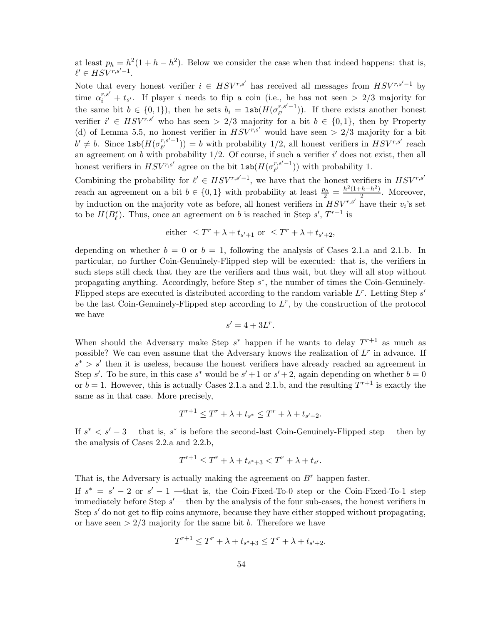at least  $p_h = h^2(1 + h - h^2)$ . Below we consider the case when that indeed happens: that is,  $\ell' \in HSV^{r,s'-1}.$ 

Note that every honest verifier  $i \in HSV^{r,s'}$  has received all messages from  $HSV^{r,s'-1}$  by time  $\alpha_i^{r,s'} + t_{s'}$ . If player i needs to flip a coin (i.e., he has not seen > 2/3 majority for the same bit  $b \in \{0, 1\}$ , then he sets  $b_i = \text{lsb}(H(\sigma_{\ell'}^{r,s'-1}))$  $\binom{r,s-1}{\ell'}$ ). If there exists another honest verifier  $i' \in HSV^{r,s'}$  who has seen > 2/3 majority for a bit  $b \in \{0,1\}$ , then by Property (d) of Lemma [5.5,](#page-43-2) no honest verifier in  $HSV^{r,s'}$  would have seen  $> 2/3$  majority for a bit  $b' \neq b$ . Since  $\texttt{lsb}(H(\sigma^{r,s'-1}_{\ell'})$  $\binom{r,s'-1}{\ell'}$ ) = b with probability 1/2, all honest verifiers in  $HSV^{r,s'}$  reach an agreement on b with probability  $1/2$ . Of course, if such a verifier i' does not exist, then all honest verifiers in  $HSV^{r,s'}$  agree on the bit  $1sb(H(\sigma_{\ell'}^{r,s'-1}))$  $\binom{r,s-1}{\ell'}$  with probability 1.

Combining the probability for  $\ell' \in HSV^{r,s'-1}$ , we have that the honest verifiers in  $HSV^{r,s'}$ reach an agreement on a bit  $b \in \{0,1\}$  with probability at least  $\frac{p_h}{2} = \frac{h^2(1+h-h^2)}{2}$  $\frac{n-n}{2}$ . Moreover, by induction on the majority vote as before, all honest verifiers in  $HSV^{r,s'}$  have their  $v_i$ 's set to be  $H(B_{\ell}^{r})$ . Thus, once an agreement on b is reached in Step s',  $T^{r+1}$  is

either 
$$
\leq T^r + \lambda + t_{s'+1}
$$
 or  $\leq T^r + \lambda + t_{s'+2}$ ,

depending on whether  $b = 0$  or  $b = 1$ , following the analysis of Cases 2.1.a and 2.1.b. In particular, no further Coin-Genuinely-Flipped step will be executed: that is, the verifiers in such steps still check that they are the verifiers and thus wait, but they will all stop without propagating anything. Accordingly, before Step  $s^*$ , the number of times the Coin-Genuinely-Flipped steps are executed is distributed according to the random variable  $L^r$ . Letting Step s' be the last Coin-Genuinely-Flipped step according to  $L^r$ , by the construction of the protocol we have

$$
s'=4+3L^r.
$$

When should the Adversary make Step  $s^*$  happen if he wants to delay  $T^{r+1}$  as much as possible? We can even assume that the Adversary knows the realization of  $L^r$  in advance. If  $s^* > s'$  then it is useless, because the honest verifiers have already reached an agreement in Step s'. To be sure, in this case s<sup>\*</sup> would be  $s' + 1$  or  $s' + 2$ , again depending on whether  $b = 0$ or  $b = 1$ . However, this is actually Cases 2.1.a and 2.1.b, and the resulting  $T^{r+1}$  is exactly the same as in that case. More precisely,

$$
T^{r+1} \le T^r + \lambda + t_{s^*} \le T^r + \lambda + t_{s'+2}.
$$

If  $s^* < s' - 3$  —that is,  $s^*$  is before the second-last Coin-Genuinely-Flipped step— then by the analysis of Cases 2.2.a and 2.2.b,

$$
T^{r+1} \le T^r + \lambda + t_{s^*+3} < T^r + \lambda + t_{s'}.
$$

That is, the Adversary is actually making the agreement on  $B<sup>r</sup>$  happen faster.

If  $s^* = s' - 2$  or  $s' - 1$  —that is, the Coin-Fixed-To-0 step or the Coin-Fixed-To-1 step immediately before Step  $s'$ — then by the analysis of the four sub-cases, the honest verifiers in Step s' do not get to flip coins anymore, because they have either stopped without propagating, or have seen  $> 2/3$  majority for the same bit b. Therefore we have

$$
T^{r+1} \le T^r + \lambda + t_{s^*+3} \le T^r + \lambda + t_{s'+2}.
$$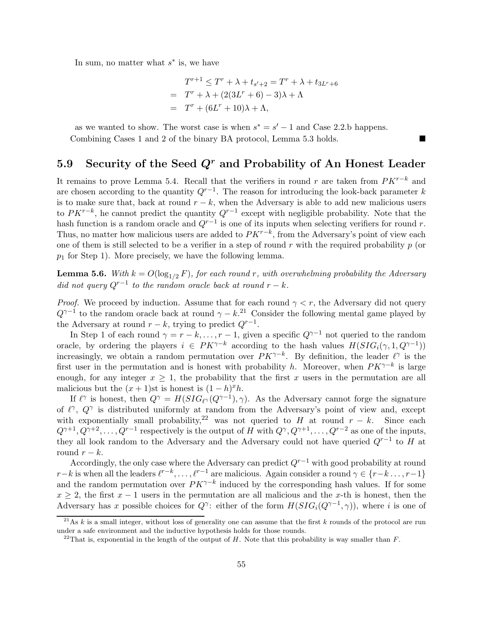In sum, no matter what  $s^*$  is, we have

$$
T^{r+1} \leq T^r + \lambda + t_{s'+2} = T^r + \lambda + t_{3L^r+6}
$$
  
= 
$$
T^r + \lambda + (2(3L^r + 6) - 3)\lambda + \Lambda
$$
  
= 
$$
T^r + (6L^r + 10)\lambda + \Lambda,
$$

as we wanted to show. The worst case is when  $s^* = s' - 1$  and Case 2.2.b happens. Combining Cases 1 and 2 of the binary BA protocol, Lemma [5.3](#page-43-1) holds.

## <span id="page-54-0"></span>5.9 Security of the Seed  $Q<sup>r</sup>$  and Probability of An Honest Leader

It remains to prove Lemma [5.4.](#page-43-3) Recall that the verifiers in round r are taken from  $PK^{r-k}$  and are chosen according to the quantity  $Q^{r-1}$ . The reason for introducing the look-back parameter k is to make sure that, back at round  $r - k$ , when the Adversary is able to add new malicious users to  $PK^{r-k}$ , he cannot predict the quantity  $Q^{r-1}$  except with negligible probability. Note that the hash function is a random oracle and  $Q^{r-1}$  is one of its inputs when selecting verifiers for round r. Thus, no matter how malicious users are added to  $PK^{r-k}$ , from the Adversary's point of view each one of them is still selected to be a verifier in a step of round  $r$  with the required probability  $p$  (or  $p_1$  for Step 1). More precisely, we have the following lemma.

<span id="page-54-3"></span>**Lemma 5.6.** With  $k = O(\log_{1/2} F)$ , for each round r, with overwhelming probability the Adversary did not query  $Q^{r-1}$  to the random oracle back at round  $r - k$ .

*Proof.* We proceed by induction. Assume that for each round  $\gamma < r$ , the Adversary did not query  $Q^{\gamma-1}$  to the random oracle back at round  $\gamma - k$ <sup>[21](#page-54-1)</sup>. Consider the following mental game played by the Adversary at round  $r - k$ , trying to predict  $Q^{r-1}$ .

In Step 1 of each round  $\gamma = r - k, \ldots, r - 1$ , given a specific  $Q^{\gamma-1}$  not queried to the random oracle, by ordering the players  $i \in PK^{\gamma-k}$  according to the hash values  $H(SIG_i(\gamma, 1, Q^{\gamma-1}))$ increasingly, we obtain a random permutation over  $PK^{\gamma-k}$ . By definition, the leader  $\ell^{\gamma}$  is the first user in the permutation and is honest with probability h. Moreover, when  $PK^{\gamma-k}$  is large enough, for any integer  $x \geq 1$ , the probability that the first x users in the permutation are all malicious but the  $(x + 1)$ st is honest is  $(1 - h)^x h$ .

If  $\ell^{\gamma}$  is honest, then  $Q^{\gamma} = H(SIG_{\ell^{\gamma}}(Q^{\gamma-1}), \gamma)$ . As the Adversary cannot forge the signature of  $\ell^{\gamma}$ ,  $Q^{\gamma}$  is distributed uniformly at random from the Adversary's point of view and, except with exponentially small probability,<sup>[22](#page-54-2)</sup> was not queried to H at round  $r - k$ . Since each  $Q^{\gamma+1}, Q^{\gamma+2}, \ldots, Q^{r-1}$  respectively is the output of H with  $Q^{\gamma}, Q^{\gamma+1}, \ldots, Q^{r-2}$  as one of the inputs, they all look random to the Adversary and the Adversary could not have queried  $Q^{r-1}$  to H at round  $r - k$ .

Accordingly, the only case where the Adversary can predict  $Q^{r-1}$  with good probability at round  $r-k$  is when all the leaders  $\ell^{r-k}, \ldots, \ell^{r-1}$  are malicious. Again consider a round  $\gamma \in \{r-k \ldots, r-1\}$ and the random permutation over  $PK^{\gamma-k}$  induced by the corresponding hash values. If for some  $x > 2$ , the first  $x - 1$  users in the permutation are all malicious and the x-th is honest, then the Adversary has x possible choices for  $Q^{\gamma}$ : either of the form  $H(SIG_i(Q^{\gamma-1}, \gamma))$ , where i is one of

<sup>&</sup>lt;sup>21</sup>As k is a small integer, without loss of generality one can assume that the first k rounds of the protocol are run under a safe environment and the inductive hypothesis holds for those rounds.

<span id="page-54-2"></span><span id="page-54-1"></span><sup>&</sup>lt;sup>22</sup>That is, exponential in the length of the output of H. Note that this probability is way smaller than  $F$ .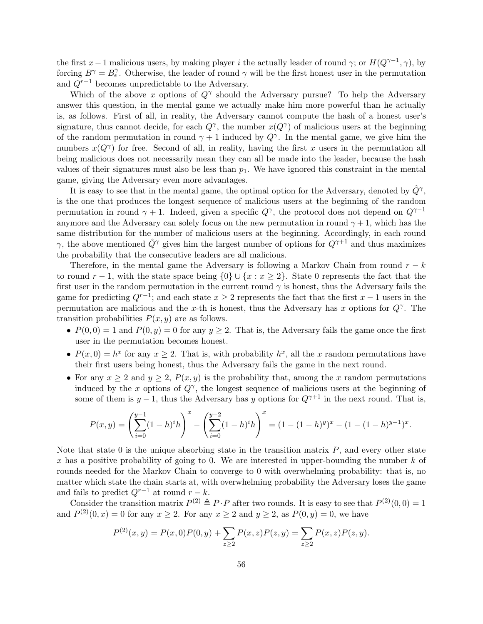the first x – 1 malicious users, by making player i the actually leader of round  $\gamma$ ; or  $H(Q^{\gamma-1}, \gamma)$ , by forcing  $B^{\gamma} = B_{\epsilon}^{\gamma}$ . Otherwise, the leader of round  $\gamma$  will be the first honest user in the permutation and  $Q^{r-1}$  becomes unpredictable to the Adversary.

Which of the above x options of  $Q^{\gamma}$  should the Adversary pursue? To help the Adversary answer this question, in the mental game we actually make him more powerful than he actually is, as follows. First of all, in reality, the Adversary cannot compute the hash of a honest user's signature, thus cannot decide, for each  $Q^{\gamma}$ , the number  $x(Q^{\gamma})$  of malicious users at the beginning of the random permutation in round  $\gamma + 1$  induced by  $Q^{\gamma}$ . In the mental game, we give him the numbers  $x(Q^{\gamma})$  for free. Second of all, in reality, having the first x users in the permutation all being malicious does not necessarily mean they can all be made into the leader, because the hash values of their signatures must also be less than  $p_1$ . We have ignored this constraint in the mental game, giving the Adversary even more advantages.

It is easy to see that in the mental game, the optimal option for the Adversary, denoted by  $\hat{Q}^{\gamma}$ , is the one that produces the longest sequence of malicious users at the beginning of the random permutation in round  $\gamma + 1$ . Indeed, given a specific  $Q^{\gamma}$ , the protocol does not depend on  $Q^{\gamma-1}$ anymore and the Adversary can solely focus on the new permutation in round  $\gamma + 1$ , which has the same distribution for the number of malicious users at the beginning. Accordingly, in each round  $\gamma$ , the above mentioned  $\hat{Q}^{\gamma}$  gives him the largest number of options for  $Q^{\gamma+1}$  and thus maximizes the probability that the consecutive leaders are all malicious.

Therefore, in the mental game the Adversary is following a Markov Chain from round  $r - k$ to round  $r-1$ , with the state space being  $\{0\} \cup \{x : x \geq 2\}$ . State 0 represents the fact that the first user in the random permutation in the current round  $\gamma$  is honest, thus the Adversary fails the game for predicting  $Q^{r-1}$ ; and each state  $x \geq 2$  represents the fact that the first  $x - 1$  users in the permutation are malicious and the x-th is honest, thus the Adversary has x options for  $Q^{\gamma}$ . The transition probabilities  $P(x, y)$  are as follows.

- $P(0, 0) = 1$  and  $P(0, y) = 0$  for any  $y \ge 2$ . That is, the Adversary fails the game once the first user in the permutation becomes honest.
- $P(x,0) = h^x$  for any  $x \ge 2$ . That is, with probability  $h^x$ , all the x random permutations have their first users being honest, thus the Adversary fails the game in the next round.
- For any  $x \geq 2$  and  $y \geq 2$ ,  $P(x, y)$  is the probability that, among the x random permutations induced by the x options of  $Q^{\gamma}$ , the longest sequence of malicious users at the beginning of some of them is  $y - 1$ , thus the Adversary has y options for  $Q^{\gamma+1}$  in the next round. That is,

$$
P(x,y) = \left(\sum_{i=0}^{y-1} (1-h)^i h\right)^x - \left(\sum_{i=0}^{y-2} (1-h)^i h\right)^x = (1 - (1-h)^y)^x - (1 - (1-h)^{y-1})^x.
$$

Note that state  $0$  is the unique absorbing state in the transition matrix  $P$ , and every other state x has a positive probability of going to 0. We are interested in upper-bounding the number  $k$  of rounds needed for the Markov Chain to converge to 0 with overwhelming probability: that is, no matter which state the chain starts at, with overwhelming probability the Adversary loses the game and fails to predict  $Q^{r-1}$  at round  $r - k$ .

Consider the transition matrix  $P^{(2)} \triangleq P \cdot P$  after two rounds. It is easy to see that  $P^{(2)}(0,0) = 1$ and  $P^{(2)}(0, x) = 0$  for any  $x \ge 2$ . For any  $x \ge 2$  and  $y \ge 2$ , as  $P(0, y) = 0$ , we have

$$
P^{(2)}(x,y) = P(x,0)P(0,y) + \sum_{z \ge 2} P(x,z)P(z,y) = \sum_{z \ge 2} P(x,z)P(z,y).
$$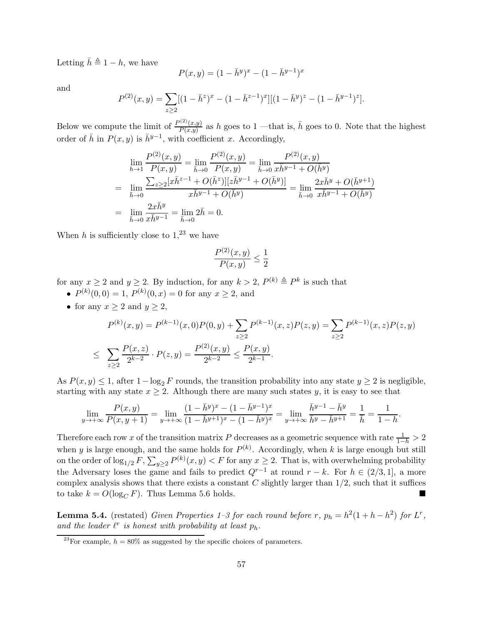Letting  $\bar{h} \triangleq 1 - h$ , we have

$$
P(x, y) = (1 - \bar{h}^y)^x - (1 - \bar{h}^{y-1})^x
$$

and

$$
P^{(2)}(x,y) = \sum_{z \ge 2} [(1 - \bar{h}^z)^x - (1 - \bar{h}^{z-1})^x] [(1 - \bar{h}^y)^z - (1 - \bar{h}^{y-1})^z].
$$

Below we compute the limit of  $\frac{P^{(2)}(x,y)}{P(x,y)}$  $\frac{P(z)(x,y)}{P(x,y)}$  as h goes to 1 —that is,  $\bar{h}$  goes to 0. Note that the highest order of  $\bar{h}$  in  $P(x, y)$  is  $\bar{h}^{y-1}$ , with coefficient x. Accordingly,

$$
\lim_{h \to 1} \frac{P^{(2)}(x, y)}{P(x, y)} = \lim_{\bar{h} \to 0} \frac{P^{(2)}(x, y)}{P(x, y)} = \lim_{\bar{h} \to 0} \frac{P^{(2)}(x, y)}{x \bar{h}^{y-1} + O(\bar{h}^y)}
$$
\n
$$
= \lim_{\bar{h} \to 0} \frac{\sum_{z \ge 2} [x \bar{h}^{z-1} + O(\bar{h}^z)][z \bar{h}^{y-1} + O(\bar{h}^y)]}{x \bar{h}^{y-1} + O(\bar{h}^y)} = \lim_{\bar{h} \to 0} \frac{2x \bar{h}^y + O(\bar{h}^{y+1})}{x \bar{h}^{y-1} + O(\bar{h}^y)}
$$
\n
$$
= \lim_{\bar{h} \to 0} \frac{2x \bar{h}^y}{x \bar{h}^{y-1}} = \lim_{\bar{h} \to 0} 2\bar{h} = 0.
$$

When h is sufficiently close to  $1<sup>23</sup>$  $1<sup>23</sup>$  $1<sup>23</sup>$  we have

$$
\frac{P^{(2)}(x,y)}{P(x,y)} \le \frac{1}{2}
$$

for any  $x \ge 2$  and  $y \ge 2$ . By induction, for any  $k > 2$ ,  $P^{(k)} \triangleq P^k$  is such that

- $P^{(k)}(0,0) = 1, P^{(k)}(0,x) = 0$  for any  $x \ge 2$ , and
- for any  $x \geq 2$  and  $y \geq 2$ ,

$$
P^{(k)}(x,y) = P^{(k-1)}(x,0)P(0,y) + \sum_{z\geq 2} P^{(k-1)}(x,z)P(z,y) = \sum_{z\geq 2} P^{(k-1)}(x,z)P(z,y)
$$
  

$$
\leq \sum_{z\geq 2} \frac{P(x,z)}{2^{k-2}} \cdot P(z,y) = \frac{P^{(2)}(x,y)}{2^{k-2}} \leq \frac{P(x,y)}{2^{k-1}}.
$$

As  $P(x, y) \leq 1$ , after  $1-\log_2 F$  rounds, the transition probability into any state  $y \geq 2$  is negligible, starting with any state  $x \geq 2$ . Although there are many such states y, it is easy to see that

$$
\lim_{y \to +\infty} \frac{P(x,y)}{P(x,y+1)} = \lim_{y \to +\infty} \frac{(1 - \bar{h}^y)^x - (1 - \bar{h}^{y-1})^x}{(1 - \bar{h}^{y+1})^x - (1 - \bar{h}^y)^x} = \lim_{y \to +\infty} \frac{\bar{h}^{y-1} - \bar{h}^y}{\bar{h}^y - \bar{h}^{y+1}} = \frac{1}{\bar{h}} = \frac{1}{1 - h}.
$$

Therefore each row x of the transition matrix P decreases as a geometric sequence with rate  $\frac{1}{1-h} > 2$ when y is large enough, and the same holds for  $P^{(k)}$ . Accordingly, when k is large enough but still on the order of  $\log_{1/2} F$ ,  $\sum_{y\geq 2} P^{(k)}(x, y) < F$  for any  $x \geq 2$ . That is, with overwhelming probability the Adversary loses the game and fails to predict  $Q^{r-1}$  at round  $r - k$ . For  $h \in (2/3, 1]$ , a more complex analysis shows that there exists a constant  $C$  slightly larger than  $1/2$ , such that it suffices to take  $k = O(\log_C F)$ . Thus Lemma [5.6](#page-54-3) holds.

**Lemma [5.4.](#page-43-3)** (restated) *Given Properties* 1–3 for each round before r,  $p_h = h^2(1 + h - h^2)$  for L<sup>r</sup>, and the leader  $\ell^r$  is honest with probability at least  $p_h$ .

<span id="page-56-0"></span><sup>&</sup>lt;sup>23</sup>For example,  $h = 80\%$  as suggested by the specific choices of parameters.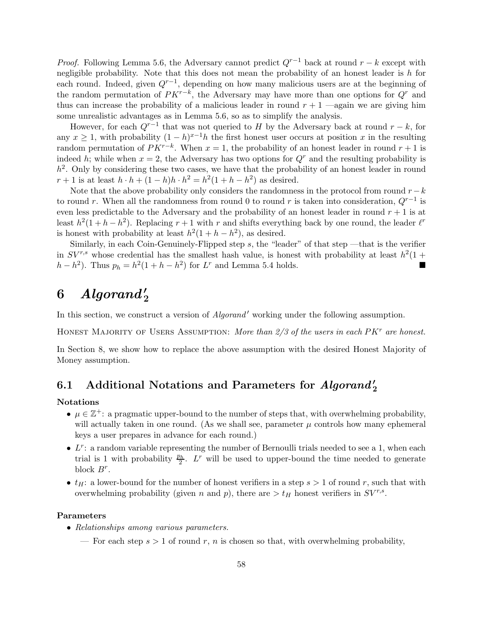*Proof.* Following Lemma [5.6,](#page-54-3) the Adversary cannot predict  $Q^{r-1}$  back at round  $r - k$  except with negligible probability. Note that this does not mean the probability of an honest leader is  $h$  for each round. Indeed, given  $Q^{r-1}$ , depending on how many malicious users are at the beginning of the random permutation of  $PK^{r-k}$ , the Adversary may have more than one options for  $Q^r$  and thus can increase the probability of a malicious leader in round  $r + 1$  —again we are giving him some unrealistic advantages as in Lemma [5.6,](#page-54-3) so as to simplify the analysis.

However, for each  $Q^{r-1}$  that was not queried to H by the Adversary back at round  $r - k$ , for any  $x \geq 1$ , with probability  $(1-h)^{x-1}h$  the first honest user occurs at position x in the resulting random permutation of  $PK^{r-k}$ . When  $x = 1$ , the probability of an honest leader in round  $r + 1$  is indeed h; while when  $x = 2$ , the Adversary has two options for  $Q<sup>r</sup>$  and the resulting probability is  $h<sup>2</sup>$ . Only by considering these two cases, we have that the probability of an honest leader in round  $r + 1$  is at least  $h \cdot h + (1 - h)h \cdot h^2 = h^2(1 + h - h^2)$  as desired.

Note that the above probability only considers the randomness in the protocol from round  $r-k$ to round r. When all the randomness from round 0 to round r is taken into consideration,  $Q^{r-1}$  is even less predictable to the Adversary and the probability of an honest leader in round  $r + 1$  is at least  $h^2(1+h-h^2)$ . Replacing  $r+1$  with r and shifts everything back by one round, the leader  $\ell^r$ is honest with probability at least  $h^2(1 + h - h^2)$ , as desired.

Similarly, in each Coin-Genuinely-Flipped step  $s$ , the "leader" of that step —that is the verifier in  $SV^{r,s}$  whose credential has the smallest hash value, is honest with probability at least  $h^2(1 +$  $h-h^2$ ). Thus  $p_h = h^2(1+h-h^2)$  for L<sup>r</sup> and Lemma [5.4](#page-43-3) holds. ■

# $6$   $\quad$   $Algorand'_{2}$

In this section, we construct a version of *Algorand'* working under the following assumption.

HONEST MAJORITY OF USERS ASSUMPTION: More than  $2/3$  of the users in each  $P K<sup>r</sup>$  are honest.

In Section [8,](#page-67-0) we show how to replace the above assumption with the desired Honest Majority of Money assumption.

# 6.1 Additional Notations and Parameters for  $Algorithm_{2}$

#### Notations

- $\mu \in \mathbb{Z}^+$ : a pragmatic upper-bound to the number of steps that, with overwhelming probability, will actually taken in one round. (As we shall see, parameter  $\mu$  controls how many ephemeral keys a user prepares in advance for each round.)
- $\bullet$   $L^r$ : a random variable representing the number of Bernoulli trials needed to see a 1, when each trial is 1 with probability  $\frac{p_h}{2}$ . L<sup>r</sup> will be used to upper-bound the time needed to generate block  $B^r$ .
- $t_H$ : a lower-bound for the number of honest verifiers in a step  $s > 1$  of round r, such that with overwhelming probability (given n and p), there are  $>t_H$  honest verifiers in  $SV^{r,s}$ .

#### Parameters

- Relationships among various parameters.
	- For each step  $s > 1$  of round r, n is chosen so that, with overwhelming probability,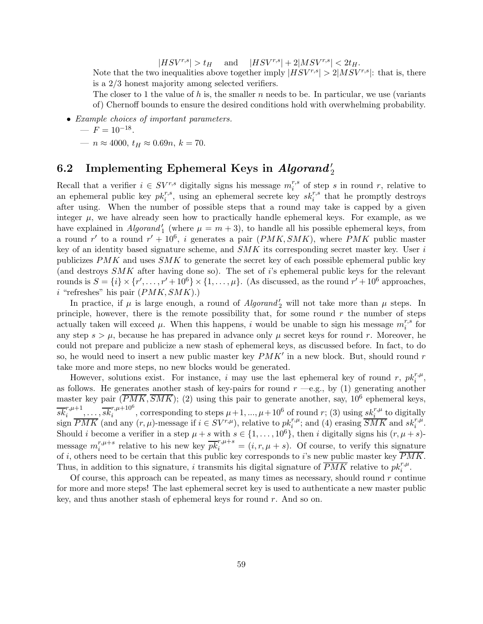$|HSV^{r,s}| > t_H$  and  $|HSV^{r,s}| + 2|MSV^{r,s}| < 2t_H$ .

Note that the two inequalities above together imply  $|HSV^{r,s}| > 2|MSV^{r,s}|$ : that is, there is a 2/3 honest majority among selected verifiers.

The closer to 1 the value of h is, the smaller n needs to be. In particular, we use (variants of) Chernoff bounds to ensure the desired conditions hold with overwhelming probability.

• Example choices of important parameters.

$$
- F = 10^{-18}.
$$

—  $n \approx 4000$ ,  $t_H \approx 0.69n$ ,  $k = 70$ .

# <span id="page-58-0"></span>6.2 Implementing Ephemeral Keys in  $\it{Algorand'}_2$

Recall that a verifier  $i \in SV^{r,s}$  digitally signs his message  $m_i^{r,s}$  $\int_i^{r,s}$  of step s in round r, relative to an ephemeral public key  $pk_i^{r,s}$ , using an ephemeral secrete key  $sk_i^{r,s}$  that he promptly destroys after using. When the number of possible steps that a round may take is capped by a given integer  $\mu$ , we have already seen how to practically handle ephemeral keys. For example, as we have explained in  $Algorithm_{1}$  (where  $\mu = m + 3$ ), to handle all his possible ephemeral keys, from a round r' to a round  $r' + 10^6$ , i generates a pair  $(PMK, SMK)$ , where PMK public master key of an identity based signature scheme, and  $SMK$  its corresponding secret master key. User i publicizes  $PMK$  and uses  $SMK$  to generate the secret key of each possible ephemeral public key (and destroys  $SMK$  after having done so). The set of i's ephemeral public keys for the relevant rounds is  $S = \{i\} \times \{r', \ldots, r' + 10^6\} \times \{1, \ldots, \mu\}$ . (As discussed, as the round  $r' + 10^6$  approaches,  $i$  "refreshes" his pair  $(PMK, SMK)$ .)

In practice, if  $\mu$  is large enough, a round of  $Algorithm_{2}^{\prime}$  will not take more than  $\mu$  steps. In principle, however, there is the remote possibility that, for some round  $r$  the number of steps actually taken will exceed  $\mu$ . When this happens, i would be unable to sign his message  $m_i^{r,s}$  $i^{r,s}$  for any step  $s > \mu$ , because he has prepared in advance only  $\mu$  secret keys for round r. Moreover, he could not prepare and publicize a new stash of ephemeral keys, as discussed before. In fact, to do so, he would need to insert a new public master key  $PMK'$  in a new block. But, should round r take more and more steps, no new blocks would be generated.

However, solutions exist. For instance, i may use the last ephemeral key of round r,  $pk_i^{r,\mu}$ , as follows. He generates another stash of key-pairs for round  $r \rightarrow e.g.,$  by (1) generating another master key pair  $(\overline{PMK}, \overline{SMK})$ ; (2) using this pair to generate another, say, 10<sup>6</sup> ephemeral keys,  $\overline{sk}_{i}^{r,\mu+1},\ldots,\overline{sk}_{i}^{r,\mu+10^{6}},$  corresponding to steps  $\mu+1,...,\mu+10^{6}$  of round  $r$ ; (3) using  $\overline{sk}_{i}^{r,\mu}$  to digitally sign  $\overline{PMK}$  (and any  $(r, \mu)$ -message if  $i \in SV^{r,\mu}$ ), relative to  $pk_i^{r,\mu}$ ; and (4) erasing  $\overline{SMK}$  and  $sk_i^{r,\mu}$ . Should *i* become a verifier in a step  $\mu + s$  with  $s \in \{1, \ldots, 10^6\}$ , then *i* digitally signs his  $(r, \mu + s)$ message  $m_i^{r,\mu+s}$  $\overline{r}_{i}^{r,\mu+s}$  relative to his new key  $\overline{pk}_{i}^{r,\mu+s} = (i,r,\mu+s)$ . Of course, to verify this signature of i, others need to be certain that this public key corresponds to i's new public master key  $\overline{PMK}$ . Thus, in addition to this signature, *i* transmits his digital signature of  $\overline{PMK}$  relative to  $pk_i^{r,\mu}$ .

Of course, this approach can be repeated, as many times as necessary, should round  $r$  continue for more and more steps! The last ephemeral secret key is used to authenticate a new master public key, and thus another stash of ephemeral keys for round r. And so on.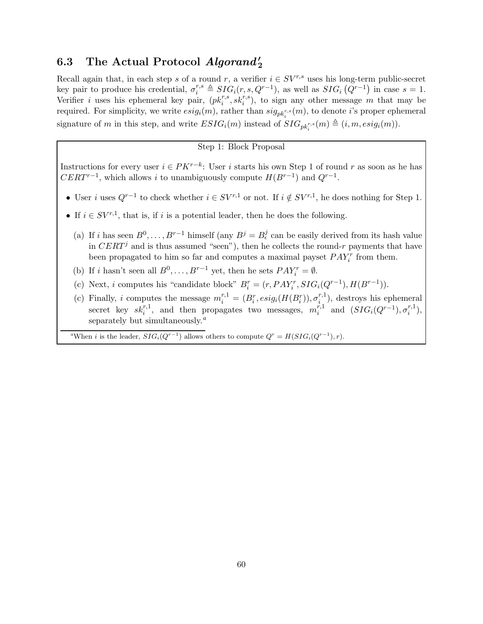# 6.3 The Actual Protocol  $Algorithm_{2}^{\prime}$

Recall again that, in each step s of a round r, a verifier  $i \in SV^{r,s}$  uses his long-term public-secret key pair to produce his credential,  $\sigma_i^{r,s} \triangleq SIG_i(r, s, Q^{r-1})$ , as well as  $SIG_i(Q^{r-1})$  in case  $s = 1$ . Verifier *i* uses his ephemeral key pair,  $(pk_i^{r,s}, sk_i^{r,s})$ , to sign any other message m that may be required. For simplicity, we write  $esig_i(m)$ , rather than  $sig_{pk_i^{r,s}}(m)$ , to denote *i*'s proper ephemeral signature of m in this step, and write  $ESIG_i(m)$  instead of  $SIG_{pk_i^{r,s}}(m) \triangleq (i, m, esig_i(m))$ .

#### Step 1: Block Proposal

Instructions for every user  $i \in PK^{r-k}$ : User i starts his own Step 1 of round r as soon as he has  $CERT^{r-1}$ , which allows i to unambiguously compute  $H(B^{r-1})$  and  $Q^{r-1}$ .

- User i uses  $Q^{r-1}$  to check whether  $i \in SV^{r,1}$  or not. If  $i \notin SV^{r,1}$ , he does nothing for Step 1.
- If  $i \in SV^{r,1}$ , that is, if i is a potential leader, then he does the following.
	- (a) If i has seen  $B^0, \ldots, B^{r-1}$  himself (any  $B^j = B^j_\epsilon$  can be easily derived from its hash value in CERT<sup>j</sup> and is thus assumed "seen"), then he collects the round-r payments that have been propagated to him so far and computes a maximal payset  $PAY_i^r$  from them.
	- (b) If *i* hasn't seen all  $B^0, \ldots, B^{r-1}$  yet, then he sets  $PAY_i^r = \emptyset$ .
	- (c) Next, *i* computes his "candidate block"  $B_i^r = (r, PAY_i^r, SIG_i(Q^{r-1}), H(B^{r-1})).$
	- (c) Finally, i computes the message  $m_i^{r,1} = (B_i^r, esig_i(H(B_i^r)), \sigma_i^{r,1})$  $\binom{r,1}{i}$ , destroys his ephemeral secret key  $sk_i^{r,1}$ , and then propagates two messages,  $m_i^{r,1}$  $i^{r,1}$  and  $(SIG_i(Q^{r-1}), \sigma_i^{r,1})$  $\binom{r,1}{i},$ sep[a](#page-59-0)rately but simultaneously. $a$

<span id="page-59-0"></span><sup>a</sup>When *i* is the leader,  $SIG_i(Q^{r-1})$  allows others to compute  $Q^r = H(SIG_i(Q^{r-1}), r)$ .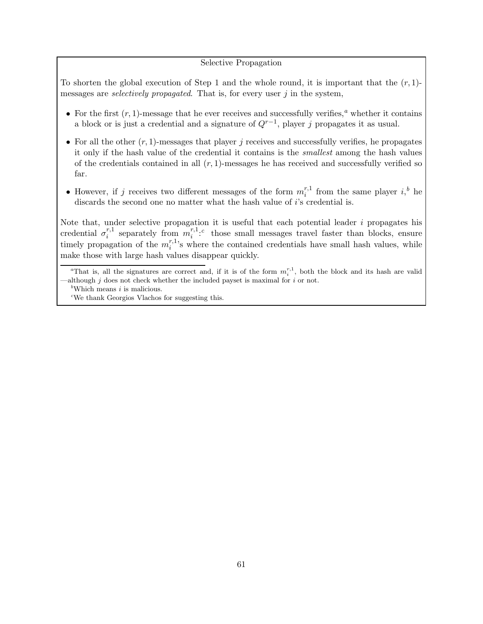#### Selective Propagation

To shorten the global execution of Step 1 and the whole round, it is important that the  $(r, 1)$ messages are *selectively propagated*. That is, for every user  $j$  in the system,

- For the first  $(r, 1)$ -mess[a](#page-60-0)ge that he ever receives and successfully verifies,<sup>a</sup> whether it contains a block or is just a credential and a signature of  $Q^{r-1}$ , player j propagates it as usual.
- For all the other  $(r, 1)$ -messages that player j receives and successfully verifies, he propagates it only if the hash value of the credential it contains is the smallest among the hash values of the credentials contained in all  $(r, 1)$ -messages he has received and successfully verified so far.
- However, if j receives two different messages of the form  $m_i^{r,1}$  $i^{r,1}$  from the same player  $i, b$  $i, b$  he discards the second one no matter what the hash value of *i*'s credential is.

Note that, under selective propagation it is useful that each potential leader  $i$  propagates his credential  $\sigma_i^{r,1}$  $i^{r,1}$  separately from  $m_i^{r,1}$  $\sum_{i=1}^{r,1,c}$  $\sum_{i=1}^{r,1,c}$  $\sum_{i=1}^{r,1,c}$  those small messages travel faster than blocks, ensure timely propagation of the  $m_i^{r,1}$  $i^{r,1}$ 's where the contained credentials have small hash values, while make those with large hash values disappear quickly.

<sup>&</sup>lt;sup>a</sup>That is, all the signatures are correct and, if it is of the form  $m_i^{r,1}$ , both the block and its hash are valid although  $j$  does not check whether the included payset is maximal for  $i$  or not.

<span id="page-60-0"></span><sup>&</sup>lt;sup>b</sup>Which means  $i$  is malicious.

<span id="page-60-2"></span><span id="page-60-1"></span><sup>c</sup>We thank Georgios Vlachos for suggesting this.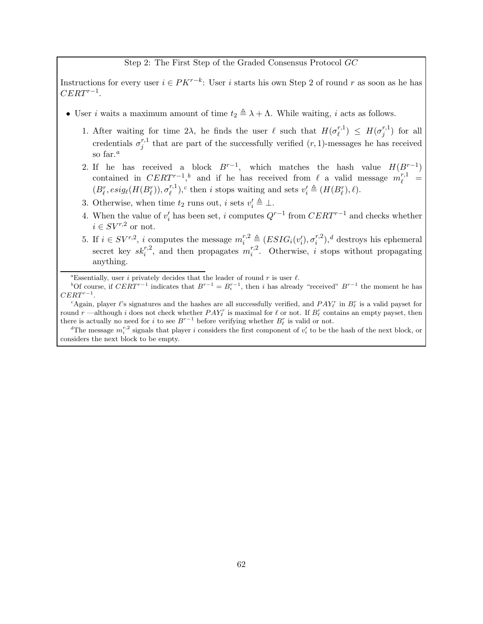#### Step 2: The First Step of the Graded Consensus Protocol GC

Instructions for every user  $i \in PK^{r-k}$ : User i starts his own Step 2 of round r as soon as he has  $CERT^{r-1}$ .

- User *i* waits a maximum amount of time  $t_2 \triangleq \lambda + \Lambda$ . While waiting, *i* acts as follows.
	- 1. After waiting for time 2λ, he finds the user  $\ell$  such that  $H(\sigma_{\ell}^{r,1})$  $\binom{r,1}{\ell} \leq H(\sigma^{r,1}_j)$  $j^{(r,1)}$  for all credentials  $\sigma_i^{r,1}$  $j_j^{r,1}$  that are part of the successfully verified  $(r, 1)$ -messages he has received so f[a](#page-61-0)r. $^a$
	- 2. If he has received a block  $B^{r-1}$ , which matches the hash value  $H(B^{r-1})$ contained in  $CERT^{-1}$ ,<sup>[b](#page-61-1)</sup> and if he has received from  $\ell$  a valid message  $m_{\ell}^{r,1}$  =  $(B_{\ell}^{r}, esig_{\ell}(H(B_{\ell}^{r})), \sigma_{\ell}^{r,1})$  $(v_i^{r,1}),^c$  $(v_i^{r,1}),^c$  then *i* stops waiting and sets  $v_i' \triangleq (H(B_{\ell}^r), \ell).$
	- 3. Otherwise, when time  $t_2$  runs out, *i* sets  $v'_i \triangleq \bot$ .
	- 4. When the value of  $v'_i$  has been set, i computes  $Q^{r-1}$  from  $CERT^{r-1}$  and checks whether  $i \in SV^{r,2}$  or not.
	- 5. If  $i \in SV^{r,2}$ , i computes the message  $m_i^{r,2} \triangleq (ESIG_i(v_i'), \sigma_i^{r,2})$  $i^{(r,2)}$ ,<sup>[d](#page-61-3)</sup> destroys his ephemeral secret key  $sk_i^{r,2}$ , and then propagates  $m_i^{r,2}$  $i^{r,z}$ . Otherwise, i stops without propagating anything.

<span id="page-61-0"></span><sup>a</sup>Essentially, user *i* privately decides that the leader of round r is user  $\ell$ .

<span id="page-61-1"></span><sup>b</sup>Of course, if  $CERT^{r-1}$  indicates that  $B^{r-1} = B_{\epsilon}^{r-1}$ , then i has already "received"  $B^{r-1}$  the moment he has  $CERT^{r-1}.$ 

<span id="page-61-2"></span><sup>c</sup>Again, player  $\ell$ 's signatures and the hashes are all successfully verified, and  $PAY_{\ell}^{r}$  in  $B_{\ell}^{r}$  is a valid payset for round r—although i does not check whether  $PAY_{\ell}^r$  is maximal for  $\ell$  or not. If  $B_{\ell}^r$  contains an empty payset, then there is actually no need for i to see  $B^{r-1}$  before verifying whether  $B_{\ell}^r$  is valid or not.

<span id="page-61-3"></span><sup>d</sup>The message  $m_i^{r,2}$  signals that player *i* considers the first component of  $v_i'$  to be the hash of the next block, or considers the next block to be empty.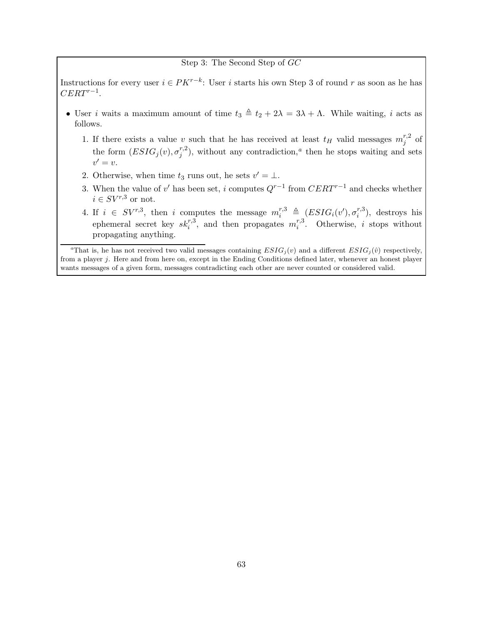#### Step 3: The Second Step of GC

Instructions for every user  $i \in PK^{r-k}$ : User i starts his own Step 3 of round r as soon as he has  $CERT^{r-1}$ .

- User i waits a maximum amount of time  $t_3 \triangleq t_2 + 2\lambda = 3\lambda + \Lambda$ . While waiting, i acts as follows.
	- 1. If there exists a value v such that he has received at least  $t_H$  valid messages  $m_j^{r,2}$  $j \atop j$  of the form  $(ESIG_j(v), \sigma_i^{r,2})$  $j^{r,2}$ ), without [a](#page-62-0)ny contradiction,<sup>a</sup> then he stops waiting and sets  $v'=v.$
	- 2. Otherwise, when time  $t_3$  runs out, he sets  $v' = \bot$ .
	- 3. When the value of v' has been set, i computes  $Q^{r-1}$  from  $CERT^{r-1}$  and checks whether  $i \in SV^{r,3}$  or not.
	- 4. If  $i \in SV^{r,3}$ , then i computes the message  $m_i^{r,3} \triangleq (ESIG_i(v'), \sigma_i^{r,3})$  $i^{(r,s)}$ , destroys his ephemeral secret key  $sk_i^{r,3}$ , and then propagates  $m_i^{r,3}$ <sup>r,3</sup>. Otherwise, *i* stops without propagating anything.

<span id="page-62-0"></span><sup>a</sup>That is, he has not received two valid messages containing  $ESIG_i(v)$  and a different  $ESIG_i(\hat{v})$  respectively, from a player j. Here and from here on, except in the Ending Conditions defined later, whenever an honest player wants messages of a given form, messages contradicting each other are never counted or considered valid.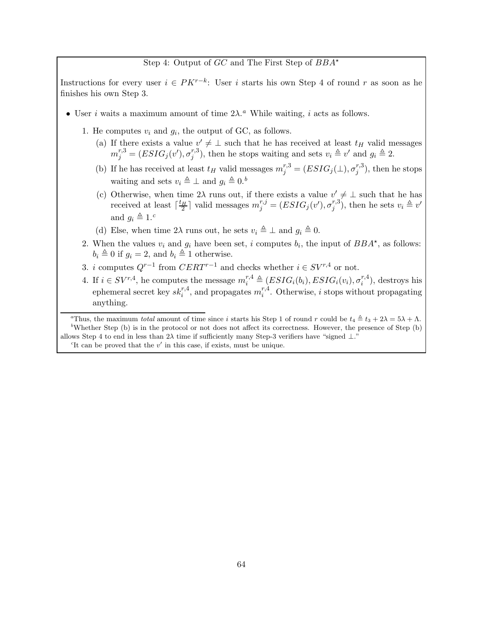Step 4: Output of  $GC$  and The First Step of  $BBA^*$ 

Instructions for every user  $i \in PK^{r-k}$ : User i starts his own Step 4 of round r as soon as he finishes his own Step 3.

- User *i* w[a](#page-63-0)its a maximum amount of time  $2\lambda$ .<sup>*a*</sup> While waiting, *i* acts as follows.
	- 1. He computes  $v_i$  and  $g_i$ , the output of GC, as follows.
		- (a) If there exists a value  $v' \neq \perp$  such that he has received at least  $t_H$  valid messages  $m_j^{r,3} = (ESIG_j(v'), \sigma_j^{r,3})$  $(v_i^{\tau,3})$ , then he stops waiting and sets  $v_i \triangleq v'$  and  $g_i \triangleq 2$ .
		- (b) If he has received at least  $t_H$  valid messages  $m_j^{r,3} = (ESIG_j(\perp), \sigma_j^{r,3})$  $j^{(r,s)}$ , then he stops waiting and sets  $v_i \triangleq \perp$  and  $g_i \triangleq 0.$ <sup>[b](#page-63-1)</sup>
		- (c) Otherwise, when time  $2\lambda$  runs out, if there exists a value  $v' \neq \bot$  such that he has received at least  $\lceil \frac{t_H}{2} \rceil$  valid messages  $m_j^{r,j} = (ESIG_j(v'), \sigma_j^{r,3})$  $j^{(r,3)}$ , then he sets  $v_i \triangleq v'$ and  $q_i \triangleq 1.^c$  $q_i \triangleq 1.^c$
		- (d) Else, when time  $2\lambda$  runs out, he sets  $v_i \triangleq \bot$  and  $g_i \triangleq 0$ .
	- 2. When the values  $v_i$  and  $g_i$  have been set, i computes  $b_i$ , the input of  $BBA^*$ , as follows:  $b_i \triangleq 0$  if  $g_i = 2$ , and  $b_i \triangleq 1$  otherwise.
	- 3. *i* computes  $Q^{r-1}$  from  $CERT^{r-1}$  and checks whether  $i \in SV^{r,4}$  or not.
	- 4. If  $i \in SV^{r,4}$ , he computes the message  $m_i^{r,4} \triangleq (ESIG_i(b_i), ESIG_i(v_i), \sigma_i^{r,4})$  $i^{(r,4)}$ , destroys his ephemeral secret key  $sk_i^{r,4}$ , and propagates  $m_i^{r,4}$  $i^{r,4}$ . Otherwise, i stops without propagating anything.

<span id="page-63-2"></span><span id="page-63-1"></span><span id="page-63-0"></span><sup>a</sup>Thus, the maximum total amount of time since i starts his Step 1 of round r could be  $t_4 \triangleq t_3 + 2\lambda = 5\lambda + \Lambda$ . <sup>b</sup>Whether Step (b) is in the protocol or not does not affect its correctness. However, the presence of Step (b) allows Step 4 to end in less than  $2\lambda$  time if sufficiently many Step-3 verifiers have "signed ⊥." <sup>c</sup>It can be proved that the  $v'$  in this case, if exists, must be unique.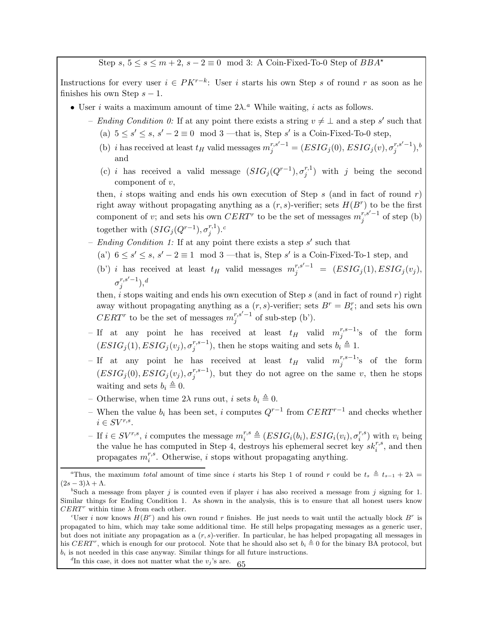Step s,  $5 \le s \le m+2$ ,  $s-2 \equiv 0 \mod 3$ : A Coin-Fixed-To-0 Step of  $BBA^*$ 

Instructions for every user  $i \in PK^{r-k}$ : User i starts his own Step s of round r as soon as he finishes his own Step  $s - 1$ .

- User *i* w[a](#page-64-0)its a maximum amount of time  $2\lambda$ .<sup>*a*</sup> While waiting, *i* acts as follows.
	- Ending Condition 0: If at any point there exists a string  $v \neq \perp$  and a step s' such that (a)  $5 \le s' \le s$ ,  $s' - 2 \equiv 0 \mod 3$  —that is, Step s' is a Coin-Fixed-To-0 step,
		- (b) *i* has received at least  $t_H$  valid messages  $m_j^{r,s'-1} = (ESIG_j(0), ESIG_j(v), \sigma_j^{r,s'-1})$  $_{j}^{r,s^{\prime}-1}),^{b}$  $_{j}^{r,s^{\prime}-1}),^{b}$  $_{j}^{r,s^{\prime}-1}),^{b}$ and
		- (c) *i* has received a valid message  $(SIG<sub>j</sub>(Q<sup>r-1</sup>), \sigma<sub>j</sub><sup>r,1</sup>$  $j^{(r,1)}$  with j being the second component of  $v$ ,

then, i stops waiting and ends his own execution of Step s (and in fact of round r) right away without propagating anything as a  $(r, s)$ -verifier; sets  $H(B^r)$  to be the first component of v; and sets his own  $CERT$  to be the set of messages  $m_i^{r,s'-1}$  $j^{r,s-1}$  of step (b) together with  $(SIG_j(Q^{r-1}), \sigma_i^{r,1})$  $j^{r,1}$ ).<sup>[c](#page-64-2)</sup>

- Ending Condition 1: If at any point there exists a step  $s'$  such that
	- (a')  $6 \le s' \le s$ ,  $s' 2 \equiv 1 \mod 3$  —that is, Step s' is a Coin-Fixed-To-1 step, and
	- (b') i has received at least  $t_H$  valid messages  $m_j^{r,s'-1} = (ESIG_j(1), ESIG_j(v_j),$  $\sigma_i^{r,s'-1}$  $j^{r,s'-1}),^d$  $j^{r,s'-1}),^d$

then, i stops waiting and ends his own execution of Step  $s$  (and in fact of round  $r$ ) right away without propagating anything as a  $(r, s)$ -verifier; sets  $B^r = B^r_{\epsilon}$ ; and sets his own  $CERT<sup>r</sup>$  to be the set of messages  $m_i^{r,s'-1}$  $j^{r,s-1}$  of sub-step (b').

- If at any point he has received at least  $t_H$  valid  $m_i^{r,s-1}$  $j^{r,s-1}$ 's of the form  $(ESIG_j(1), ESIG_j(v_j), \sigma_i^{r,s-1})$  $j^{r,s-1}$ ), then he stops waiting and sets  $b_i \triangleq 1$ .
- If at any point he has received at least  $t_H$  valid  $m_j^{r,s-1}$  $j^{r,s-1}$ 's of the form  $(ESIG_j(0), ESIG_j(v_j), \sigma_i^{r,s-1})$  $j^{r,s-1}_{j}$ , but they do not agree on the same v, then he stops waiting and sets  $b_i \triangleq 0$ .
- Otherwise, when time  $2\lambda$  runs out, i sets  $b_i \triangleq 0$ .
- When the value  $b_i$  has been set, i computes  $Q^{r-1}$  from  $CERT^{r-1}$  and checks whether  $i \in SV^{r,s}.$

– If  $i \in SV^{r,s}$ , *i* computes the message  $m_i^{r,s} \triangleq (ESIG_i(b_i), ESIG_i(v_i), \sigma_i^{r,s})$  $i^{(r,s)}$  with  $v_i$  being the value he has computed in Step 4, destroys his ephemeral secret key  $sk_i^{r,s}$ , and then propagates  $m_i^{r,s}$  $i^{r,s}$ . Otherwise, i stops without propagating anything.

<span id="page-64-0"></span><sup>&</sup>lt;sup>a</sup>Thus, the maximum total amount of time since i starts his Step 1 of round r could be  $t_s \triangleq t_{s-1} + 2\lambda$  $(2s-3)\lambda + \Lambda$ .

<span id="page-64-1"></span><sup>&</sup>lt;sup>b</sup>Such a message from player j is counted even if player i has also received a message from j signing for 1. Similar things for Ending Condition 1. As shown in the analysis, this is to ensure that all honest users know  $CERT^r$  within time  $\lambda$  from each other.

<span id="page-64-2"></span><sup>&</sup>lt;sup>c</sup>User *i* now knows  $H(B^r)$  and his own round *r* finishes. He just needs to wait until the actually block  $B^r$  is propagated to him, which may take some additional time. He still helps propagating messages as a generic user, but does not initiate any propagation as a  $(r, s)$ -verifier. In particular, he has helped propagating all messages in his CERT<sup>r</sup>, which is enough for our protocol. Note that he should also set  $b_i \triangleq 0$  for the binary BA protocol, but  $b_i$  is not needed in this case anyway. Similar things for all future instructions.

<span id="page-64-3"></span> ${}^{d}\text{In this case, it does not matter what the } v_j$ 's are. 65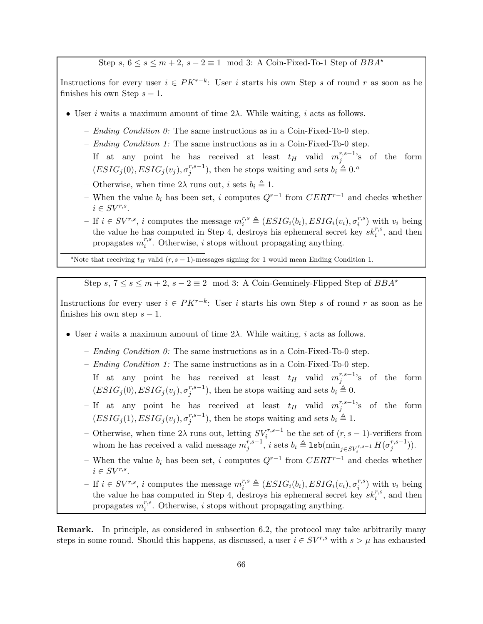Step s,  $6 \leq s \leq m+2$ ,  $s-2 \equiv 1 \mod 3$ : A Coin-Fixed-To-1 Step of  $BBA^*$ 

Instructions for every user  $i \in PK^{r-k}$ : User i starts his own Step s of round r as soon as he finishes his own Step  $s - 1$ .

- User *i* waits a maximum amount of time  $2\lambda$ . While waiting, *i* acts as follows.
	- Ending Condition  $\theta$ : The same instructions as in a Coin-Fixed-To-0 step.
	- Ending Condition 1: The same instructions as in a Coin-Fixed-To-0 step.
	- If at any point he has received at least  $t_H$  valid  $m_j^{r,s-1}$  $j^{r,s-1}$ 's of the form  $(ESIG_j(0), ESIG_j(v_j), \sigma^{r,s-1}_j)$  $j^{(r,s-1)}$ , then he stops w[a](#page-65-0)iting and sets  $b_i \triangleq 0$ .
	- Otherwise, when time  $2\lambda$  runs out, i sets  $b_i \triangleq 1$ .
	- When the value  $b_i$  has been set, i computes  $Q^{r-1}$  from  $CERT^{r-1}$  and checks whether  $i \in SV^{r,s}.$
	- If  $i \in SV^{r,s}$ , i computes the message  $m_i^{r,s} \triangleq (ESIG_i(b_i), ESIG_i(v_i), \sigma_i^{r,s})$  $\binom{r,s}{i}$  with  $v_i$  being the value he has computed in Step 4, destroys his ephemeral secret key  $sk_i^{r,s}$ , and then propagates  $m_i^{r,s}$  $i^{r,s}$ . Otherwise, i stops without propagating anything.

<span id="page-65-0"></span><sup>a</sup>Note that receiving  $t_H$  valid (r, s - 1)-messages signing for 1 would mean Ending Condition 1.

Step s,  $7 \le s \le m+2$ ,  $s-2 \equiv 2 \mod 3$ : A Coin-Genuinely-Flipped Step of  $BBA^*$ 

Instructions for every user  $i \in PK^{r-k}$ : User i starts his own Step s of round r as soon as he finishes his own step  $s - 1$ .

- User *i* waits a maximum amount of time  $2\lambda$ . While waiting, *i* acts as follows.
	- Ending Condition  $0$ : The same instructions as in a Coin-Fixed-To-0 step.
	- Ending Condition 1: The same instructions as in a Coin-Fixed-To-0 step.
	- If at any point he has received at least  $t_H$  valid  $m_i^{r,s-1}$  $j^{r,s-1}$ 's of the form  $(ESIG_j(0), ESIG_j(v_j), \sigma^{r,s-1}_j)$  $j^{r,s-1}$ ), then he stops waiting and sets  $b_i \triangleq 0$ .
	- If at any point he has received at least  $t_H$  valid  $m_j^{r,s-1}$  $j^{r,s-1}$ 's of the form  $(ESIG_j(1), ESIG_j(v_j), \sigma^{r,s-1}_j)$  $j^{r,s-1}$ ), then he stops waiting and sets  $b_i \triangleq 1$ .
	- Otherwise, when time 2λ runs out, letting  $SV_i^{r,s-1}$  be the set of  $(r, s-1)$ -verifiers from whom he has received a valid message  $m_i^{r,s-1}$  $j^{r,s-1}, i$  sets  $b_i \triangleq \texttt{lsb}(\min_{j \in SV^{r,s-1}_i} H(\sigma^{r,s-1}_j))$  $j^{(r,s-1)}).$
	- When the value  $b_i$  has been set, i computes  $Q^{r-1}$  from  $CERT^{r-1}$  and checks whether  $i \in SV^{r,s}.$
	- If  $i \in SV^{r,s}$ , i computes the message  $m_i^{r,s} \triangleq (ESIG_i(b_i), ESIG_i(v_i), \sigma_i^{r,s})$  $\binom{r,s}{i}$  with  $v_i$  being the value he has computed in Step 4, destroys his ephemeral secret key  $sk_i^{r,s}$ , and then propagates  $m_i^{r,s}$  $i^{r,s}$ . Otherwise, i stops without propagating anything.

Remark. In principle, as considered in subsection [6.2,](#page-58-0) the protocol may take arbitrarily many steps in some round. Should this happens, as discussed, a user  $i \in SV^{r,s}$  with  $s > \mu$  has exhausted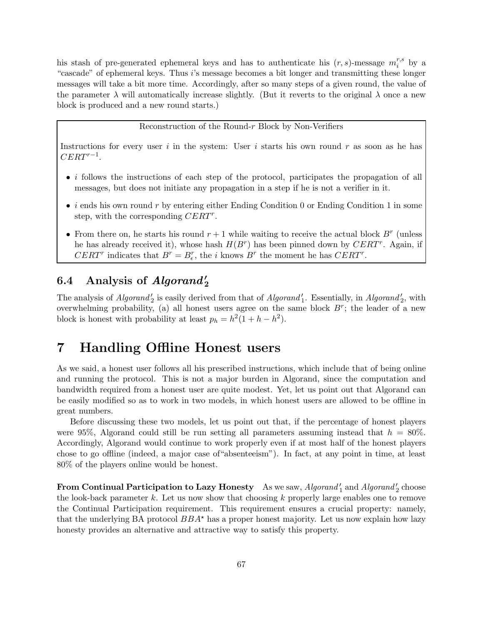his stash of pre-generated ephemeral keys and has to authenticate his  $(r, s)$ -message  $m_i^{r,s}$  $i^{r,s}$  by a "cascade" of ephemeral keys. Thus i's message becomes a bit longer and transmitting these longer messages will take a bit more time. Accordingly, after so many steps of a given round, the value of the parameter  $\lambda$  will automatically increase slightly. (But it reverts to the original  $\lambda$  once a new block is produced and a new round starts.)

#### Reconstruction of the Round-r Block by Non-Verifiers

Instructions for every user i in the system: User i starts his own round r as soon as he has  $CERT^{r-1}$ .

- $\bullet$  *i* follows the instructions of each step of the protocol, participates the propagation of all messages, but does not initiate any propagation in a step if he is not a verifier in it.
- $\bullet$  *i* ends his own round r by entering either Ending Condition 0 or Ending Condition 1 in some step, with the corresponding  $CERT^r$ .
- From there on, he starts his round  $r + 1$  while waiting to receive the actual block  $B^r$  (unless he has already received it), whose hash  $H(B^r)$  has been pinned down by  $CERT^r$ . Again, if  $CERT^r$  indicates that  $B^r = B_\epsilon^r$ , the *i* knows  $B^r$  the moment he has  $CERT^r$ .

# 6.4 Analysis of  $Algorithm_2'$

The analysis of  $Algorithm'_{2}$  is easily derived from that of  $Algorithm'_{1}$ . Essentially, in  $Algorithm'_{2}$ , with overwhelming probability, (a) all honest users agree on the same block  $B^r$ ; the leader of a new block is honest with probability at least  $p_h = h^2(1 + h - h^2)$ .

# 7 Handling Offline Honest users

As we said, a honest user follows all his prescribed instructions, which include that of being online and running the protocol. This is not a major burden in Algorand, since the computation and bandwidth required from a honest user are quite modest. Yet, let us point out that Algorand can be easily modified so as to work in two models, in which honest users are allowed to be offline in great numbers.

Before discussing these two models, let us point out that, if the percentage of honest players were 95%, Algorand could still be run setting all parameters assuming instead that  $h = 80\%$ . Accordingly, Algorand would continue to work properly even if at most half of the honest players chose to go offline (indeed, a major case of"absenteeism"). In fact, at any point in time, at least 80% of the players online would be honest.

From Continual Participation to Lazy Honesty As we saw,  $Algorithm_{1}$  and  $Algorithm_{2}$  choose the look-back parameter  $k$ . Let us now show that choosing  $k$  properly large enables one to remove the Continual Participation requirement. This requirement ensures a crucial property: namely, that the underlying BA protocol  $BBA^*$  has a proper honest majority. Let us now explain how lazy honesty provides an alternative and attractive way to satisfy this property.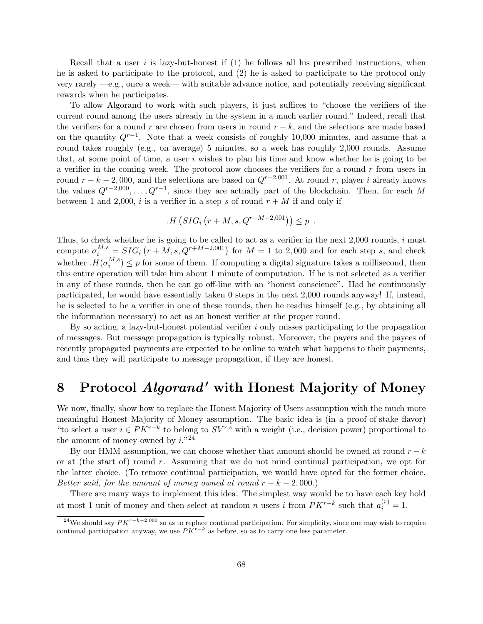Recall that a user  $i$  is lazy-but-honest if  $(1)$  he follows all his prescribed instructions, when he is asked to participate to the protocol, and (2) he is asked to participate to the protocol only very rarely —e.g., once a week— with suitable advance notice, and potentially receiving significant rewards when he participates.

To allow Algorand to work with such players, it just suffices to "choose the verifiers of the current round among the users already in the system in a much earlier round." Indeed, recall that the verifiers for a round r are chosen from users in round  $r - k$ , and the selections are made based on the quantity  $Q^{r-1}$ . Note that a week consists of roughly 10,000 minutes, and assume that a round takes roughly (e.g., on average) 5 minutes, so a week has roughly 2,000 rounds. Assume that, at some point of time, a user  $i$  wishes to plan his time and know whether he is going to be a verifier in the coming week. The protocol now chooses the verifiers for a round  $r$  from users in round  $r - k - 2,000$ , and the selections are based on  $Q^{r-2,001}$ . At round r, player i already knows the values  $Q^{r-2,000}, \ldots, Q^{r-1}$ , since they are actually part of the blockchain. Then, for each M between 1 and 2,000, i is a verifier in a step s of round  $r + M$  if and only if

$$
H(SIG_i(r + M, s, Q^{r+M-2,001})) \leq p.
$$

Thus, to check whether he is going to be called to act as a verifier in the next  $2,000$  rounds, i must compute  $\sigma_i^{M,s} = SIG_i (r + M, s, Q^{r+M-2,001})$  for  $M = 1$  to 2,000 and for each step s, and check whether  $H(\sigma_i^{M,s})$  $i^{M,s}$ )  $\leq p$  for some of them. If computing a digital signature takes a millisecond, then this entire operation will take him about 1 minute of computation. If he is not selected as a verifier in any of these rounds, then he can go off-line with an "honest conscience". Had he continuously participated, he would have essentially taken 0 steps in the next 2,000 rounds anyway! If, instead, he is selected to be a verifier in one of these rounds, then he readies himself (e.g., by obtaining all the information necessary) to act as an honest verifier at the proper round.

By so acting, a lazy-but-honest potential verifier i only misses participating to the propagation of messages. But message propagation is typically robust. Moreover, the payers and the payees of recently propagated payments are expected to be online to watch what happens to their payments, and thus they will participate to message propagation, if they are honest.

# <span id="page-67-0"></span>8 Protocol *Algorand'* with Honest Majority of Money

We now, finally, show how to replace the Honest Majority of Users assumption with the much more meaningful Honest Majority of Money assumption. The basic idea is (in a proof-of-stake flavor) "to select a user  $i \in PK^{r-k}$  to belong to  $SV^{r,s}$  with a weight (i.e., decision power) proportional to the amount of money owned by  $i.^{v24}$  $i.^{v24}$  $i.^{v24}$ 

By our HMM assumption, we can choose whether that amount should be owned at round  $r - k$ or at (the start of) round r. Assuming that we do not mind continual participation, we opt for the latter choice. (To remove continual participation, we would have opted for the former choice. Better said, for the amount of money owned at round  $r - k - 2{,}000$ .)

There are many ways to implement this idea. The simplest way would be to have each key hold at most 1 unit of money and then select at random n users i from  $PK^{r-k}$  such that  $a_i^{(r)} = 1$ .

<span id="page-67-1"></span><sup>&</sup>lt;sup>24</sup>We should say  $PK^{r-k-2,000}$  so as to replace continual participation. For simplicity, since one may wish to require continual participation anyway, we use  $PK^{r-k}$  as before, so as to carry one less parameter.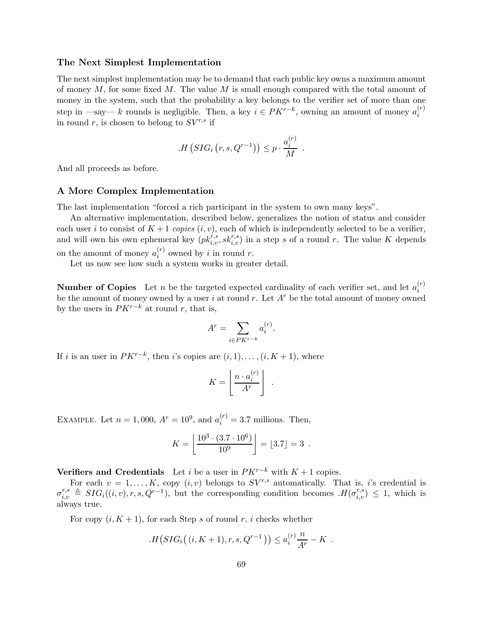#### The Next Simplest Implementation

The next simplest implementation may be to demand that each public key owns a maximum amount of money  $M$ , for some fixed  $M$ . The value  $M$  is small enough compared with the total amount of money in the system, such that the probability a key belongs to the verifier set of more than one step in —say— k rounds is negligible. Then, a key  $i \in PK^{r-k}$ , owning an amount of money  $a_i^{(r)}$ i in round r, is chosen to belong to  $SV^{r,s}$  if

$$
H(SIG_i(r, s, Q^{r-1})) \leq p \cdot \frac{a_i^{(r)}}{M}
$$

.

And all proceeds as before.

#### A More Complex Implementation

The last implementation "forced a rich participant in the system to own many keys".

An alternative implementation, described below, generalizes the notion of status and consider each user i to consist of  $K + 1$  copies  $(i, v)$ , each of which is independently selected to be a verifier, and will own his own ephemeral key  $(pk_{i,v}^{r,s}, sk_{i,v}^{r,s})$  in a step s of a round r. The value K depends on the amount of money  $a_i^{(r)}$  $i^{(r)}$  owned by i in round r.

Let us now see how such a system works in greater detail.

**Number of Copies** Let *n* be the targeted expected cardinality of each verifier set, and let  $a_i^{(r)}$ i be the amount of money owned by a user i at round r. Let  $A<sup>r</sup>$  be the total amount of money owned by the users in  $PK^{r-k}$  at round r, that is,

$$
A^r = \sum_{i \in PK^{r-k}} a_i^{(r)}.
$$

If *i* is an user in  $PK^{r-k}$ , then *i*'s copies are  $(i, 1), \ldots, (i, K + 1)$ , where

$$
K = \left\lfloor \frac{n \cdot a_i^{(r)}}{A^r} \right\rfloor \ .
$$

EXAMPLE. Let  $n = 1,000, A^r = 10^9$ , and  $a_i^{(r)} = 3.7$  millions. Then,

$$
K = \left\lfloor \frac{10^3 \cdot (3.7 \cdot 10^6)}{10^9} \right\rfloor = \lfloor 3.7 \rfloor = 3.
$$

**Verifiers and Credentials** Let *i* be a user in  $PK^{r-k}$  with  $K + 1$  copies.

For each  $v = 1, ..., K$ , copy  $(i, v)$  belongs to  $SV^{r,s}$  automatically. That is, i's credential is  $\sigma_{i,v}^{r,s} \triangleq SIG_i((i,v), r, s, Q^{r-1}),$  but the corresponding condition becomes  $H(\sigma_{i,v}^{r,s}) \leq 1$ , which is always true.

For copy  $(i, K + 1)$ , for each Step s of round r, i checks whether

$$
H(SIG_i((i, K+1), r, s, Q^{r-1})) \le a_i^{(r)} \frac{n}{A^r} - K.
$$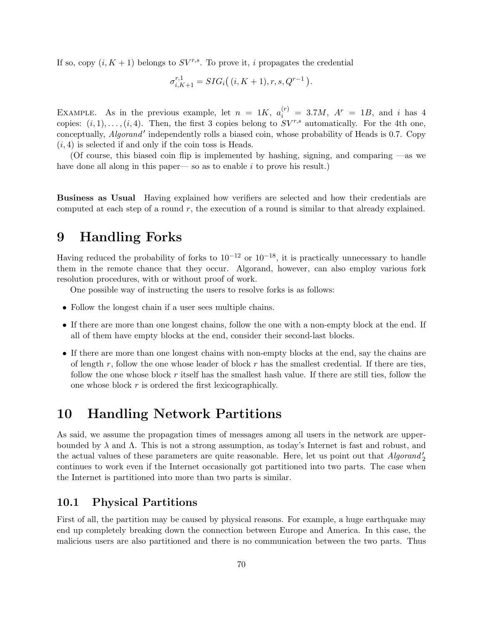If so, copy  $(i, K + 1)$  belongs to  $SV^{r,s}$ . To prove it, i propagates the credential

$$
\sigma_{i,K+1}^{r,1} = SIG_i((i, K+1), r, s, Q^{r-1}).
$$

EXAMPLE. As in the previous example, let  $n = 1K$ ,  $a_i^{(r)} = 3.7M$ ,  $A^r = 1B$ , and i has 4 copies:  $(i, 1), \ldots, (i, 4)$ . Then, the first 3 copies belong to  $SV^{r,s}$  automatically. For the 4th one, conceptually, *Algorand'* independently rolls a biased coin, whose probability of Heads is 0.7. Copy  $(i, 4)$  is selected if and only if the coin toss is Heads.

(Of course, this biased coin flip is implemented by hashing, signing, and comparing —as we have done all along in this paper— so as to enable  $i$  to prove his result.)

Business as Usual Having explained how verifiers are selected and how their credentials are computed at each step of a round  $r$ , the execution of a round is similar to that already explained.

# 9 Handling Forks

Having reduced the probability of forks to  $10^{-12}$  or  $10^{-18}$ , it is practically unnecessary to handle them in the remote chance that they occur. Algorand, however, can also employ various fork resolution procedures, with or without proof of work.

One possible way of instructing the users to resolve forks is as follows:

- Follow the longest chain if a user sees multiple chains.
- If there are more than one longest chains, follow the one with a non-empty block at the end. If all of them have empty blocks at the end, consider their second-last blocks.
- If there are more than one longest chains with non-empty blocks at the end, say the chains are of length r, follow the one whose leader of block r has the smallest credential. If there are ties, follow the one whose block  $r$  itself has the smallest hash value. If there are still ties, follow the one whose block  $r$  is ordered the first lexicographically.

## 10 Handling Network Partitions

As said, we assume the propagation times of messages among all users in the network are upperbounded by  $\lambda$  and  $\Lambda$ . This is not a strong assumption, as today's Internet is fast and robust, and the actual values of these parameters are quite reasonable. Here, let us point out that  $Algorithm_{2}$ continues to work even if the Internet occasionally got partitioned into two parts. The case when the Internet is partitioned into more than two parts is similar.

## 10.1 Physical Partitions

First of all, the partition may be caused by physical reasons. For example, a huge earthquake may end up completely breaking down the connection between Europe and America. In this case, the malicious users are also partitioned and there is no communication between the two parts. Thus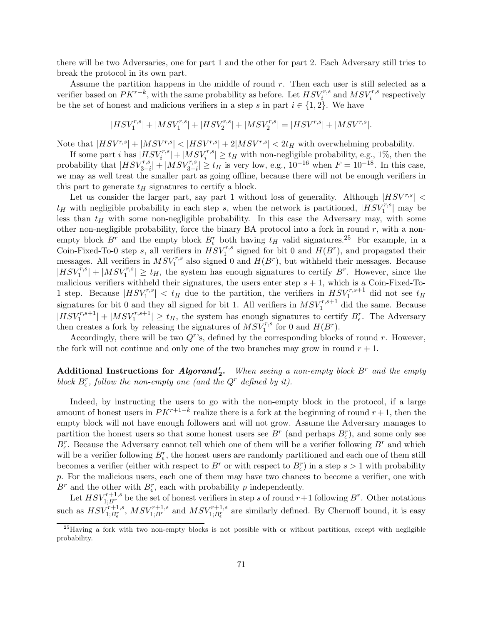there will be two Adversaries, one for part 1 and the other for part 2. Each Adversary still tries to break the protocol in its own part.

Assume the partition happens in the middle of round  $r$ . Then each user is still selected as a verifier based on  $PK^{r-k}$ , with the same probability as before. Let  $HSV_i^{r,s}$  and  $MSV_i^{r,s}$  respectively be the set of honest and malicious verifiers in a step s in part  $i \in \{1,2\}$ . We have

$$
|HSV_1^{r,s}|+|MSV_1^{r,s}|+|HSV_2^{r,s}|+|MSV_2^{r,s}|=|HSV^{r,s}|+|MSV^{r,s}|.
$$

Note that  $|HSV^{r,s}| + |MSV^{r,s}| < |HSV^{r,s}| + 2|MSV^{r,s}| < 2t_H$  with overwhelming probability.

If some part *i* has  $|HSV_i^{r,s}| + |MSV_i^{r,s}| \ge t_H$  with non-negligible probability, e.g., 1%, then the probability that  $|HSV_{3-i}^{r,s}| + |MSV_{3-i}^{r,s}| \ge t_H$  is very low, e.g.,  $10^{-16}$  when  $F = 10^{-18}$ . In this case, we may as well treat the smaller part as going offline, because there will not be enough verifiers in this part to generate  $t_H$  signatures to certify a block.

Let us consider the larger part, say part 1 without loss of generality. Although  $|HSV^{r,s}|$  <  $t_H$  with negligible probability in each step s, when the network is partitioned,  $|HSV_1^{r,s}|$  may be less than  $t_H$  with some non-negligible probability. In this case the Adversary may, with some other non-negligible probability, force the binary BA protocol into a fork in round  $r$ , with a nonempty block  $B^r$  and the empty block  $B^r_{\epsilon}$  both having  $t_H$  valid signatures.<sup>[25](#page-70-0)</sup> For example, in a Coin-Fixed-To-0 step s, all verifiers in  $HSV_1^{r,s}$  signed for bit 0 and  $H(B^r)$ , and propagated their messages. All verifiers in  $MSV_1^{r,s}$  also signed 0 and  $H(B^r)$ , but withheld their messages. Because  $|HSV_1^{\tilde{r},s}|+|MSV_1^{r,s}| \geq t_H$ , the system has enough signatures to certify B<sup>r</sup>. However, since the malicious verifiers withheld their signatures, the users enter step  $s + 1$ , which is a Coin-Fixed-To-1 step. Because  $|HSV_1^{r,s}| < t_H$  due to the partition, the verifiers in  $HSV_1^{r,s+1}$  did not see  $t_H$ signatures for bit 0 and they all signed for bit 1. All verifiers in  $MSV_1^{r,s+1}$  did the same. Because  $|HSV_1^{r,s+1}| + |MSV_1^{r,s+1}| \ge t_H$ , the system has enough signatures to certify  $B_{\epsilon}^r$ . The Adversary then creates a fork by releasing the signatures of  $MSV_1^{r,s}$  for 0 and  $H(B^r)$ .

Accordingly, there will be two  $Q<sup>r</sup>$ 's, defined by the corresponding blocks of round  $r$ . However, the fork will not continue and only one of the two branches may grow in round  $r + 1$ .

## Additional Instructions for *Algorand*<sup>2</sup>, When seeing a non-empty block  $B^r$  and the empty block  $B_{\epsilon}^{r}$ , follow the non-empty one (and the  $Q^{r}$  defined by it).

Indeed, by instructing the users to go with the non-empty block in the protocol, if a large amount of honest users in  $PK^{r+1-k}$  realize there is a fork at the beginning of round  $r+1$ , then the empty block will not have enough followers and will not grow. Assume the Adversary manages to partition the honest users so that some honest users see  $B^r$  (and perhaps  $B_{\epsilon}^r$ ), and some only see  $B_{\epsilon}^{r}$ . Because the Adversary cannot tell which one of them will be a verifier following  $B^{r}$  and which will be a verifier following  $B_{\epsilon}^r$ , the honest users are randomly partitioned and each one of them still becomes a verifier (either with respect to  $B^r$  or with respect to  $B_{\epsilon}^r$ ) in a step  $s > 1$  with probability p. For the malicious users, each one of them may have two chances to become a verifier, one with  $B^r$  and the other with  $B^r_{\epsilon}$ , each with probability p independently.

Let  $HSV_{1;Br}^{r+1,s}$  be the set of honest verifiers in step s of round  $r+1$  following  $B^r$ . Other notations such as  $HSV_{1;B}^{r+1,s}$ ,  $MSV_{1;B}^{r+1,s}$  and  $MSV_{1;B}^{r+1,s}$  are similarly defined. By Chernoff bound, it is easy

<span id="page-70-0"></span> $^{25}$ Having a fork with two non-empty blocks is not possible with or without partitions, except with negligible probability.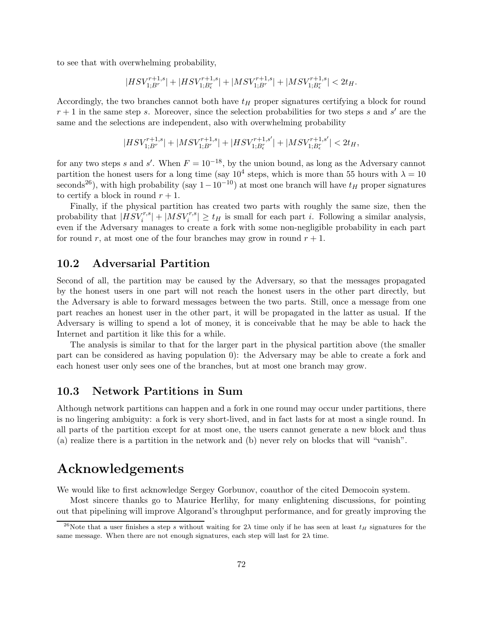to see that with overwhelming probability,

$$
|HSV_{1;B^{r}}^{r+1,s}| + |HSV_{1;B^{r}}^{r+1,s}| + |MSV_{1;B^{r}}^{r+1,s}| + |MSV_{1;B^{r}}^{r+1,s}| < 2t_H.
$$

Accordingly, the two branches cannot both have  $t_H$  proper signatures certifying a block for round  $r + 1$  in the same step s. Moreover, since the selection probabilities for two steps s and s' are the same and the selections are independent, also with overwhelming probability

$$
|HSV_{1;B^r}^{r+1,s}|+|MSV_{1;B^r}^{r+1,s}|+|HSV_{1;B^r_\epsilon}^{r+1,s'}|+|MSV_{1;B^r_\epsilon}^{r+1,s'}|<2t_H,
$$

for any two steps s and s'. When  $F = 10^{-18}$ , by the union bound, as long as the Adversary cannot partition the honest users for a long time (say  $10^4$  steps, which is more than 55 hours with  $\lambda = 10$ seconds<sup>[26](#page-71-0)</sup>), with high probability (say  $1-10^{-10}$ ) at most one branch will have  $t_H$  proper signatures to certify a block in round  $r + 1$ .

Finally, if the physical partition has created two parts with roughly the same size, then the probability that  $|HSV_i^{r,s}| + |MSV_i^{r,s}| \ge t_H$  is small for each part *i*. Following a similar analysis, even if the Adversary manages to create a fork with some non-negligible probability in each part for round r, at most one of the four branches may grow in round  $r + 1$ .

### 10.2 Adversarial Partition

Second of all, the partition may be caused by the Adversary, so that the messages propagated by the honest users in one part will not reach the honest users in the other part directly, but the Adversary is able to forward messages between the two parts. Still, once a message from one part reaches an honest user in the other part, it will be propagated in the latter as usual. If the Adversary is willing to spend a lot of money, it is conceivable that he may be able to hack the Internet and partition it like this for a while.

The analysis is similar to that for the larger part in the physical partition above (the smaller part can be considered as having population 0): the Adversary may be able to create a fork and each honest user only sees one of the branches, but at most one branch may grow.

### 10.3 Network Partitions in Sum

Although network partitions can happen and a fork in one round may occur under partitions, there is no lingering ambiguity: a fork is very short-lived, and in fact lasts for at most a single round. In all parts of the partition except for at most one, the users cannot generate a new block and thus (a) realize there is a partition in the network and (b) never rely on blocks that will "vanish".

# Acknowledgements

We would like to first acknowledge Sergey Gorbunov, coauthor of the cited Democoin system.

Most sincere thanks go to Maurice Herlihy, for many enlightening discussions, for pointing out that pipelining will improve Algorand's throughput performance, and for greatly improving the

<span id="page-71-0"></span><sup>&</sup>lt;sup>26</sup>Note that a user finishes a step s without waiting for  $2\lambda$  time only if he has seen at least  $t_H$  signatures for the same message. When there are not enough signatures, each step will last for  $2\lambda$  time.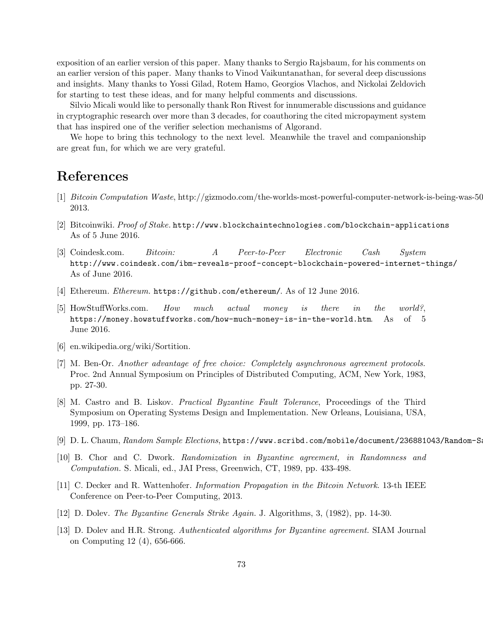exposition of an earlier version of this paper. Many thanks to Sergio Rajsbaum, for his comments on an earlier version of this paper. Many thanks to Vinod Vaikuntanathan, for several deep discussions and insights. Many thanks to Yossi Gilad, Rotem Hamo, Georgios Vlachos, and Nickolai Zeldovich for starting to test these ideas, and for many helpful comments and discussions.

Silvio Micali would like to personally thank Ron Rivest for innumerable discussions and guidance in cryptographic research over more than 3 decades, for coauthoring the cited micropayment system that has inspired one of the verifier selection mechanisms of Algorand.

We hope to bring this technology to the next level. Meanwhile the travel and companionship are great fun, for which we are very grateful.

## References

- [1] Bitcoin Computation Waste, [http://gizmodo.com/the-worlds-most-powerful-computer-network-is-being-was-504](http://gizmodo.com/the-worlds-most-powerful-computer-network-is-being-was-504503726) 2013.
- [2] Bitcoinwiki. Proof of Stake. <http://www.blockchaintechnologies.com/blockchain-applications> As of 5 June 2016.
- [3] Coindesk.com. Bitcoin: A Peer-to-Peer Electronic Cash System [http://www.coindesk.com/ibm-reveals-proof-concept-blockchain-powered-internet-things/](http://www.coindesk.com/ibm-reveals-proof-concept-blockchain-powered-internet-things/ ) As of June 2016.
- [4] Ethereum. Ethereum. <https://github.com/ethereum/>. As of 12 June 2016.
- [5] HowStuffWorks.com. How much actual money is there in the world?, <https://money.howstuffworks.com/how-much-money-is-in-the-world.htm>. As of 5 June 2016.
- [6] en.wikipedia.org/wiki/Sortition.
- [7] M. Ben-Or. Another advantage of free choice: Completely asynchronous agreement protocols. Proc. 2nd Annual Symposium on Principles of Distributed Computing, ACM, New York, 1983, pp. 27-30.
- [8] M. Castro and B. Liskov. Practical Byzantine Fault Tolerance, Proceedings of the Third Symposium on Operating Systems Design and Implementation. New Orleans, Louisiana, USA, 1999, pp. 173–186.
- [9] D. L. Chaum, Random Sample Elections, [https://www.scribd.com/mobile/document/236881043/Random-Samp](https://www.scribd.com/mobile/document/236881043/Random-Sample-Elections)le
- [10] B. Chor and C. Dwork. Randomization in Byzantine agreement, in Randomness and Computation. S. Micali, ed., JAI Press, Greenwich, CT, 1989, pp. 433-498.
- [11] C. Decker and R. Wattenhofer. Information Propagation in the Bitcoin Network. 13-th IEEE Conference on Peer-to-Peer Computing, 2013.
- [12] D. Dolev. The Byzantine Generals Strike Again. J. Algorithms, 3, (1982), pp. 14-30.
- [13] D. Dolev and H.R. Strong. Authenticated algorithms for Byzantine agreement. SIAM Journal on Computing 12 (4), 656-666.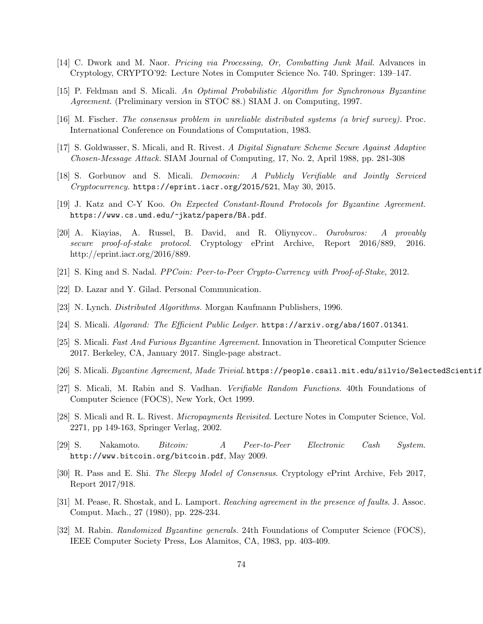- [14] C. Dwork and M. Naor. Pricing via Processing, Or, Combatting Junk Mail. Advances in Cryptology, CRYPTO'92: Lecture Notes in Computer Science No. 740. Springer: 139–147.
- [15] P. Feldman and S. Micali. An Optimal Probabilistic Algorithm for Synchronous Byzantine Agreement. (Preliminary version in STOC 88.) SIAM J. on Computing, 1997.
- [16] M. Fischer. The consensus problem in unreliable distributed systems (a brief survey). Proc. International Conference on Foundations of Computation, 1983.
- [17] S. Goldwasser, S. Micali, and R. Rivest. A Digital Signature Scheme Secure Against Adaptive Chosen-Message Attack. SIAM Journal of Computing, 17, No. 2, April 1988, pp. 281-308
- [18] S. Gorbunov and S. Micali. Democoin: A Publicly Verifiable and Jointly Serviced  $Cryptocurrency.$  <https://eprint.iacr.org/2015/521>, May 30, 2015.
- [19] J. Katz and C-Y Koo. On Expected Constant-Round Protocols for Byzantine Agreement. <https://www.cs.umd.edu/~jkatz/papers/BA.pdf>.
- [20] A. Kiayias, A. Russel, B. David, and R. Oliynycov.. Ouroburos: A provably secure proof-of-stake protocol. Cryptology ePrint Archive, Report 2016/889, 2016. http://eprint.iacr.org/2016/889.
- [21] S. King and S. Nadal. PPCoin: Peer-to-Peer Crypto-Currency with Proof-of-Stake, 2012.
- [22] D. Lazar and Y. Gilad. Personal Communication.
- [23] N. Lynch. Distributed Algorithms. Morgan Kaufmann Publishers, 1996.
- [24] S. Micali. Algorand: The Efficient Public Ledger. <https://arxiv.org/abs/1607.01341>.
- [25] S. Micali. Fast And Furious Byzantine Agreement. Innovation in Theoretical Computer Science 2017. Berkeley, CA, January 2017. Single-page abstract.
- [26] S. Micali. Byzantine Agreement, Made Trivial. [https://people.csail.mit.edu/silvio/SelectedScientifi](https://people.csail.mit.edu/silvio/Selected Scientific Papers/Distributed Computation/BYZANTINE AGREEMENT MADE TRIVIAL.pdf)
- [27] S. Micali, M. Rabin and S. Vadhan. Verifiable Random Functions. 40th Foundations of Computer Science (FOCS), New York, Oct 1999.
- [28] S. Micali and R. L. Rivest. Micropayments Revisited. Lecture Notes in Computer Science, Vol. 2271, pp 149-163, Springer Verlag, 2002.
- [29] S. Nakamoto. Bitcoin: A Peer-to-Peer Electronic Cash System. <http://www.bitcoin.org/bitcoin.pdf>, May 2009.
- [30] R. Pass and E. Shi. The Sleepy Model of Consensus. Cryptology ePrint Archive, Feb 2017, Report 2017/918.
- [31] M. Pease, R. Shostak, and L. Lamport. Reaching agreement in the presence of faults. J. Assoc. Comput. Mach., 27 (1980), pp. 228-234.
- [32] M. Rabin. Randomized Byzantine generals. 24th Foundations of Computer Science (FOCS), IEEE Computer Society Press, Los Alamitos, CA, 1983, pp. 403-409.